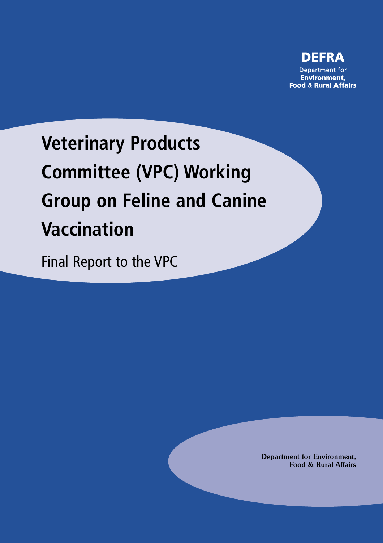

# **Veterinary Products Committee (VPC) Working Group on Feline and Canine Vaccination**

Final Report to the VPC

Department for Environment, Food & Rural Affairs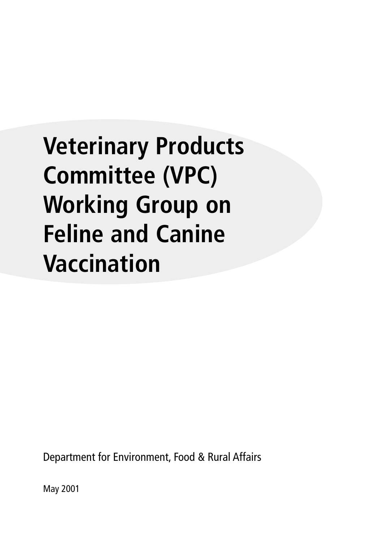# **Veterinary Products Committee (VPC) Working Group on Feline and Canine Vaccination**

Department for Environment, Food & Rural Affairs

May 2001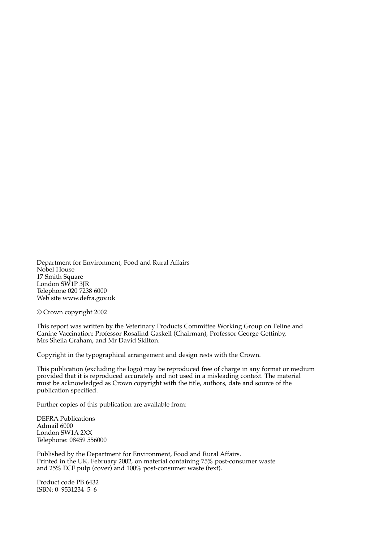Department for Environment, Food and Rural Affairs Nobel House 17 Smith Square London SW1P 3JR Telephone 020 7238 6000 Web site www.defra.gov.uk

© Crown copyright 2002

This report was written by the Veterinary Products Committee Working Group on Feline and Canine Vaccination: Professor Rosalind Gaskell (Chairman), Professor George Gettinby, Mrs Sheila Graham, and Mr David Skilton.

Copyright in the typographical arrangement and design rests with the Crown.

This publication (excluding the logo) may be reproduced free of charge in any format or medium provided that it is reproduced accurately and not used in a misleading context. The material must be acknowledged as Crown copyright with the title, authors, date and source of the publication specified.

Further copies of this publication are available from:

DEFRA Publications Admail 6000 London SW1A 2XX Telephone: 08459 556000

Published by the Department for Environment, Food and Rural Affairs. Printed in the UK, February 2002, on material containing 75% post-consumer waste and 25% ECF pulp (cover) and 100% post-consumer waste (text).

Product code PB 6432 ISBN: 0-9531234-5-6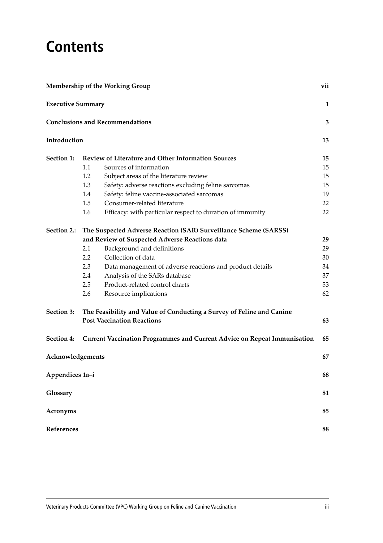## **Contents**

| <b>Membership of the Working Group</b> |                                                                       |                                                                                 | vii |  |  |
|----------------------------------------|-----------------------------------------------------------------------|---------------------------------------------------------------------------------|-----|--|--|
| <b>Executive Summary</b>               |                                                                       |                                                                                 | 1   |  |  |
|                                        |                                                                       | <b>Conclusions and Recommendations</b>                                          | 3   |  |  |
| Introduction                           |                                                                       |                                                                                 | 13  |  |  |
| Section 1:                             |                                                                       | Review of Literature and Other Information Sources                              | 15  |  |  |
|                                        | 1.1                                                                   | Sources of information                                                          | 15  |  |  |
|                                        | 1.2                                                                   | Subject areas of the literature review                                          | 15  |  |  |
|                                        | 1.3                                                                   | Safety: adverse reactions excluding feline sarcomas                             | 15  |  |  |
|                                        | 1.4                                                                   | Safety: feline vaccine-associated sarcomas                                      | 19  |  |  |
|                                        | 1.5                                                                   | Consumer-related literature                                                     | 22  |  |  |
|                                        | 1.6                                                                   | Efficacy: with particular respect to duration of immunity                       | 22  |  |  |
| Section 2.:                            | The Suspected Adverse Reaction (SAR) Surveillance Scheme (SARSS)      |                                                                                 |     |  |  |
|                                        |                                                                       | and Review of Suspected Adverse Reactions data                                  | 29  |  |  |
|                                        | 2.1                                                                   | Background and definitions                                                      | 29  |  |  |
|                                        | 2.2                                                                   | Collection of data                                                              | 30  |  |  |
|                                        | 2.3                                                                   | Data management of adverse reactions and product details                        | 34  |  |  |
|                                        | 2.4                                                                   | Analysis of the SARs database                                                   | 37  |  |  |
|                                        | 2.5                                                                   | Product-related control charts                                                  | 53  |  |  |
|                                        | 2.6                                                                   | Resource implications                                                           | 62  |  |  |
| Section 3:                             | The Feasibility and Value of Conducting a Survey of Feline and Canine |                                                                                 |     |  |  |
|                                        |                                                                       | <b>Post Vaccination Reactions</b>                                               | 63  |  |  |
| Section 4:                             |                                                                       | <b>Current Vaccination Programmes and Current Advice on Repeat Immunisation</b> | 65  |  |  |
| Acknowledgements                       |                                                                       |                                                                                 | 67  |  |  |
| Appendices 1a-i                        |                                                                       |                                                                                 | 68  |  |  |
| Glossary                               |                                                                       |                                                                                 | 81  |  |  |
| <b>Acronyms</b>                        |                                                                       |                                                                                 | 85  |  |  |
| <b>References</b>                      |                                                                       |                                                                                 | 88  |  |  |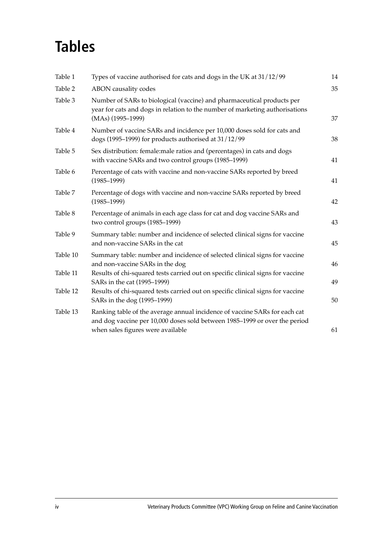# **Tables**

| Table 1  | Types of vaccine authorised for cats and dogs in the UK at 31/12/99                                                                                                                           | 14 |
|----------|-----------------------------------------------------------------------------------------------------------------------------------------------------------------------------------------------|----|
| Table 2  | ABON causality codes                                                                                                                                                                          | 35 |
| Table 3  | Number of SARs to biological (vaccine) and pharmaceutical products per<br>year for cats and dogs in relation to the number of marketing authorisations<br>$(MAs)$ (1995–1999)                 | 37 |
| Table 4  | Number of vaccine SARs and incidence per 10,000 doses sold for cats and<br>dogs (1995–1999) for products authorised at $31/12/99$                                                             | 38 |
| Table 5  | Sex distribution: female:male ratios and (percentages) in cats and dogs<br>with vaccine SARs and two control groups (1985-1999)                                                               | 41 |
| Table 6  | Percentage of cats with vaccine and non-vaccine SARs reported by breed<br>$(1985 - 1999)$                                                                                                     | 41 |
| Table 7  | Percentage of dogs with vaccine and non-vaccine SARs reported by breed<br>$(1985 - 1999)$                                                                                                     | 42 |
| Table 8  | Percentage of animals in each age class for cat and dog vaccine SARs and<br>two control groups (1985-1999)                                                                                    | 43 |
| Table 9  | Summary table: number and incidence of selected clinical signs for vaccine<br>and non-vaccine SARs in the cat                                                                                 | 45 |
| Table 10 | Summary table: number and incidence of selected clinical signs for vaccine<br>and non-vaccine SARs in the dog                                                                                 | 46 |
| Table 11 | Results of chi-squared tests carried out on specific clinical signs for vaccine<br>SARs in the cat (1995-1999)                                                                                | 49 |
| Table 12 | Results of chi-squared tests carried out on specific clinical signs for vaccine<br>SARs in the dog (1995-1999)                                                                                | 50 |
| Table 13 | Ranking table of the average annual incidence of vaccine SARs for each cat<br>and dog vaccine per 10,000 doses sold between 1985-1999 or over the period<br>when sales figures were available | 61 |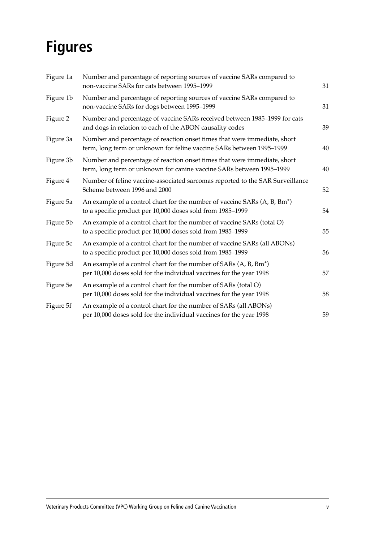# **Figures**

| Figure 1a | Number and percentage of reporting sources of vaccine SARs compared to<br>non-vaccine SARs for cats between 1995-1999                                | 31 |
|-----------|------------------------------------------------------------------------------------------------------------------------------------------------------|----|
| Figure 1b | Number and percentage of reporting sources of vaccine SARs compared to<br>non-vaccine SARs for dogs between 1995-1999                                | 31 |
| Figure 2  | Number and percentage of vaccine SARs received between 1985-1999 for cats<br>and dogs in relation to each of the ABON causality codes                | 39 |
| Figure 3a | Number and percentage of reaction onset times that were immediate, short<br>term, long term or unknown for feline vaccine SARs between 1995-1999     | 40 |
| Figure 3b | Number and percentage of reaction onset times that were immediate, short<br>term, long term or unknown for canine vaccine SARs between 1995-1999     | 40 |
| Figure 4  | Number of feline vaccine-associated sarcomas reported to the SAR Surveillance<br>Scheme between 1996 and 2000                                        | 52 |
| Figure 5a | An example of a control chart for the number of vaccine SARs (A, B, Bm <sup>*</sup> )<br>to a specific product per 10,000 doses sold from 1985-1999  | 54 |
| Figure 5b | An example of a control chart for the number of vaccine SARs (total O)<br>to a specific product per 10,000 doses sold from 1985-1999                 | 55 |
| Figure 5c | An example of a control chart for the number of vaccine SARs (all ABONs)<br>to a specific product per 10,000 doses sold from 1985-1999               | 56 |
| Figure 5d | An example of a control chart for the number of SARs (A, B, Bm <sup>*</sup> )<br>per 10,000 doses sold for the individual vaccines for the year 1998 | 57 |
| Figure 5e | An example of a control chart for the number of SARs (total O)<br>per 10,000 doses sold for the individual vaccines for the year 1998                | 58 |
| Figure 5f | An example of a control chart for the number of SARs (all ABONs)<br>per 10,000 doses sold for the individual vaccines for the year 1998              | 59 |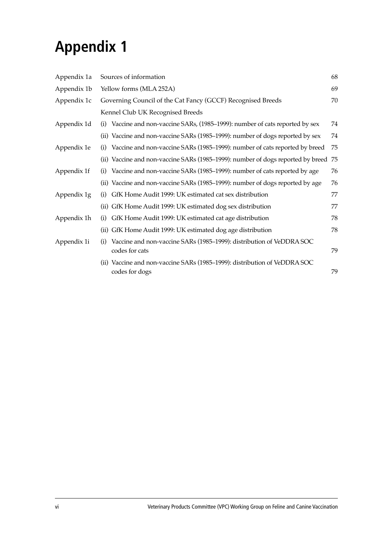# **Appendix 1**

| Appendix 1a | 68<br>Sources of information                                                                  |    |  |
|-------------|-----------------------------------------------------------------------------------------------|----|--|
| Appendix 1b | Yellow forms (MLA 252A)                                                                       |    |  |
| Appendix 1c | Governing Council of the Cat Fancy (GCCF) Recognised Breeds                                   |    |  |
|             | Kennel Club UK Recognised Breeds                                                              |    |  |
| Appendix 1d | Vaccine and non-vaccine SARs, (1985–1999): number of cats reported by sex<br>(i)              | 74 |  |
|             | (ii) Vaccine and non-vaccine SARs (1985–1999): number of dogs reported by sex                 | 74 |  |
| Appendix 1e | Vaccine and non-vaccine SARs (1985–1999): number of cats reported by breed<br>(i)             | 75 |  |
|             | (ii) Vaccine and non-vaccine SARs (1985–1999): number of dogs reported by breed 75            |    |  |
| Appendix 1f | Vaccine and non-vaccine SARs (1985–1999): number of cats reported by age<br>(i)               | 76 |  |
|             | (ii) Vaccine and non-vaccine SARs (1985-1999): number of dogs reported by age                 | 76 |  |
| Appendix 1g | GfK Home Audit 1999: UK estimated cat sex distribution<br>(i)                                 | 77 |  |
|             | (ii) GfK Home Audit 1999: UK estimated dog sex distribution                                   | 77 |  |
| Appendix 1h | GfK Home Audit 1999: UK estimated cat age distribution<br>(i)                                 | 78 |  |
|             | (ii) GfK Home Audit 1999: UK estimated dog age distribution                                   | 78 |  |
| Appendix 1i | Vaccine and non-vaccine SARs (1985–1999): distribution of VeDDRA SOC<br>(i)<br>codes for cats | 79 |  |
|             | (ii) Vaccine and non-vaccine SARs (1985–1999): distribution of VeDDRA SOC<br>codes for dogs   | 79 |  |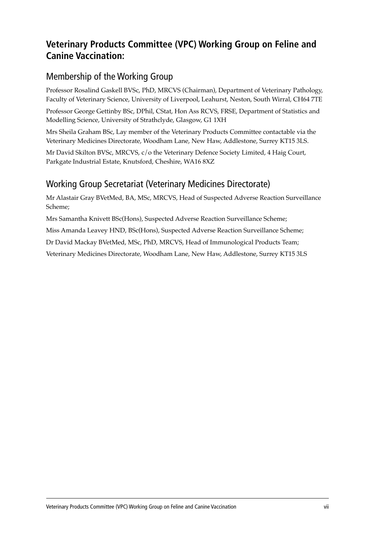## **Veterinary Products Committee (VPC) Working Group on Feline and Canine Vaccination:**

### Membership of the Working Group

Professor Rosalind Gaskell BVSc, PhD, MRCVS (Chairman), Department of Veterinary Pathology, Faculty of Veterinary Science, University of Liverpool, Leahurst, Neston, South Wirral, CH64 7TE

Professor George Gettinby BSc, DPhil, CStat, Hon Ass RCVS, FRSE, Department of Statistics and Modelling Science, University of Strathclyde, Glasgow, G1 1XH

Mrs Sheila Graham BSc, Lay member of the Veterinary Products Committee contactable via the Veterinary Medicines Directorate, Woodham Lane, New Haw, Addlestone, Surrey KT15 3LS.

Mr David Skilton BVSc, MRCVS, c/o the Veterinary Defence Society Limited, 4 Haig Court, Parkgate Industrial Estate, Knutsford, Cheshire, WA16 8XZ

### Working Group Secretariat (Veterinary Medicines Directorate)

Mr Alastair Gray BVetMed, BA, MSc, MRCVS, Head of Suspected Adverse Reaction Surveillance Scheme;

Mrs Samantha Knivett BSc(Hons), Suspected Adverse Reaction Surveillance Scheme;

Miss Amanda Leavey HND, BSc(Hons), Suspected Adverse Reaction Surveillance Scheme;

Dr David Mackay BVetMed, MSc, PhD, MRCVS, Head of Immunological Products Team;

Veterinary Medicines Directorate, Woodham Lane, New Haw, Addlestone, Surrey KT15 3LS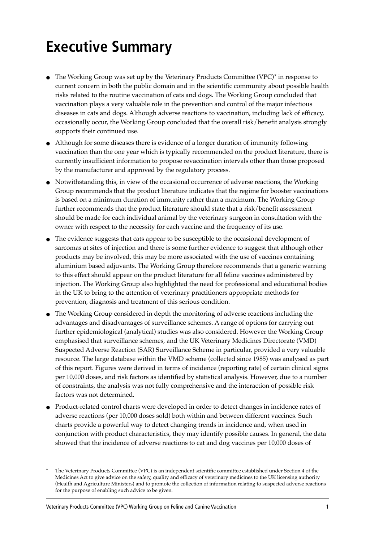# **Executive Summary**

- The Working Group was set up by the Veterinary Products Committee (VPC)\* in response to current concern in both the public domain and in the scientific community about possible health risks related to the routine vaccination of cats and dogs. The Working Group concluded that vaccination plays a very valuable role in the prevention and control of the major infectious diseases in cats and dogs. Although adverse reactions to vaccination, including lack of efficacy, occasionally occur, the Working Group concluded that the overall risk/benefit analysis strongly supports their continued use.
- Although for some diseases there is evidence of a longer duration of immunity following vaccination than the one year which is typically recommended on the product literature, there is currently insufficient information to propose revaccination intervals other than those proposed by the manufacturer and approved by the regulatory process.
- Notwithstanding this, in view of the occasional occurrence of adverse reactions, the Working Group recommends that the product literature indicates that the regime for booster vaccinations is based on a minimum duration of immunity rather than a maximum. The Working Group further recommends that the product literature should state that a risk/benefit assessment should be made for each individual animal by the veterinary surgeon in consultation with the owner with respect to the necessity for each vaccine and the frequency of its use.
- The evidence suggests that cats appear to be susceptible to the occasional development of sarcomas at sites of injection and there is some further evidence to suggest that although other products may be involved, this may be more associated with the use of vaccines containing aluminium based adjuvants. The Working Group therefore recommends that a generic warning to this effect should appear on the product literature for all feline vaccines administered by injection. The Working Group also highlighted the need for professional and educational bodies in the UK to bring to the attention of veterinary practitioners appropriate methods for prevention, diagnosis and treatment of this serious condition.
- The Working Group considered in depth the monitoring of adverse reactions including the advantages and disadvantages of surveillance schemes. A range of options for carrying out further epidemiological (analytical) studies was also considered. However the Working Group emphasised that surveillance schemes, and the UK Veterinary Medicines Directorate (VMD) Suspected Adverse Reaction (SAR) Surveillance Scheme in particular, provided a very valuable resource. The large database within the VMD scheme (collected since 1985) was analysed as part of this report. Figures were derived in terms of incidence (reporting rate) of certain clinical signs per 10,000 doses, and risk factors as identified by statistical analysis. However, due to a number of constraints, the analysis was not fully comprehensive and the interaction of possible risk factors was not determined.
- Product-related control charts were developed in order to detect changes in incidence rates of adverse reactions (per 10,000 doses sold) both within and between different vaccines. Such charts provide a powerful way to detect changing trends in incidence and, when used in conjunction with product characteristics, they may identify possible causes. In general, the data showed that the incidence of adverse reactions to cat and dog vaccines per 10,000 doses of

The Veterinary Products Committee (VPC) is an independent scientific committee established under Section 4 of the Medicines Act to give advice on the safety, quality and efficacy of veterinary medicines to the UK licensing authority (Health and Agriculture Ministers) and to promote the collection of information relating to suspected adverse reactions for the purpose of enabling such advice to be given.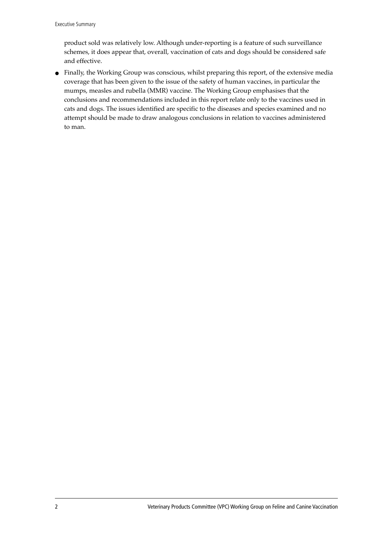product sold was relatively low. Although under-reporting is a feature of such surveillance schemes, it does appear that, overall, vaccination of cats and dogs should be considered safe and effective.

● Finally, the Working Group was conscious, whilst preparing this report, of the extensive media coverage that has been given to the issue of the safety of human vaccines, in particular the mumps, measles and rubella (MMR) vaccine. The Working Group emphasises that the conclusions and recommendations included in this report relate only to the vaccines used in cats and dogs. The issues identified are specific to the diseases and species examined and no attempt should be made to draw analogous conclusions in relation to vaccines administered to man.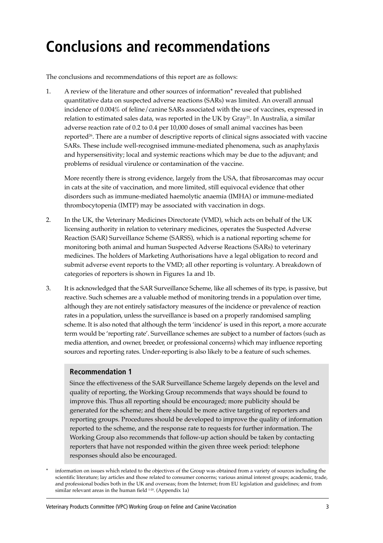# **Conclusions and recommendations**

The conclusions and recommendations of this report are as follows:

1. A review of the literature and other sources of information\* revealed that published quantitative data on suspected adverse reactions (SARs) was limited. An overall annual incidence of 0.004% of feline/canine SARs associated with the use of vaccines, expressed in relation to estimated sales data, was reported in the UK by Gray21. In Australia, a similar adverse reaction rate of 0.2 to 0.4 per 10,000 doses of small animal vaccines has been reported<sup>26</sup>. There are a number of descriptive reports of clinical signs associated with vaccine SARs. These include well-recognised immune-mediated phenomena, such as anaphylaxis and hypersensitivity; local and systemic reactions which may be due to the adjuvant; and problems of residual virulence or contamination of the vaccine.

More recently there is strong evidence, largely from the USA, that fibrosarcomas may occur in cats at the site of vaccination, and more limited, still equivocal evidence that other disorders such as immune-mediated haemolytic anaemia (IMHA) or immune-mediated thrombocytopenia (IMTP) may be associated with vaccination in dogs.

- 2. In the UK, the Veterinary Medicines Directorate (VMD), which acts on behalf of the UK licensing authority in relation to veterinary medicines, operates the Suspected Adverse Reaction (SAR) Surveillance Scheme (SARSS), which is a national reporting scheme for monitoring both animal and human Suspected Adverse Reactions (SARs) to veterinary medicines. The holders of Marketing Authorisations have a legal obligation to record and submit adverse event reports to the VMD; all other reporting is voluntary. A breakdown of categories of reporters is shown in Figures 1a and 1b.
- 3. It is acknowledged that the SAR Surveillance Scheme, like all schemes of its type, is passive, but reactive. Such schemes are a valuable method of monitoring trends in a population over time, although they are not entirely satisfactory measures of the incidence or prevalence of reaction rates in a population, unless the surveillance is based on a properly randomised sampling scheme. It is also noted that although the term 'incidence' is used in this report, a more accurate term would be 'reporting rate'. Surveillance schemes are subject to a number of factors (such as media attention, and owner, breeder, or professional concerns) which may influence reporting sources and reporting rates. Under-reporting is also likely to be a feature of such schemes.

#### **Recommendation 1**

Since the effectiveness of the SAR Surveillance Scheme largely depends on the level and quality of reporting, the Working Group recommends that ways should be found to improve this. Thus all reporting should be encouraged; more publicity should be generated for the scheme; and there should be more active targeting of reporters and reporting groups. Procedures should be developed to improve the quality of information reported to the scheme, and the response rate to requests for further information. The Working Group also recommends that follow-up action should be taken by contacting reporters that have not responded within the given three week period: telephone responses should also be encouraged.

information on issues which related to the objectives of the Group was obtained from a variety of sources including the scientific literature; lay articles and those related to consumer concerns; various animal interest groups; academic, trade, and professional bodies both in the UK and overseas; from the Internet; from EU legislation and guidelines; and from similar relevant areas in the human field  $1-20$ . (Appendix 1a)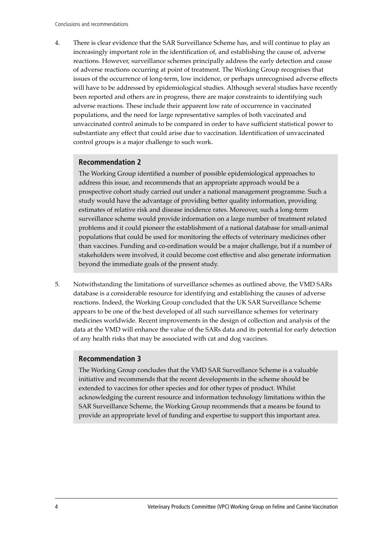4. There is clear evidence that the SAR Surveillance Scheme has, and will continue to play an increasingly important role in the identification of, and establishing the cause of, adverse reactions. However, surveillance schemes principally address the early detection and cause of adverse reactions occurring at point of treatment. The Working Group recognises that issues of the occurrence of long-term, low incidence, or perhaps unrecognised adverse effects will have to be addressed by epidemiological studies. Although several studies have recently been reported and others are in progress, there are major constraints to identifying such adverse reactions. These include their apparent low rate of occurrence in vaccinated populations, and the need for large representative samples of both vaccinated and unvaccinated control animals to be compared in order to have sufficient statistical power to substantiate any effect that could arise due to vaccination. Identification of unvaccinated control groups is a major challenge to such work.

#### **Recommendation 2**

The Working Group identified a number of possible epidemiological approaches to address this issue, and recommends that an appropriate approach would be a prospective cohort study carried out under a national management programme. Such a study would have the advantage of providing better quality information, providing estimates of relative risk and disease incidence rates. Moreover, such a long-term surveillance scheme would provide information on a large number of treatment related problems and it could pioneer the establishment of a national database for small-animal populations that could be used for monitoring the effects of veterinary medicines other than vaccines. Funding and co-ordination would be a major challenge, but if a number of stakeholders were involved, it could become cost effective and also generate information beyond the immediate goals of the present study.

5. Notwithstanding the limitations of surveillance schemes as outlined above, the VMD SARs database is a considerable resource for identifying and establishing the causes of adverse reactions. Indeed, the Working Group concluded that the UK SAR Surveillance Scheme appears to be one of the best developed of all such surveillance schemes for veterinary medicines worldwide. Recent improvements in the design of collection and analysis of the data at the VMD will enhance the value of the SARs data and its potential for early detection of any health risks that may be associated with cat and dog vaccines.

#### **Recommendation 3**

The Working Group concludes that the VMD SAR Surveillance Scheme is a valuable initiative and recommends that the recent developments in the scheme should be extended to vaccines for other species and for other types of product. Whilst acknowledging the current resource and information technology limitations within the SAR Surveillance Scheme, the Working Group recommends that a means be found to provide an appropriate level of funding and expertise to support this important area.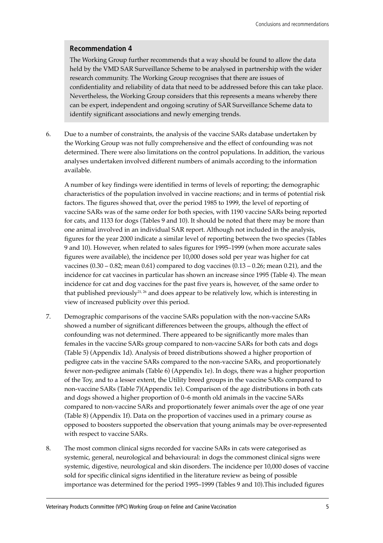#### **Recommendation 4**

The Working Group further recommends that a way should be found to allow the data held by the VMD SAR Surveillance Scheme to be analysed in partnership with the wider research community. The Working Group recognises that there are issues of confidentiality and reliability of data that need to be addressed before this can take place. Nevertheless, the Working Group considers that this represents a means whereby there can be expert, independent and ongoing scrutiny of SAR Surveillance Scheme data to identify significant associations and newly emerging trends.

6. Due to a number of constraints, the analysis of the vaccine SARs database undertaken by the Working Group was not fully comprehensive and the effect of confounding was not determined. There were also limitations on the control populations. In addition, the various analyses undertaken involved different numbers of animals according to the information available.

A number of key findings were identified in terms of levels of reporting; the demographic characteristics of the population involved in vaccine reactions; and in terms of potential risk factors. The figures showed that, over the period 1985 to 1999, the level of reporting of vaccine SARs was of the same order for both species, with 1190 vaccine SARs being reported for cats, and 1133 for dogs (Tables 9 and 10). It should be noted that there may be more than one animal involved in an individual SAR report. Although not included in the analysis, figures for the year 2000 indicate a similar level of reporting between the two species (Tables 9 and 10). However, when related to sales figures for 1995–1999 (when more accurate sales figures were available), the incidence per 10,000 doses sold per year was higher for cat vaccines  $(0.30 - 0.82; \text{mean } 0.61)$  compared to dog vaccines  $(0.13 - 0.26; \text{mean } 0.21)$ , and the incidence for cat vaccines in particular has shown an increase since 1995 (Table 4). The mean incidence for cat and dog vaccines for the past five years is, however, of the same order to that published previously<sup>21, 26</sup> and does appear to be relatively low, which is interesting in view of increased publicity over this period.

- 7. Demographic comparisons of the vaccine SARs population with the non-vaccine SARs showed a number of significant differences between the groups, although the effect of confounding was not determined. There appeared to be significantly more males than females in the vaccine SARs group compared to non-vaccine SARs for both cats and dogs (Table 5) (Appendix 1d). Analysis of breed distributions showed a higher proportion of pedigree cats in the vaccine SARs compared to the non-vaccine SARs, and proportionately fewer non-pedigree animals (Table 6) (Appendix 1e). In dogs, there was a higher proportion of the Toy, and to a lesser extent, the Utility breed groups in the vaccine SARs compared to non-vaccine SARs (Table 7)(Appendix 1e). Comparison of the age distributions in both cats and dogs showed a higher proportion of  $0-6$  month old animals in the vaccine SARs compared to non-vaccine SARs and proportionately fewer animals over the age of one year (Table 8) (Appendix 1f). Data on the proportion of vaccines used in a primary course as opposed to boosters supported the observation that young animals may be over-represented with respect to vaccine SARs.
- 8. The most common clinical signs recorded for vaccine SARs in cats were categorised as systemic, general, neurological and behavioural: in dogs the commonest clinical signs were systemic, digestive, neurological and skin disorders. The incidence per 10,000 doses of vaccine sold for specific clinical signs identified in the literature review as being of possible importance was determined for the period 1995–1999 (Tables 9 and 10). This included figures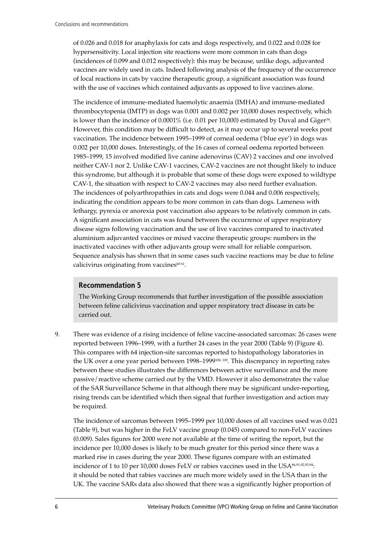of 0.026 and 0.018 for anaphylaxis for cats and dogs respectively, and 0.022 and 0.028 for hypersensitivity. Local injection site reactions were more common in cats than dogs (incidences of 0.099 and 0.012 respectively): this may be because, unlike dogs, adjuvanted vaccines are widely used in cats. Indeed following analysis of the frequency of the occurrence of local reactions in cats by vaccine therapeutic group, a significant association was found with the use of vaccines which contained adjuvants as opposed to live vaccines alone.

The incidence of immune-mediated haemolytic anaemia (IMHA) and immune-mediated thrombocytopenia (IMTP) in dogs was 0.001 and 0.002 per 10,000 doses respectively, which is lower than the incidence of  $0.0001\%$  (i.e. 0.01 per 10,000) estimated by Duval and Giger<sup>34</sup>. However, this condition may be difficult to detect, as it may occur up to several weeks post vaccination. The incidence between 1995–1999 of corneal oedema ('blue eye') in dogs was 0.002 per 10,000 doses. Interestingly, of the 16 cases of corneal oedema reported between 1985–1999, 15 involved modified live canine adenovirus (CAV) 2 vaccines and one involved neither CAV-1 nor 2. Unlike CAV-1 vaccines, CAV-2 vaccines are not thought likely to induce this syndrome, but although it is probable that some of these dogs were exposed to wildtype CAV-1, the situation with respect to CAV-2 vaccines may also need further evaluation. The incidences of polyarthropathies in cats and dogs were 0.044 and 0.006 respectively, indicating the condition appears to be more common in cats than dogs. Lameness with lethargy, pyrexia or anorexia post vaccination also appears to be relatively common in cats. A significant association in cats was found between the occurrence of upper respiratory disease signs following vaccination and the use of live vaccines compared to inactivated aluminium adjuvanted vaccines or mixed vaccine therapeutic groups: numbers in the inactivated vaccines with other adjuvants group were small for reliable comparison. Sequence analysis has shown that in some cases such vaccine reactions may be due to feline calicivirus originating from vaccines $60 61$ .

#### **Recommendation 5**

The Working Group recommends that further investigation of the possible association between feline calicivirus vaccination and upper respiratory tract disease in cats be carried out.

9. There was evidence of a rising incidence of feline vaccine-associated sarcomas: 26 cases were reported between 1996–1999, with a further 24 cases in the year 2000 (Table 9) (Figure 4). This compares with 64 injection-site sarcomas reported to histopathology laboratories in the UK over a one year period between 1998–1999<sup>108, 109</sup>. This discrepancy in reporting rates between these studies illustrates the differences between active surveillance and the more passive/reactive scheme carried out by the VMD. However it also demonstrates the value of the SAR Surveillance Scheme in that although there may be significant under-reporting, rising trends can be identified which then signal that further investigation and action may be required.

The incidence of sarcomas between 1995–1999 per 10,000 doses of all vaccines used was 0.021 (Table 9), but was higher in the FeLV vaccine group (0.045) compared to non-FeLV vaccines (0.009). Sales figures for 2000 were not available at the time of writing the report, but the incidence per 10,000 doses is likely to be much greater for this period since there was a marked rise in cases during the year 2000. These figures compare with an estimated incidence of 1 to 10 per 10,000 doses FeLV or rabies vaccines used in the USA $^{86,91,92,93,94}$ : it should be noted that rabies vaccines are much more widely used in the USA than in the UK. The vaccine SARs data also showed that there was a significantly higher proportion of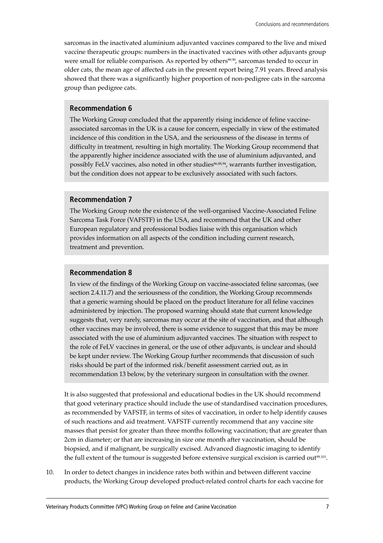sarcomas in the inactivated aluminium adjuvanted vaccines compared to the live and mixed vaccine therapeutic groups: numbers in the inactivated vaccines with other adjuvants group were small for reliable comparison. As reported by others<sup>89,90</sup>, sarcomas tended to occur in older cats, the mean age of affected cats in the present report being 7.91 years. Breed analysis showed that there was a significantly higher proportion of non-pedigree cats in the sarcoma group than pedigree cats.

#### **Recommendation 6**

The Working Group concluded that the apparently rising incidence of feline vaccineassociated sarcomas in the UK is a cause for concern, especially in view of the estimated incidence of this condition in the USA, and the seriousness of the disease in terms of difficulty in treatment, resulting in high mortality. The Working Group recommend that the apparently higher incidence associated with the use of aluminium adjuvanted, and possibly FeLV vaccines, also noted in other studies<sup>86,88,94</sup>, warrants further investigation, but the condition does not appear to be exclusively associated with such factors.

#### **Recommendation 7**

The Working Group note the existence of the well-organised Vaccine-Associated Feline Sarcoma Task Force (VAFSTF) in the USA, and recommend that the UK and other European regulatory and professional bodies liaise with this organisation which provides information on all aspects of the condition including current research, treatment and prevention.

#### **Recommendation 8**

In view of the findings of the Working Group on vaccine-associated feline sarcomas, (see section 2.4.11.7) and the seriousness of the condition, the Working Group recommends that a generic warning should be placed on the product literature for all feline vaccines administered by injection. The proposed warning should state that current knowledge suggests that, very rarely, sarcomas may occur at the site of vaccination, and that although other vaccines may be involved, there is some evidence to suggest that this may be more associated with the use of aluminium adjuvanted vaccines. The situation with respect to the role of FeLV vaccines in general, or the use of other adjuvants, is unclear and should be kept under review. The Working Group further recommends that discussion of such risks should be part of the informed risk/benefit assessment carried out, as in recommendation 13 below, by the veterinary surgeon in consultation with the owner.

It is also suggested that professional and educational bodies in the UK should recommend that good veterinary practice should include the use of standardised vaccination procedures, as recommended by VAFSTF, in terms of sites of vaccination, in order to help identify causes of such reactions and aid treatment. VAFSTF currently recommend that any vaccine site masses that persist for greater than three months following vaccination; that are greater than 2cm in diameter; or that are increasing in size one month after vaccination, should be biopsied, and if malignant, be surgically excised. Advanced diagnostic imaging to identify the full extent of the tumour is suggested before extensive surgical excision is carried out<sup>99,101</sup>.

10. In order to detect changes in incidence rates both within and between different vaccine products, the Working Group developed product-related control charts for each vaccine for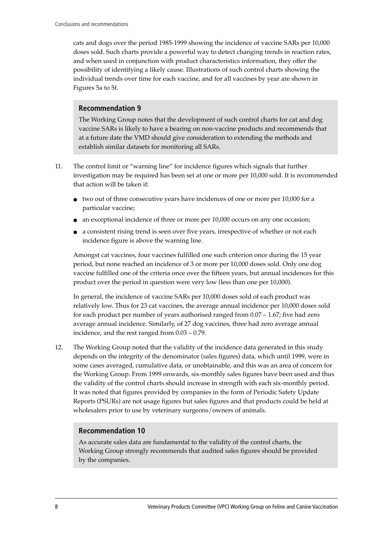cats and dogs over the period 1985-1999 showing the incidence of vaccine SARs per 10,000 doses sold. Such charts provide a powerful way to detect changing trends in reaction rates, and when used in conjunction with product characteristics information, they offer the possibility of identifying a likely cause. Illustrations of such control charts showing the individual trends over time for each vaccine, and for all vaccines by year are shown in Figures 5a to 5f.

#### **Recommendation 9**

The Working Group notes that the development of such control charts for cat and dog vaccine SARs is likely to have a bearing on non-vaccine products and recommends that at a future date the VMD should give consideration to extending the methods and establish similar datasets for monitoring all SARs.

- 11. The control limit or "warning line" for incidence figures which signals that further investigation may be required has been set at one or more per 10,000 sold. It is recommended that action will be taken if:
	- $\bullet$  two out of three consecutive years have incidences of one or more per 10,000 for a particular vaccine;
	- an exceptional incidence of three or more per 10,000 occurs on any one occasion;
	- a consistent rising trend is seen over five years, irrespective of whether or not each incidence figure is above the warning line.

Amongst cat vaccines, four vaccines fulfilled one such criterion once during the 15 year period, but none reached an incidence of 3 or more per 10,000 doses sold. Only one dog vaccine fulfilled one of the criteria once over the fifteen years, but annual incidences for this product over the period in question were very low (less than one per 10,000).

In general, the incidence of vaccine SARs per 10,000 doses sold of each product was relatively low. Thus for 23 cat vaccines, the average annual incidence per 10,000 doses sold for each product per number of years authorised ranged from  $0.07 - 1.67$ ; five had zero average annual incidence. Similarly, of 27 dog vaccines, three had zero average annual incidence, and the rest ranged from  $0.03 - 0.79$ .

12. The Working Group noted that the validity of the incidence data generated in this study depends on the integrity of the denominator (sales figures) data, which until 1999, were in some cases averaged, cumulative data, or unobtainable, and this was an area of concern for the Working Group. From 1999 onwards, six-monthly sales figures have been used and thus the validity of the control charts should increase in strength with each six-monthly period. It was noted that figures provided by companies in the form of Periodic Safety Update Reports (PSURs) are not usage figures but sales figures and that products could be held at wholesalers prior to use by veterinary surgeons/owners of animals.

#### **Recommendation 10**

As accurate sales data are fundamental to the validity of the control charts, the Working Group strongly recommends that audited sales figures should be provided by the companies.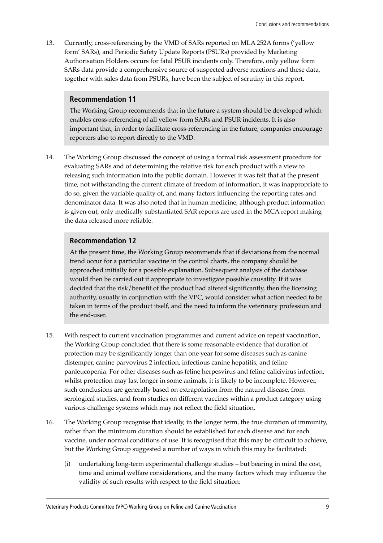13. Currently, cross-referencing by the VMD of SARs reported on MLA 252A forms (ëyellow formí SARs), and Periodic Safety Update Reports (PSURs) provided by Marketing Authorisation Holders occurs for fatal PSUR incidents only. Therefore, only yellow form SARs data provide a comprehensive source of suspected adverse reactions and these data, together with sales data from PSURs, have been the subject of scrutiny in this report.

#### **Recommendation 11**

The Working Group recommends that in the future a system should be developed which enables cross-referencing of all yellow form SARs and PSUR incidents. It is also important that, in order to facilitate cross-referencing in the future, companies encourage reporters also to report directly to the VMD.

14. The Working Group discussed the concept of using a formal risk assessment procedure for evaluating SARs and of determining the relative risk for each product with a view to releasing such information into the public domain. However it was felt that at the present time, not withstanding the current climate of freedom of information, it was inappropriate to do so, given the variable quality of, and many factors influencing the reporting rates and denominator data. It was also noted that in human medicine, although product information is given out, only medically substantiated SAR reports are used in the MCA report making the data released more reliable.

#### **Recommendation 12**

At the present time, the Working Group recommends that if deviations from the normal trend occur for a particular vaccine in the control charts, the company should be approached initially for a possible explanation. Subsequent analysis of the database would then be carried out if appropriate to investigate possible causality. If it was decided that the risk/benefit of the product had altered significantly, then the licensing authority, usually in conjunction with the VPC, would consider what action needed to be taken in terms of the product itself, and the need to inform the veterinary profession and the end-user.

- 15. With respect to current vaccination programmes and current advice on repeat vaccination, the Working Group concluded that there is some reasonable evidence that duration of protection may be significantly longer than one year for some diseases such as canine distemper, canine parvovirus 2 infection, infectious canine hepatitis, and feline panleucopenia. For other diseases such as feline herpesvirus and feline calicivirus infection, whilst protection may last longer in some animals, it is likely to be incomplete. However, such conclusions are generally based on extrapolation from the natural disease, from serological studies, and from studies on different vaccines within a product category using various challenge systems which may not reflect the field situation.
- 16. The Working Group recognise that ideally, in the longer term, the true duration of immunity, rather than the minimum duration should be established for each disease and for each vaccine, under normal conditions of use. It is recognised that this may be difficult to achieve, but the Working Group suggested a number of ways in which this may be facilitated:
	- (i) undertaking long-term experimental challenge studies  $-$  but bearing in mind the cost, time and animal welfare considerations, and the many factors which may influence the validity of such results with respect to the field situation;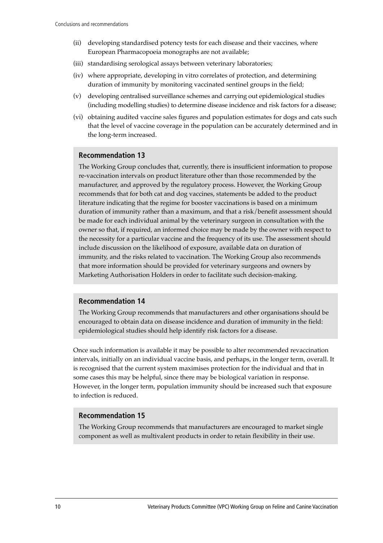- (ii) developing standardised potency tests for each disease and their vaccines, where European Pharmacopoeia monographs are not available;
- (iii) standardising serological assays between veterinary laboratories;
- (iv) where appropriate, developing in vitro correlates of protection, and determining duration of immunity by monitoring vaccinated sentinel groups in the field;
- (v) developing centralised surveillance schemes and carrying out epidemiological studies (including modelling studies) to determine disease incidence and risk factors for a disease;
- (vi) obtaining audited vaccine sales figures and population estimates for dogs and cats such that the level of vaccine coverage in the population can be accurately determined and in the long-term increased.

#### **Recommendation 13**

The Working Group concludes that, currently, there is insufficient information to propose re-vaccination intervals on product literature other than those recommended by the manufacturer, and approved by the regulatory process. However, the Working Group recommends that for both cat and dog vaccines, statements be added to the product literature indicating that the regime for booster vaccinations is based on a minimum duration of immunity rather than a maximum, and that a risk/benefit assessment should be made for each individual animal by the veterinary surgeon in consultation with the owner so that, if required, an informed choice may be made by the owner with respect to the necessity for a particular vaccine and the frequency of its use. The assessment should include discussion on the likelihood of exposure, available data on duration of immunity, and the risks related to vaccination. The Working Group also recommends that more information should be provided for veterinary surgeons and owners by Marketing Authorisation Holders in order to facilitate such decision-making.

#### **Recommendation 14**

The Working Group recommends that manufacturers and other organisations should be encouraged to obtain data on disease incidence and duration of immunity in the field: epidemiological studies should help identify risk factors for a disease.

Once such information is available it may be possible to alter recommended revaccination intervals, initially on an individual vaccine basis, and perhaps, in the longer term, overall. It is recognised that the current system maximises protection for the individual and that in some cases this may be helpful, since there may be biological variation in response. However, in the longer term, population immunity should be increased such that exposure to infection is reduced.

#### **Recommendation 15**

The Working Group recommends that manufacturers are encouraged to market single component as well as multivalent products in order to retain flexibility in their use.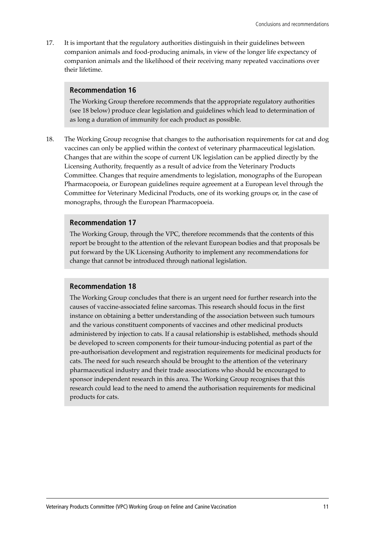17. It is important that the regulatory authorities distinguish in their guidelines between companion animals and food-producing animals, in view of the longer life expectancy of companion animals and the likelihood of their receiving many repeated vaccinations over their lifetime.

#### **Recommendation 16**

The Working Group therefore recommends that the appropriate regulatory authorities (see 18 below) produce clear legislation and guidelines which lead to determination of as long a duration of immunity for each product as possible.

18. The Working Group recognise that changes to the authorisation requirements for cat and dog vaccines can only be applied within the context of veterinary pharmaceutical legislation. Changes that are within the scope of current UK legislation can be applied directly by the Licensing Authority, frequently as a result of advice from the Veterinary Products Committee. Changes that require amendments to legislation, monographs of the European Pharmacopoeia, or European guidelines require agreement at a European level through the Committee for Veterinary Medicinal Products, one of its working groups or, in the case of monographs, through the European Pharmacopoeia.

#### **Recommendation 17**

The Working Group, through the VPC, therefore recommends that the contents of this report be brought to the attention of the relevant European bodies and that proposals be put forward by the UK Licensing Authority to implement any recommendations for change that cannot be introduced through national legislation.

#### **Recommendation 18**

The Working Group concludes that there is an urgent need for further research into the causes of vaccine-associated feline sarcomas. This research should focus in the first instance on obtaining a better understanding of the association between such tumours and the various constituent components of vaccines and other medicinal products administered by injection to cats. If a causal relationship is established, methods should be developed to screen components for their tumour-inducing potential as part of the pre-authorisation development and registration requirements for medicinal products for cats. The need for such research should be brought to the attention of the veterinary pharmaceutical industry and their trade associations who should be encouraged to sponsor independent research in this area. The Working Group recognises that this research could lead to the need to amend the authorisation requirements for medicinal products for cats.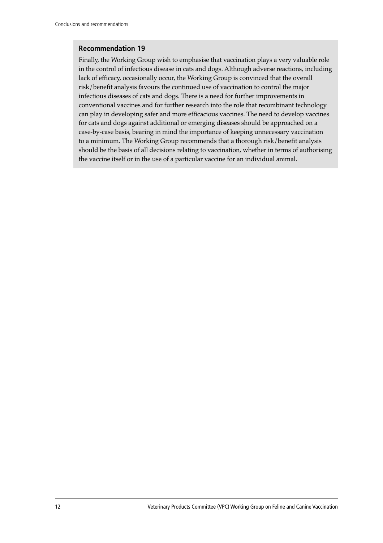#### **Recommendation 19**

Finally, the Working Group wish to emphasise that vaccination plays a very valuable role in the control of infectious disease in cats and dogs. Although adverse reactions, including lack of efficacy, occasionally occur, the Working Group is convinced that the overall risk/benefit analysis favours the continued use of vaccination to control the major infectious diseases of cats and dogs. There is a need for further improvements in conventional vaccines and for further research into the role that recombinant technology can play in developing safer and more efficacious vaccines. The need to develop vaccines for cats and dogs against additional or emerging diseases should be approached on a case-by-case basis, bearing in mind the importance of keeping unnecessary vaccination to a minimum. The Working Group recommends that a thorough risk/benefit analysis should be the basis of all decisions relating to vaccination, whether in terms of authorising the vaccine itself or in the use of a particular vaccine for an individual animal.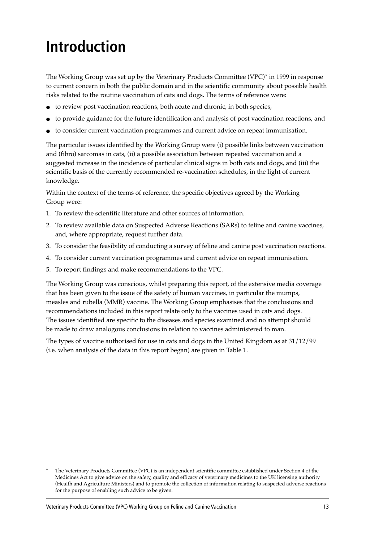# **Introduction**

The Working Group was set up by the Veterinary Products Committee (VPC)\* in 1999 in response to current concern in both the public domain and in the scientific community about possible health risks related to the routine vaccination of cats and dogs. The terms of reference were:

- to review post vaccination reactions, both acute and chronic, in both species,
- to provide guidance for the future identification and analysis of post vaccination reactions, and
- to consider current vaccination programmes and current advice on repeat immunisation.

The particular issues identified by the Working Group were (i) possible links between vaccination and (fibro) sarcomas in cats, (ii) a possible association between repeated vaccination and a suggested increase in the incidence of particular clinical signs in both cats and dogs, and (iii) the scientific basis of the currently recommended re-vaccination schedules, in the light of current knowledge.

Within the context of the terms of reference, the specific objectives agreed by the Working Group were:

- 1. To review the scientific literature and other sources of information.
- 2. To review available data on Suspected Adverse Reactions (SARs) to feline and canine vaccines, and, where appropriate, request further data.
- 3. To consider the feasibility of conducting a survey of feline and canine post vaccination reactions.
- 4. To consider current vaccination programmes and current advice on repeat immunisation.
- 5. To report findings and make recommendations to the VPC.

The Working Group was conscious, whilst preparing this report, of the extensive media coverage that has been given to the issue of the safety of human vaccines, in particular the mumps, measles and rubella (MMR) vaccine. The Working Group emphasises that the conclusions and recommendations included in this report relate only to the vaccines used in cats and dogs. The issues identified are specific to the diseases and species examined and no attempt should be made to draw analogous conclusions in relation to vaccines administered to man.

The types of vaccine authorised for use in cats and dogs in the United Kingdom as at 31/12/99 (i.e. when analysis of the data in this report began) are given in Table 1.

The Veterinary Products Committee (VPC) is an independent scientific committee established under Section 4 of the Medicines Act to give advice on the safety, quality and efficacy of veterinary medicines to the UK licensing authority (Health and Agriculture Ministers) and to promote the collection of information relating to suspected adverse reactions for the purpose of enabling such advice to be given.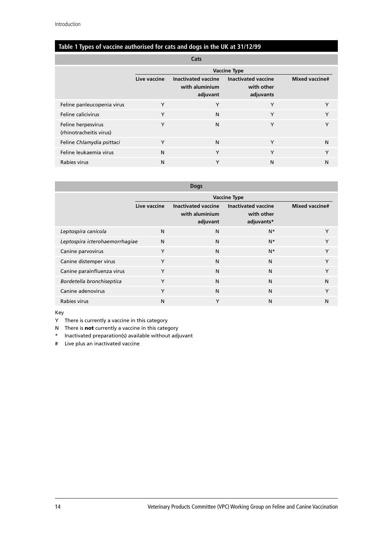#### **Table 1 Types of vaccine authorised for cats and dogs in the UK at 31/12/99**

| Cats                                          |                     |                                                          |                                                       |                       |
|-----------------------------------------------|---------------------|----------------------------------------------------------|-------------------------------------------------------|-----------------------|
|                                               | <b>Vaccine Type</b> |                                                          |                                                       |                       |
|                                               | Live vaccine        | <b>Inactivated vaccine</b><br>with aluminium<br>adjuvant | <b>Inactivated vaccine</b><br>with other<br>adjuvants | <b>Mixed vaccine#</b> |
| Feline panleucopenia virus                    | Y                   | Y                                                        | Y                                                     | Υ                     |
| Feline calicivirus                            | Y                   | N                                                        | Y                                                     | Υ                     |
| Feline herpesvirus<br>(rhinotracheitis virus) | Y                   | N                                                        | Υ                                                     | Υ                     |
| Feline Chlamydia psittaci                     | Y                   | N                                                        | Υ                                                     | N                     |
| Feline leukaemia virus                        | N                   | Y                                                        | Y                                                     | Υ                     |
| Rabies virus                                  | N                   | Υ                                                        | N                                                     | N                     |

| <b>Dogs</b>                    |                     |                                                          |                                                        |                       |  |
|--------------------------------|---------------------|----------------------------------------------------------|--------------------------------------------------------|-----------------------|--|
|                                | <b>Vaccine Type</b> |                                                          |                                                        |                       |  |
|                                | Live vaccine        | <b>Inactivated vaccine</b><br>with aluminium<br>adjuvant | <b>Inactivated vaccine</b><br>with other<br>adjuvants* | <b>Mixed vaccine#</b> |  |
| Leptospira canicola            | N                   | N                                                        | $N^*$                                                  | Y                     |  |
| Leptospira icterohaemorrhagiae | N                   | N                                                        | $N^*$                                                  | Y                     |  |
| Canine parvovirus              | Y                   | N                                                        | $N^*$                                                  | Y                     |  |
| Canine distemper virus         | Y                   | N                                                        | N                                                      | Y                     |  |
| Canine parainfluenza virus     | Y                   | N                                                        | N                                                      | Y                     |  |
| Bordetella bronchiseptica      | Y                   | N                                                        | N                                                      | N                     |  |
| Canine adenovirus              | Y                   | N                                                        | N                                                      | Y                     |  |
| Rabies virus                   | N                   | Y                                                        | N                                                      | N                     |  |

#### Key

Y There is currently a vaccine in this category

N There is **not** currently a vaccine in this category

\* Inactivated preparation(s) available without adjuvant

# Live plus an inactivated vaccine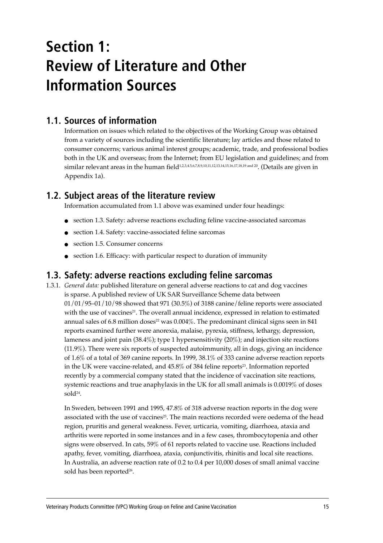# **Section 1: Review of Literature and Other Information Sources**

### **1.1. Sources of information**

Information on issues which related to the objectives of the Working Group was obtained from a variety of sources including the scientific literature; lay articles and those related to consumer concerns; various animal interest groups; academic, trade, and professional bodies both in the UK and overseas; from the Internet; from EU legislation and guidelines; and from similar relevant areas in the human field<sup>1,2,3,4.5,6,7,8,9,10,11,12,13,14,15,16,17,18,19 and 20</sup>. (Details are given in Appendix 1a).

### **1.2. Subject areas of the literature review**

Information accumulated from 1.1 above was examined under four headings:

- section 1.3. Safety: adverse reactions excluding feline vaccine-associated sarcomas
- section 1.4. Safety: vaccine-associated feline sarcomas
- section 1.5. Consumer concerns
- section 1.6. Efficacy: with particular respect to duration of immunity

### **1.3. Safety: adverse reactions excluding feline sarcomas**

1.3.1. *General data:* published literature on general adverse reactions to cat and dog vaccines is sparse. A published review of UK SAR Surveillance Scheme data between  $01/01/95-01/10/98$  showed that 971 (30.5%) of 3188 canine/feline reports were associated with the use of vaccines<sup>21</sup>. The overall annual incidence, expressed in relation to estimated annual sales of 6.8 million doses<sup>22</sup> was  $0.004\%$ . The predominant clinical signs seen in 841 reports examined further were anorexia, malaise, pyrexia, stiffness, lethargy, depression, lameness and joint pain (38.4%); type 1 hypersensitivity (20%); and injection site reactions (11.9%). There were six reports of suspected autoimmunity, all in dogs, giving an incidence of 1.6% of a total of 369 canine reports. In 1999, 38.1% of 333 canine adverse reaction reports in the UK were vaccine-related, and 45.8% of 384 feline reports<sup>23</sup>. Information reported recently by a commercial company stated that the incidence of vaccination site reactions, systemic reactions and true anaphylaxis in the UK for all small animals is 0.0019% of doses sol $d^{24}$ .

In Sweden, between 1991 and 1995, 47.8% of 318 adverse reaction reports in the dog were associated with the use of vaccines<sup>25</sup>. The main reactions recorded were oedema of the head region, pruritis and general weakness. Fever, urticaria, vomiting, diarrhoea, ataxia and arthritis were reported in some instances and in a few cases, thrombocytopenia and other signs were observed. In cats, 59% of 61 reports related to vaccine use. Reactions included apathy, fever, vomiting, diarrhoea, ataxia, conjunctivitis, rhinitis and local site reactions. In Australia, an adverse reaction rate of 0.2 to 0.4 per 10,000 doses of small animal vaccine sold has been reported<sup>26</sup>.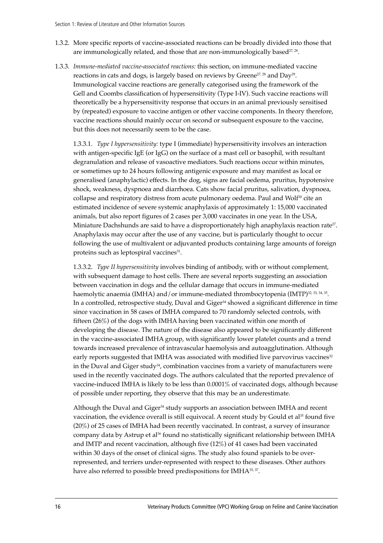- 1.3.2. More specific reports of vaccine-associated reactions can be broadly divided into those that are immunologically related, and those that are non-immunologically based $27,28$ .
- 1.3.3. *Immune-mediated vaccine-associated reactions:* this section, on immune-mediated vaccine reactions in cats and dogs, is largely based on reviews by Greene<sup>27, 28</sup> and Day<sup>29</sup>. Immunological vaccine reactions are generally categorised using the framework of the Gell and Coombs classification of hypersensitivity (Type I-IV). Such vaccine reactions will theoretically be a hypersensitivity response that occurs in an animal previously sensitised by (repeated) exposure to vaccine antigen or other vaccine components. In theory therefore, vaccine reactions should mainly occur on second or subsequent exposure to the vaccine, but this does not necessarily seem to be the case.

1.3.3.1. *Type I hypersensitivity:* type I (immediate) hypersensitivity involves an interaction with antigen-specific IgE (or IgG) on the surface of a mast cell or basophil, with resultant degranulation and release of vasoactive mediators. Such reactions occur within minutes, or sometimes up to 24 hours following antigenic exposure and may manifest as local or generalised (anaphylactic) effects. In the dog, signs are facial oedema, pruritus, hypotensive shock, weakness, dyspnoea and diarrhoea. Cats show facial pruritus, salivation, dyspnoea, collapse and respiratory distress from acute pulmonary oedema. Paul and Wolf<sup>30</sup> cite an estimated incidence of severe systemic anaphylaxis of approximately 1: 15,000 vaccinated animals, but also report figures of 2 cases per 3,000 vaccinates in one year. In the USA, Miniature Dachshunds are said to have a disproportionately high anaphylaxis reaction rate<sup>27</sup>. Anaphylaxis may occur after the use of any vaccine, but is particularly thought to occur following the use of multivalent or adjuvanted products containing large amounts of foreign proteins such as leptospiral vaccines<sup>31</sup>.

1.3.3.2. *Type II hypersensitivity* involves binding of antibody, with or without complement, with subsequent damage to host cells. There are several reports suggesting an association between vaccination in dogs and the cellular damage that occurs in immune-mediated haemolytic anaemia (IMHA) and/or immune-mediated thrombocytopenia (IMTP)<sup>32, 33, 34, 35</sup>. In a controlled, retrospective study, Duval and Giger<sup>34</sup> showed a significant difference in time since vaccination in 58 cases of IMHA compared to 70 randomly selected controls, with fifteen (26%) of the dogs with IMHA having been vaccinated within one month of developing the disease. The nature of the disease also appeared to be significantly different in the vaccine-associated IMHA group, with significantly lower platelet counts and a trend towards increased prevalence of intravascular haemolysis and autoagglutination. Although early reports suggested that IMHA was associated with modified live parvovirus vaccines<sup>32</sup> in the Duval and Giger study $34$ , combination vaccines from a variety of manufacturers were used in the recently vaccinated dogs. The authors calculated that the reported prevalence of vaccine-induced IMHA is likely to be less than 0.0001% of vaccinated dogs, although because of possible under reporting, they observe that this may be an underestimate.

Although the Duval and Giger<sup>34</sup> study supports an association between IMHA and recent vaccination, the evidence overall is still equivocal. A recent study by Gould et al<sup>35</sup> found five (20%) of 25 cases of IMHA had been recently vaccinated. In contrast, a survey of insurance company data by Astrup et al<sup>36</sup> found no statistically significant relationship between IMHA and IMTP and recent vaccination, although five (12%) of 41 cases had been vaccinated within 30 days of the onset of clinical signs. The study also found spaniels to be overrepresented, and terriers under-represented with respect to these diseases. Other authors have also referred to possible breed predispositions for IMHA<sup>35, 37</sup>.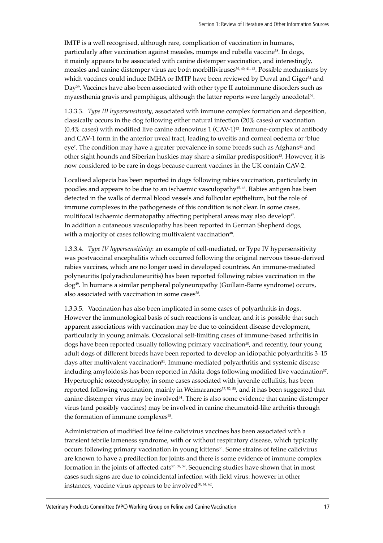IMTP is a well recognised, although rare, complication of vaccination in humans, particularly after vaccination against measles, mumps and rubella vaccine<sup>38</sup>. In dogs, it mainly appears to be associated with canine distemper vaccination, and interestingly, measles and canine distemper virus are both morbilliviruses<sup>39, 40, 41, 42</sup>. Possible mechanisms by which vaccines could induce IMHA or IMTP have been reviewed by Duval and Giger<sup>34</sup> and Day<sup>29</sup>. Vaccines have also been associated with other type II autoimmune disorders such as myaesthenia gravis and pemphigus, although the latter reports were largely anecdotal29.

1.3.3.3. *Type III hypersensitivity*, associated with immune complex formation and deposition, classically occurs in the dog following either natural infection (20% cases) or vaccination  $(0.4\%$  cases) with modified live canine adenovirus 1 (CAV-1)<sup>43</sup>. Immune-complex of antibody and CAV-1 form in the anterior uveal tract, leading to uveitis and corneal oedema or ëblue eye'. The condition may have a greater prevalence in some breeds such as Afghans<sup>44</sup> and other sight hounds and Siberian huskies may share a similar predisposition43. However, it is now considered to be rare in dogs because current vaccines in the UK contain CAV-2.

Localised alopecia has been reported in dogs following rabies vaccination, particularly in poodles and appears to be due to an ischaemic vasculopathy45, 46. Rabies antigen has been detected in the walls of dermal blood vessels and follicular epithelium, but the role of immune complexes in the pathogenesis of this condition is not clear. In some cases, multifocal ischaemic dermatopathy affecting peripheral areas may also develop<sup>47</sup>. In addition a cutaneous vasculopathy has been reported in German Shepherd dogs, with a majority of cases following multivalent vaccination<sup>48</sup>.

1.3.3.4. *Type IV hypersensitivity*: an example of cell-mediated, or Type IV hypersensitivity was postvaccinal encephalitis which occurred following the original nervous tissue-derived rabies vaccines, which are no longer used in developed countries. An immune-mediated polyneuritis (polyradiculoneuritis) has been reported following rabies vaccination in the dog49. In humans a similar peripheral polyneuropathy (Guillain-Barre syndrome) occurs, also associated with vaccination in some cases<sup>38</sup>.

1.3.3.5. Vaccination has also been implicated in some cases of polyarthritis in dogs. However the immunological basis of such reactions is unclear, and it is possible that such apparent associations with vaccination may be due to coincident disease development, particularly in young animals. Occasional self-limiting cases of immune-based arthritis in dogs have been reported usually following primary vaccination<sup>50</sup>, and recently, four young adult dogs of different breeds have been reported to develop an idiopathic polyarthritis 3-15 days after multivalent vaccination<sup>51</sup>. Immune-mediated polyarthritis and systemic disease including amyloidosis has been reported in Akita dogs following modified live vaccination<sup>37</sup>. Hypertrophic osteodystrophy, in some cases associated with juvenile cellulitis, has been reported following vaccination, mainly in Weimaraners<sup>37, 52, 53</sup>, and it has been suggested that canine distemper virus may be involved<sup>54</sup>. There is also some evidence that canine distemper virus (and possibly vaccines) may be involved in canine rheumatoid-like arthritis through the formation of immune complexes<sup>55</sup>.

Administration of modified live feline calicivirus vaccines has been associated with a transient febrile lameness syndrome, with or without respiratory disease, which typically occurs following primary vaccination in young kittens56. Some strains of feline calicivirus are known to have a predilection for joints and there is some evidence of immune complex formation in the joints of affected cats57, 58, 59. Sequencing studies have shown that in most cases such signs are due to coincidental infection with field virus: however in other instances, vaccine virus appears to be involved<sup>60, 61, 62</sup>.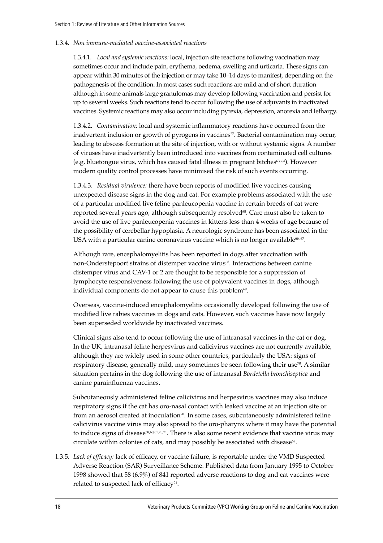#### 1.3.4. *Non immune-mediated vaccine-associated reactions*

1.3.4.1. *Local and systemic reactions:* local, injection site reactions following vaccination may sometimes occur and include pain, erythema, oedema, swelling and urticaria. These signs can appear within 30 minutes of the injection or may take 10–14 days to manifest, depending on the pathogenesis of the condition. In most cases such reactions are mild and of short duration although in some animals large granulomas may develop following vaccination and persist for up to several weeks. Such reactions tend to occur following the use of adjuvants in inactivated vaccines. Systemic reactions may also occur including pyrexia, depression, anorexia and lethargy.

1.3.4.2. *Contamination:* local and systemic inflammatory reactions have occurred from the inadvertent inclusion or growth of pyrogens in vaccines<sup>27</sup>. Bacterial contamination may occur, leading to abscess formation at the site of injection, with or without systemic signs. A number of viruses have inadvertently been introduced into vaccines from contaminated cell cultures (e.g. bluetongue virus, which has caused fatal illness in pregnant bitches $63, 64$ ). However modern quality control processes have minimised the risk of such events occurring.

1.3.4.3. *Residual virulence:* there have been reports of modified live vaccines causing unexpected disease signs in the dog and cat. For example problems associated with the use of a particular modified live feline panleucopenia vaccine in certain breeds of cat were reported several years ago, although subsequently resolved<sup>65</sup>. Care must also be taken to avoid the use of live panleucopenia vaccines in kittens less than 4 weeks of age because of the possibility of cerebellar hypoplasia. A neurologic syndrome has been associated in the USA with a particular canine coronavirus vaccine which is no longer available<sup>66, 67</sup>.

Although rare, encephalomyelitis has been reported in dogs after vaccination with non-Onderstepoort strains of distemper vaccine virus<sup>68</sup>. Interactions between canine distemper virus and CAV-1 or 2 are thought to be responsible for a suppression of lymphocyte responsiveness following the use of polyvalent vaccines in dogs, although individual components do not appear to cause this problem<sup>69</sup>.

Overseas, vaccine-induced encephalomyelitis occasionally developed following the use of modified live rabies vaccines in dogs and cats. However, such vaccines have now largely been superseded worldwide by inactivated vaccines.

Clinical signs also tend to occur following the use of intranasal vaccines in the cat or dog. In the UK, intranasal feline herpesvirus and calicivirus vaccines are not currently available, although they are widely used in some other countries, particularly the USA: signs of respiratory disease, generally mild, may sometimes be seen following their use $\mathfrak{N}$ . A similar situation pertains in the dog following the use of intranasal *Bordetella bronchiseptica* and canine parainfluenza vaccines.

Subcutaneously administered feline calicivirus and herpesvirus vaccines may also induce respiratory signs if the cat has oro-nasal contact with leaked vaccine at an injection site or from an aerosol created at inoculation $\sqrt[n]{a}$ . In some cases, subcutaneously administered feline calicivirus vaccine virus may also spread to the oro-pharynx where it may have the potential to induce signs of disease<sup>58,60,61,70,71</sup>. There is also some recent evidence that vaccine virus may circulate within colonies of cats, and may possibly be associated with disease<sup>62</sup>.

1.3.5. *Lack of efficacy:* lack of efficacy, or vaccine failure, is reportable under the VMD Suspected Adverse Reaction (SAR) Surveillance Scheme. Published data from January 1995 to October 1998 showed that 58 (6.9%) of 841 reported adverse reactions to dog and cat vaccines were related to suspected lack of efficacy<sup>21</sup>.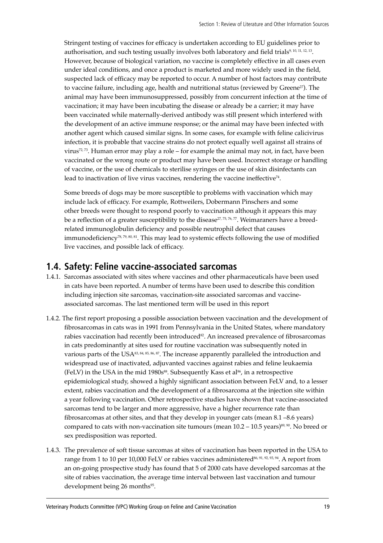Stringent testing of vaccines for efficacy is undertaken according to EU guidelines prior to authorisation, and such testing usually involves both laboratory and field trials9, 10, 11, 12, 13. However, because of biological variation, no vaccine is completely effective in all cases even under ideal conditions, and once a product is marketed and more widely used in the field, suspected lack of efficacy may be reported to occur. A number of host factors may contribute to vaccine failure, including age, health and nutritional status (reviewed by Greene<sup>27</sup>). The animal may have been immunosuppressed, possibly from concurrent infection at the time of vaccination; it may have been incubating the disease or already be a carrier; it may have been vaccinated while maternally-derived antibody was still present which interfered with the development of an active immune response; or the animal may have been infected with another agent which caused similar signs. In some cases, for example with feline calicivirus infection, it is probable that vaccine strains do not protect equally well against all strains of virus<sup>72, 73</sup>. Human error may play a role  $-$  for example the animal may not, in fact, have been vaccinated or the wrong route or product may have been used. Incorrect storage or handling of vaccine, or the use of chemicals to sterilise syringes or the use of skin disinfectants can lead to inactivation of live virus vaccines, rendering the vaccine ineffective<sup>74</sup>.

Some breeds of dogs may be more susceptible to problems with vaccination which may include lack of efficacy. For example, Rottweilers, Dobermann Pinschers and some other breeds were thought to respond poorly to vaccination although it appears this may be a reflection of a greater susceptibility to the disease<sup>27, 75, 76, 77</sup>. Weimaraners have a breedrelated immunoglobulin deficiency and possible neutrophil defect that causes immunodeficiency78, 79, 80, 81. This may lead to systemic effects following the use of modified live vaccines, and possible lack of efficacy.

### **1.4. Safety: Feline vaccine-associated sarcomas**

- 1.4.1. Sarcomas associated with sites where vaccines and other pharmaceuticals have been used in cats have been reported. A number of terms have been used to describe this condition including injection site sarcomas, vaccination-site associated sarcomas and vaccineassociated sarcomas. The last mentioned term will be used in this report
- 1.4.2. The first report proposing a possible association between vaccination and the development of fibrosarcomas in cats was in 1991 from Pennsylvania in the United States, where mandatory rabies vaccination had recently been introduced<sup>82</sup>. An increased prevalence of fibrosarcomas in cats predominantly at sites used for routine vaccination was subsequently noted in various parts of the USA<sup>83, 84, 85, 86, 87</sup>. The increase apparently paralleled the introduction and widespread use of inactivated, adjuvanted vaccines against rabies and feline leukaemia (FeLV) in the USA in the mid 1980s<sup>88</sup>. Subsequently Kass et al<sup>86</sup>, in a retrospective epidemiological study, showed a highly significant association between FeLV and, to a lesser extent, rabies vaccination and the development of a fibrosarcoma at the injection site within a year following vaccination. Other retrospective studies have shown that vaccine-associated sarcomas tend to be larger and more aggressive, have a higher recurrence rate than fibrosarcomas at other sites, and that they develop in younger cats (mean  $8.1 - 8.6$  years) compared to cats with non-vaccination site tumours (mean  $10.2 - 10.5$  years)<sup>89, 90</sup>. No breed or sex predisposition was reported.
- 1.4.3. The prevalence of soft tissue sarcomas at sites of vaccination has been reported in the USA to range from 1 to 10 per 10,000 FeLV or rabies vaccines administered<sup>86, 91, 92, 93, 94</sup>. A report from an on-going prospective study has found that 5 of 2000 cats have developed sarcomas at the site of rabies vaccination, the average time interval between last vaccination and tumour development being 26 months<sup>95</sup>.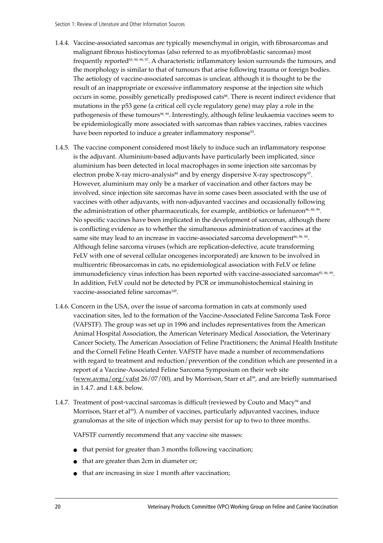- 1.4.4. Vaccine-associated sarcomas are typically mesenchymal in origin, with fibrosarcomas and malignant fibrous histiocytomas (also referred to as myofibroblastic sarcomas) most frequently reported<sup>83, 90, 96, 97</sup>. A characteristic inflammatory lesion surrounds the tumours, and the morphology is similar to that of tumours that arise following trauma or foreign bodies. The aetiology of vaccine-associated sarcomas is unclear, although it is thought to be the result of an inappropriate or excessive inflammatory response at the injection site which occurs in some, possibly genetically predisposed cats<sup>88</sup>. There is recent indirect evidence that mutations in the p53 gene (a critical cell cycle regulatory gene) may play a role in the pathogenesis of these tumours<sup>98, 99</sup>. Interestingly, although feline leukaemia vaccines seem to be epidemiologically more associated with sarcomas than rabies vaccines, rabies vaccines have been reported to induce a greater inflammatory response<sup>93</sup>.
- 1.4.5. The vaccine component considered most likely to induce such an inflammatory response is the adjuvant. Aluminium-based adjuvants have particularly been implicated, since aluminium has been detected in local macrophages in some injection site sarcomas by electron probe X-ray micro-analysis $84$  and by energy dispersive X-ray spectroscopy $97$ . However, aluminium may only be a marker of vaccination and other factors may be involved, since injection site sarcomas have in some cases been associated with the use of vaccines with other adjuvants, with non-adjuvanted vaccines and occasionally following the administration of other pharmaceuticals, for example, antibiotics or lufenuron<sup>86, 88, 99</sup>. No specific vaccines have been implicated in the development of sarcomas, although there is conflicting evidence as to whether the simultaneous administration of vaccines at the same site may lead to an increase in vaccine-associated sarcoma development<sup>86, 89, 95</sup>. Although feline sarcoma viruses (which are replication-defective, acute transforming FeLV with one of several cellular oncogenes incorporated) are known to be involved in multicentric fibrosarcomas in cats, no epidemiological association with FeLV or feline immunodeficiency virus infection has been reported with vaccine-associated sarcomas<sup>85, 86, 89</sup>. In addition, FeLV could not be detected by PCR or immunohistochemical staining in vaccine-associated feline sarcomas<sup>100</sup>.
- 1.4.6. Concern in the USA, over the issue of sarcoma formation in cats at commonly used vaccination sites, led to the formation of the Vaccine-Associated Feline Sarcoma Task Force (VAFSTF). The group was set up in 1996 and includes representatives from the American Animal Hospital Association, the American Veterinary Medical Association, the Veterinary Cancer Society, The American Association of Feline Practitioners; the Animal Health Institute and the Cornell Feline Heath Center. VAFSTF have made a number of recommendations with regard to treatment and reduction/prevention of the condition which are presented in a report of a Vaccine-Associated Feline Sarcoma Symposium on their web site (www.avma/org/vafst  $26/07/00$ ), and by Morrison, Starr et al<sup>99</sup>, and are briefly summarised in 1.4.7. and 1.4.8. below.
- 1.4.7. Treatment of post-vaccinal sarcomas is difficult (reviewed by Couto and Macy<sup>94</sup> and Morrison, Starr et al<sup>99</sup>). A number of vaccines, particularly adjuvanted vaccines, induce granulomas at the site of injection which may persist for up to two to three months.

VAFSTF currently recommend that any vaccine site masses:

- that persist for greater than 3 months following vaccination;
- that are greater than 2cm in diameter or;
- that are increasing in size 1 month after vaccination;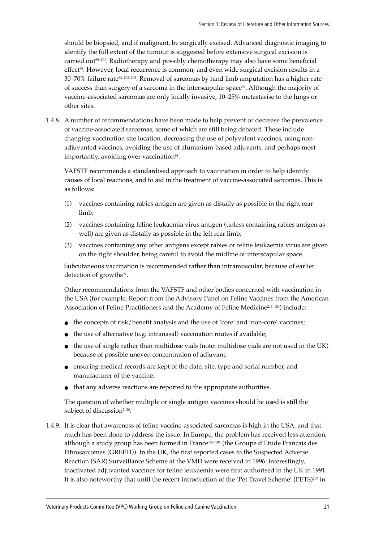should be biopsied, and if malignant, be surgically excised. Advanced diagnostic imaging to identify the full extent of the tumour is suggested before extensive surgical excision is carried out<sup>99, 101</sup>. Radiotherapy and possibly chemotherapy may also have some beneficial effect<sup>99</sup>. However, local recurrence is common, and even wide surgical excision results in a 30–70% failure rate $94$ , 102, 103. Removal of sarcomas by hind limb amputation has a higher rate of success than surgery of a sarcoma in the interscapular space<sup>94</sup>. Although the majority of vaccine-associated sarcomas are only locally invasive, 10-25% metastasise to the lungs or other sites.

1.4.8. A number of recommendations have been made to help prevent or decrease the prevalence of vaccine-associated sarcomas, some of which are still being debated. These include changing vaccination site location, decreasing the use of polyvalent vaccines, using nonadjuvanted vaccines, avoiding the use of aluminium-based adjuvants, and perhaps most importantly, avoiding over vaccination $94$ .

VAFSTF recommends a standardised approach to vaccination in order to help identify causes of local reactions, and to aid in the treatment of vaccine-associated sarcomas. This is as follows:

- (1) vaccines containing rabies antigen are given as distally as possible in the right rear limb;
- (2) vaccines containing feline leukaemia virus antigen (unless containing rabies antigen as well) are given as distally as possible in the left rear limb;
- (3) vaccines containing any other antigens except rabies or feline leukaemia virus are given on the right shoulder, being careful to avoid the midline or interscapular space.

Subcutaneous vaccination is recommended rather than intramuscular, because of earlier detection of growths<sup>94</sup>.

Other recommendations from the VAFSTF and other bodies concerned with vaccination in the USA (for example, Report from the Advisory Panel on Feline Vaccines from the American Association of Feline Practitioners and the Academy of Feline Medicine<sup>2, 3, 104</sup>) include:

- $\bullet$  the concepts of risk/benefit analysis and the use of 'core' and 'non-core' vaccines;
- the use of alternative (e.g. intranasal) vaccination routes if available;
- the use of single rather than multidose vials (note: multidose vials are not used in the UK) because of possible uneven concentration of adjuvant;
- ensuring medical records are kept of the date, site, type and serial number, and manufacturer of the vaccine;
- that any adverse reactions are reported to the appropriate authorities.

The question of whether multiple or single antigen vaccines should be used is still the subject of discussion<sup>2, 30</sup>.

1.4.9. It is clear that awareness of feline vaccine-associated sarcomas is high in the USA, and that much has been done to address the issue. In Europe, the problem has received less attention, although a study group has been formed in France<sup>105, 106</sup> (the Groupe d'Etude Francais des Fibrosarcomas (GREFFI)). In the UK, the first reported cases to the Suspected Adverse Reaction (SAR) Surveillance Scheme at the VMD were received in 1996: interestingly, inactivated adjuvanted vaccines for feline leukaemia were first authorised in the UK in 1991. It is also noteworthy that until the recent introduction of the 'Pet Travel Scheme' (PETS)<sup>107</sup> in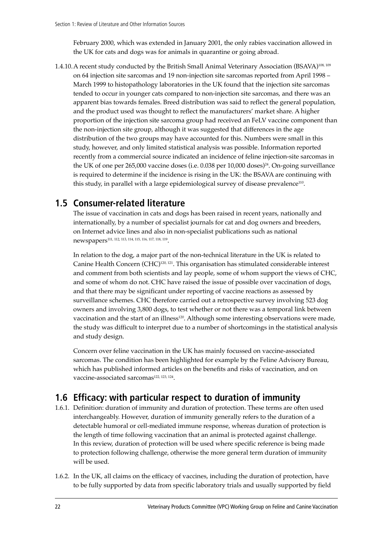February 2000, which was extended in January 2001, the only rabies vaccination allowed in the UK for cats and dogs was for animals in quarantine or going abroad.

1.4.10.A recent study conducted by the British Small Animal Veterinary Association (BSAVA)108, 109 on 64 injection site sarcomas and 19 non-injection site sarcomas reported from April 1998 – March 1999 to histopathology laboratories in the UK found that the injection site sarcomas tended to occur in younger cats compared to non-injection site sarcomas, and there was an apparent bias towards females. Breed distribution was said to reflect the general population, and the product used was thought to reflect the manufacturersí market share. A higher proportion of the injection site sarcoma group had received an FeLV vaccine component than the non-injection site group, although it was suggested that differences in the age distribution of the two groups may have accounted for this. Numbers were small in this study, however, and only limited statistical analysis was possible. Information reported recently from a commercial source indicated an incidence of feline injection-site sarcomas in the UK of one per 265,000 vaccine doses (i.e. 0.038 per 10,000 doses)<sup>24</sup>. On-going surveillance is required to determine if the incidence is rising in the UK: the BSAVA are continuing with this study, in parallel with a large epidemiological survey of disease prevalence<sup>110</sup>.

### **1.5 Consumer-related literature**

The issue of vaccination in cats and dogs has been raised in recent years, nationally and internationally, by a number of specialist journals for cat and dog owners and breeders, on Internet advice lines and also in non-specialist publications such as national newspapers111, 112, 113, 114, 115, 116, 117, 118, 119.

In relation to the dog, a major part of the non-technical literature in the UK is related to Canine Health Concern (CHC)120, 121. This organisation has stimulated considerable interest and comment from both scientists and lay people, some of whom support the views of CHC, and some of whom do not. CHC have raised the issue of possible over vaccination of dogs, and that there may be significant under reporting of vaccine reactions as assessed by surveillance schemes. CHC therefore carried out a retrospective survey involving 523 dog owners and involving 3,800 dogs, to test whether or not there was a temporal link between vaccination and the start of an illness<sup>120</sup>. Although some interesting observations were made, the study was difficult to interpret due to a number of shortcomings in the statistical analysis and study design.

Concern over feline vaccination in the UK has mainly focussed on vaccine-associated sarcomas. The condition has been highlighted for example by the Feline Advisory Bureau, which has published informed articles on the benefits and risks of vaccination, and on vaccine-associated sarcomas<sup>122, 123, 124</sup>.

## **1.6 Efficacy: with particular respect to duration of immunity**

- 1.6.1. Definition: duration of immunity and duration of protection. These terms are often used interchangeably. However, duration of immunity generally refers to the duration of a detectable humoral or cell-mediated immune response, whereas duration of protection is the length of time following vaccination that an animal is protected against challenge. In this review, duration of protection will be used where specific reference is being made to protection following challenge, otherwise the more general term duration of immunity will be used.
- 1.6.2. In the UK, all claims on the efficacy of vaccines, including the duration of protection, have to be fully supported by data from specific laboratory trials and usually supported by field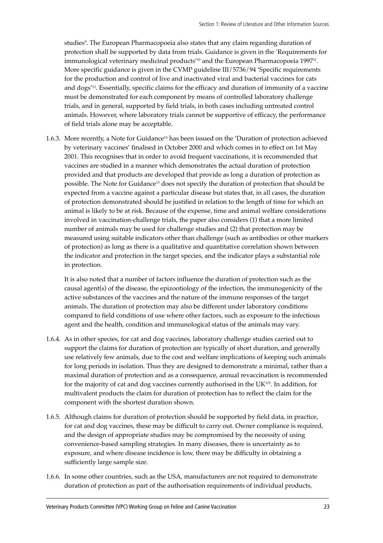studies<sup>9</sup>. The European Pharmacopoeia also states that any claim regarding duration of protection shall be supported by data from trials. Guidance is given in the 'Requirements for immunological veterinary medicinal products<sup>'10</sup> and the European Pharmacopoeia 1997<sup>11</sup>. More specific guidance is given in the CVMP guideline III/5736/94 'Specific requirements for the production and control of live and inactivated viral and bacterial vaccines for cats and dogs<sup>12</sup>. Essentially, specific claims for the efficacy and duration of immunity of a vaccine must be demonstrated for each component by means of controlled laboratory challenge trials, and in general, supported by field trials, in both cases including untreated control animals. However, where laboratory trials cannot be supportive of efficacy, the performance of field trials alone may be acceptable.

1.6.3. More recently, a Note for Guidance<sup>13</sup> has been issued on the 'Duration of protection achieved by veterinary vaccines' finalised in October 2000 and which comes in to effect on 1st May 2001. This recognises that in order to avoid frequent vaccinations, it is recommended that vaccines are studied in a manner which demonstrates the actual duration of protection provided and that products are developed that provide as long a duration of protection as possible. The Note for Guidance<sup>13</sup> does not specify the duration of protection that should be expected from a vaccine against a particular disease but states that, in all cases, the duration of protection demonstrated should be justified in relation to the length of time for which an animal is likely to be at risk. Because of the expense, time and animal welfare considerations involved in vaccination-challenge trials, the paper also considers (1) that a more limited number of animals may be used for challenge studies and (2) that protection may be measured using suitable indicators other than challenge (such as antibodies or other markers of protection) as long as there is a qualitative and quantitative correlation shown between the indicator and protection in the target species, and the indicator plays a substantial role in protection.

It is also noted that a number of factors influence the duration of protection such as the causal agent(s) of the disease, the epizootiology of the infection, the immunogenicity of the active substances of the vaccines and the nature of the immune responses of the target animals. The duration of protection may also be different under laboratory conditions compared to field conditions of use where other factors, such as exposure to the infectious agent and the health, condition and immunological status of the animals may vary.

- 1.6.4. As in other species, for cat and dog vaccines, laboratory challenge studies carried out to support the claims for duration of protection are typically of short duration, and generally use relatively few animals, due to the cost and welfare implications of keeping such animals for long periods in isolation. Thus they are designed to demonstrate a minimal, rather than a maximal duration of protection and as a consequence, annual revaccination is recommended for the majority of cat and dog vaccines currently authorised in the UK125. In addition, for multivalent products the claim for duration of protection has to reflect the claim for the component with the shortest duration shown.
- 1.6.5. Although claims for duration of protection should be supported by field data, in practice, for cat and dog vaccines, these may be difficult to carry out. Owner compliance is required, and the design of appropriate studies may be compromised by the necessity of using convenience-based sampling strategies. In many diseases, there is uncertainty as to exposure, and where disease incidence is low, there may be difficulty in obtaining a sufficiently large sample size.
- 1.6.6. In some other countries, such as the USA, manufacturers are not required to demonstrate duration of protection as part of the authorisation requirements of individual products,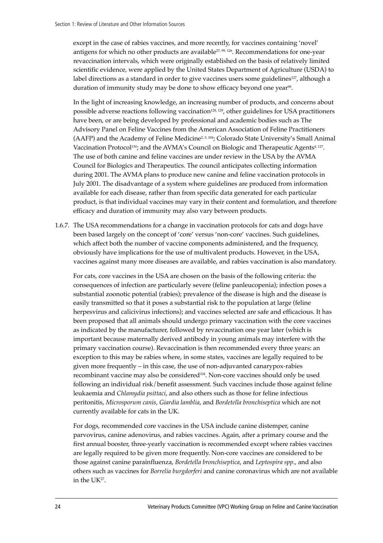except in the case of rabies vaccines, and more recently, for vaccines containing 'novel' antigens for which no other products are available<sup>27, 99, 126</sup>. Recommendations for one-year revaccination intervals, which were originally established on the basis of relatively limited scientific evidence, were applied by the United States Department of Agriculture (USDA) to label directions as a standard in order to give vaccines users some guidelines<sup>127</sup>, although a duration of immunity study may be done to show efficacy beyond one vear<sup>99</sup>.

In the light of increasing knowledge, an increasing number of products, and concerns about possible adverse reactions following vaccination<sup>128, 129</sup>, other guidelines for USA practitioners have been, or are being developed by professional and academic bodies such as The Advisory Panel on Feline Vaccines from the American Association of Feline Practitioners (AAFP) and the Academy of Feline Medicine<sup>2, 3, 104</sup>; Colorado State University's Small Animal Vaccination Protocol<sup>130</sup>; and the AVMA's Council on Biologic and Therapeutic Agents<sup>4, 127</sup>. The use of both canine and feline vaccines are under review in the USA by the AVMA Council for Biologics and Therapeutics. The council anticipates collecting information during 2001. The AVMA plans to produce new canine and feline vaccination protocols in July 2001. The disadvantage of a system where guidelines are produced from information available for each disease, rather than from specific data generated for each particular product, is that individual vaccines may vary in their content and formulation, and therefore efficacy and duration of immunity may also vary between products.

1.6.7. The USA recommendations for a change in vaccination protocols for cats and dogs have been based largely on the concept of 'core' versus 'non-core' vaccines. Such guidelines, which affect both the number of vaccine components administered, and the frequency, obviously have implications for the use of multivalent products. However, in the USA, vaccines against many more diseases are available, and rabies vaccination is also mandatory.

For cats, core vaccines in the USA are chosen on the basis of the following criteria: the consequences of infection are particularly severe (feline panleucopenia); infection poses a substantial zoonotic potential (rabies); prevalence of the disease is high and the disease is easily transmitted so that it poses a substantial risk to the population at large (feline herpesvirus and calicivirus infections); and vaccines selected are safe and efficacious. It has been proposed that all animals should undergo primary vaccination with the core vaccines as indicated by the manufacturer, followed by revaccination one year later (which is important because maternally derived antibody in young animals may interfere with the primary vaccination course). Revaccination is then recommended every three years: an exception to this may be rabies where, in some states, vaccines are legally required to be given more frequently – in this case, the use of non-adjuvanted canarypox-rabies recombinant vaccine may also be considered104. Non-core vaccines should only be used following an individual risk/benefit assessment. Such vaccines include those against feline leukaemia and *Chlamydia psittaci*, and also others such as those for feline infectious peritonitis, *Microsporum canis*, *Giardia lamblia*, and *Bordetella bronchiseptica* which are not currently available for cats in the UK.

For dogs, recommended core vaccines in the USA include canine distemper, canine parvovirus, canine adenovirus, and rabies vaccines. Again, after a primary course and the first annual booster, three-yearly vaccination is recommended except where rabies vaccines are legally required to be given more frequently. Non-core vaccines are considered to be those against canine parainfluenza, *Bordetella bronchiseptica*, and *Leptospira spp*., and also others such as vaccines for *Borrelia burgdorferi* and canine coronavirus which are not available in the UK27.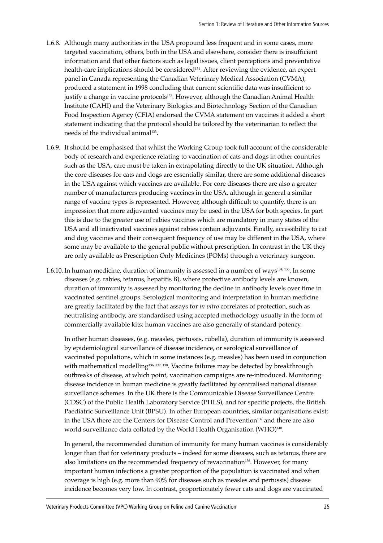- 1.6.8. Although many authorities in the USA propound less frequent and in some cases, more targeted vaccination, others, both in the USA and elsewhere, consider there is insufficient information and that other factors such as legal issues, client perceptions and preventative health-care implications should be considered<sup>131</sup>. After reviewing the evidence, an expert panel in Canada representing the Canadian Veterinary Medical Association (CVMA), produced a statement in 1998 concluding that current scientific data was insufficient to justify a change in vaccine protocols<sup>132</sup>. However, although the Canadian Animal Health Institute (CAHI) and the Veterinary Biologics and Biotechnology Section of the Canadian Food Inspection Agency (CFIA) endorsed the CVMA statement on vaccines it added a short statement indicating that the protocol should be tailored by the veterinarian to reflect the needs of the individual animal<sup>133</sup>.
- 1.6.9. It should be emphasised that whilst the Working Group took full account of the considerable body of research and experience relating to vaccination of cats and dogs in other countries such as the USA, care must be taken in extrapolating directly to the UK situation. Although the core diseases for cats and dogs are essentially similar, there are some additional diseases in the USA against which vaccines are available. For core diseases there are also a greater number of manufacturers producing vaccines in the USA, although in general a similar range of vaccine types is represented. However, although difficult to quantify, there is an impression that more adjuvanted vaccines may be used in the USA for both species. In part this is due to the greater use of rabies vaccines which are mandatory in many states of the USA and all inactivated vaccines against rabies contain adjuvants. Finally, accessibility to cat and dog vaccines and their consequent frequency of use may be different in the USA, where some may be available to the general public without prescription. In contrast in the UK they are only available as Prescription Only Medicines (POMs) through a veterinary surgeon.
- 1.6.10. In human medicine, duration of immunity is assessed in a number of ways<sup>134, 135</sup>. In some diseases (e.g. rabies, tetanus, hepatitis B), where protective antibody levels are known, duration of immunity is assessed by monitoring the decline in antibody levels over time in vaccinated sentinel groups. Serological monitoring and interpretation in human medicine are greatly facilitated by the fact that assays for *in vitro* correlates of protection, such as neutralising antibody, are standardised using accepted methodology usually in the form of commercially available kits: human vaccines are also generally of standard potency.

In other human diseases, (e.g. measles, pertussis, rubella), duration of immunity is assessed by epidemiological surveillance of disease incidence, or serological surveillance of vaccinated populations, which in some instances (e.g. measles) has been used in conjunction with mathematical modelling<sup>136, 137, 138</sup>. Vaccine failures may be detected by breakthrough outbreaks of disease, at which point, vaccination campaigns are re-introduced. Monitoring disease incidence in human medicine is greatly facilitated by centralised national disease surveillance schemes. In the UK there is the Communicable Disease Surveillance Centre (CDSC) of the Public Health Laboratory Service (PHLS), and for specific projects, the British Paediatric Surveillance Unit (BPSU). In other European countries, similar organisations exist; in the USA there are the Centers for Disease Control and Prevention139 and there are also world surveillance data collated by the World Health Organisation (WHO)<sup>140</sup>.

In general, the recommended duration of immunity for many human vaccines is considerably longer than that for veterinary products – indeed for some diseases, such as tetanus, there are also limitations on the recommended frequency of revaccination<sup>136</sup>. However, for many important human infections a greater proportion of the population is vaccinated and when coverage is high (e.g. more than 90% for diseases such as measles and pertussis) disease incidence becomes very low. In contrast, proportionately fewer cats and dogs are vaccinated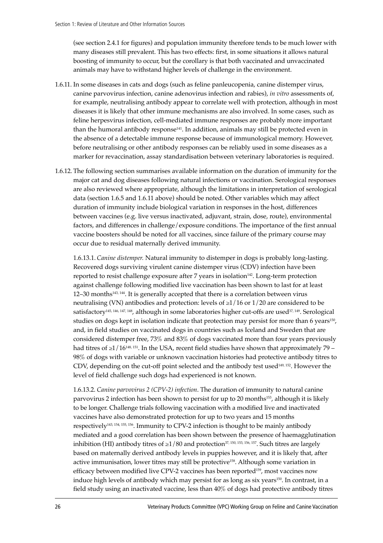(see section 2.4.1 for figures) and population immunity therefore tends to be much lower with many diseases still prevalent. This has two effects: first, in some situations it allows natural boosting of immunity to occur, but the corollary is that both vaccinated and unvaccinated animals may have to withstand higher levels of challenge in the environment.

- 1.6.11. In some diseases in cats and dogs (such as feline panleucopenia, canine distemper virus, canine parvovirus infection, canine adenovirus infection and rabies), *in vitro* assessments of, for example, neutralising antibody appear to correlate well with protection, although in most diseases it is likely that other immune mechanisms are also involved. In some cases, such as feline herpesvirus infection, cell-mediated immune responses are probably more important than the humoral antibody response<sup>141</sup>. In addition, animals may still be protected even in the absence of a detectable immune response because of immunological memory. However, before neutralising or other antibody responses can be reliably used in some diseases as a marker for revaccination, assay standardisation between veterinary laboratories is required.
- 1.6.12. The following section summarises available information on the duration of immunity for the major cat and dog diseases following natural infections or vaccination. Serological responses are also reviewed where appropriate, although the limitations in interpretation of serological data (section 1.6.5 and 1.6.11 above) should be noted. Other variables which may affect duration of immunity include biological variation in responses in the host, differences between vaccines (e.g. live versus inactivated, adjuvant, strain, dose, route), environmental factors, and differences in challenge/exposure conditions. The importance of the first annual vaccine boosters should be noted for all vaccines, since failure of the primary course may occur due to residual maternally derived immunity.

1.6.13.1. *Canine distemper.* Natural immunity to distemper in dogs is probably long-lasting. Recovered dogs surviving virulent canine distemper virus (CDV) infection have been reported to resist challenge exposure after 7 years in isolation142. Long-term protection against challenge following modified live vaccination has been shown to last for at least 12–30 months<sup>143, 144</sup>. It is generally accepted that there is a correlation between virus neutralising (VN) antibodies and protection: levels of  $\geq$ 1/16 or 1/20 are considered to be satisfactory<sup>145, 146, 147, 148</sup>, although in some laboratories higher cut-offs are used<sup>37, 149</sup>. Serological studies on dogs kept in isolation indicate that protection may persist for more than 6 years<sup>150</sup>, and, in field studies on vaccinated dogs in countries such as Iceland and Sweden that are considered distemper free, 73% and 83% of dogs vaccinated more than four years previously had titres of  $\geq 1/16^{148,151}$ . In the USA, recent field studies have shown that approximately 79 – 98% of dogs with variable or unknown vaccination histories had protective antibody titres to CDV, depending on the cut-off point selected and the antibody test used149, 152. However the level of field challenge such dogs had experienced is not known.

1.6.13.2. *Canine parvovirus 2 (CPV-2) infection*. The duration of immunity to natural canine parvovirus 2 infection has been shown to persist for up to 20 months153, although it is likely to be longer. Challenge trials following vaccination with a modified live and inactivated vaccines have also demonstrated protection for up to two years and 15 months respectively143, 154, 155, 156. Immunity to CPV-2 infection is thought to be mainly antibody mediated and a good correlation has been shown between the presence of haemagglutination inhibition (HI) antibody titres of  $\geq$ 1/80 and protection<sup>37, 150, 153, 156, 157</sup>. Such titres are largely based on maternally derived antibody levels in puppies however, and it is likely that, after active immunisation, lower titres may still be protective<sup>158</sup>. Although some variation in efficacy between modified live CPV-2 vaccines has been reported<sup>159</sup>, most vaccines now induce high levels of antibody which may persist for as long as six years<sup>150</sup>. In contrast, in a field study using an inactivated vaccine, less than 40% of dogs had protective antibody titres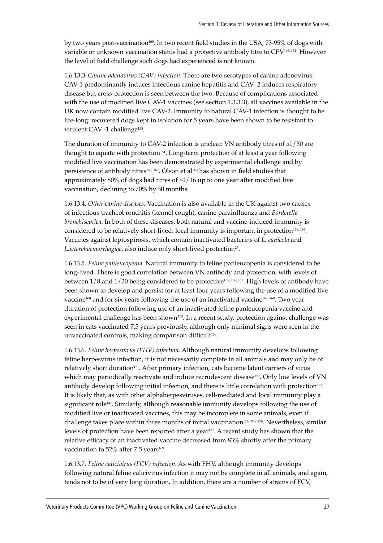by two years post-vaccination<sup>160</sup>. In two recent field studies in the USA, 73-95% of dogs with variable or unknown vaccination status had a protective antibody titre to CPV149, 152. However the level of field challenge such dogs had experienced is not known.

1.6.13.3. *Canine adenovirus (CAV) infection*. There are two serotypes of canine adenovirus: CAV-1 predominantly induces infectious canine hepatitis and CAV- 2 induces respiratory disease but cross-protection is seen between the two. Because of complications associated with the use of modified live CAV-1 vaccines (see section 1.3.3.3), all vaccines available in the UK now contain modified live CAV-2. Immunity to natural CAV-1 infection is thought to be life-long: recovered dogs kept in isolation for 5 years have been shown to be resistant to virulent CAV -1 challenge<sup>158</sup>.

The duration of immunity to CAV-2 infection is unclear. VN antibody titres of  $\geq$ 1/30 are thought to equate with protection<sup>161</sup>. Long-term protection of at least a year following modified live vaccination has been demonstrated by experimental challenge and by persistence of antibody titres<sup>143, 162</sup>. Olson et al<sup>160</sup> has shown in field studies that approximately 80% of dogs had titres of  $\geq$ 1/16 up to one year after modified live vaccination, declining to 70% by 30 months.

1.6.13.4. *Other canine diseases.* Vaccination is also available in the UK against two causes of infectious tracheobronchitis (kennel cough), canine parainfluenza and *Bordetella bronchiseptica*. In both of these diseases, both natural and vaccine-induced immunity is considered to be relatively short-lived: local immunity is important in protection163, 164. Vaccines against leptospirosis, which contain inactivated bacterins of *L. canicola* and *L.icterohaemorrhagiae*, also induce only short-lived protection<sup>27</sup>.

1.6.13.5. *Feline panleucopenia.* Natural immunity to feline panleucopenia is considered to be long-lived. There is good correlation between VN antibody and protection, with levels of between 1/8 and 1/30 being considered to be protective165, 166, 167. High levels of antibody have been shown to develop and persist for at least four years following the use of a modified live vaccine<sup>168</sup> and for six years following the use of an inactivated vaccine<sup>167, 169</sup>. Two year duration of protection following use of an inactivated feline panleucopenia vaccine and experimental challenge has been shown $170$ . In a recent study, protection against challenge was seen in cats vaccinated 7.5 years previously, although only minimal signs were seen in the unvaccinated controls, making comparison difficult<sup>169</sup>.

1.6.13.6. *Feline herpesvirus (FHV) infection*. Although natural immunity develops following feline herpesvirus infection, it is not necessarily complete in all animals and may only be of relatively short duration<sup>171</sup>. After primary infection, cats become latent carriers of virus which may periodically reactivate and induce recrudescent disease<sup>172</sup>. Only low levels of VN antibody develop following initial infection, and there is little correlation with protection<sup>173</sup>. It is likely that, as with other alphaherpesviruses, cell-mediated and local immunity play a significant role<sup>141</sup>. Similarly, although reasonable immunity develops following the use of modified live or inactivated vaccines, this may be incomplete in some animals, even if challenge takes place within three months of initial vaccination<sup>174, 175, 176</sup>. Nevertheless, similar levels of protection have been reported after a year177. A recent study has shown that the relative efficacy of an inactivated vaccine decreased from 83% shortly after the primary vaccination to 52% after 7.5 years<sup>169</sup>.

1.6.13.7. *Feline calicivirus (FCV) infection*. As with FHV, although immunity develops following natural feline calicivirus infection it may not be complete in all animals, and again, tends not to be of very long duration. In addition, there are a number of strains of FCV,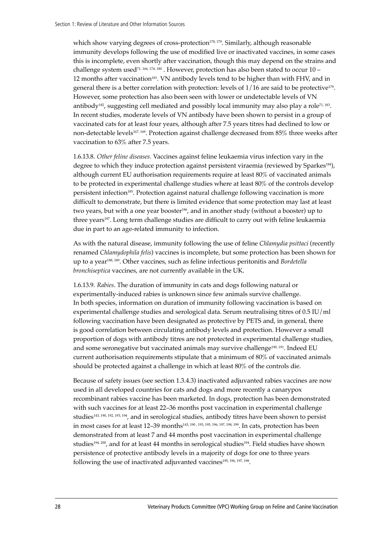which show varying degrees of cross-protection<sup>178, 179</sup>. Similarly, although reasonable immunity develops following the use of modified live or inactivated vaccines, in some cases this is incomplete, even shortly after vaccination, though this may depend on the strains and challenge system used<sup>71, 166, 174, 180</sup>. However, protection has also been stated to occur  $10$  – 12 months after vaccination181. VN antibody levels tend to be higher than with FHV, and in general there is a better correlation with protection: levels of  $1/16$  are said to be protective<sup>179</sup>. However, some protection has also been seen with lower or undetectable levels of VN antibody<sup>182</sup>, suggesting cell mediated and possibly local immunity may also play a role<sup>71, 183</sup>. In recent studies, moderate levels of VN antibody have been shown to persist in a group of vaccinated cats for at least four years, although after 7.5 years titres had declined to low or non-detectable levels<sup>167, 169</sup>. Protection against challenge decreased from 85% three weeks after vaccination to 63% after 7.5 years.

1.6.13.8. *Other feline diseases.* Vaccines against feline leukaemia virus infection vary in the degree to which they induce protection against persistent viraemia (reviewed by Sparkes<sup>184</sup>), although current EU authorisation requirements require at least 80% of vaccinated animals to be protected in experimental challenge studies where at least 80% of the controls develop persistent infection185. Protection against natural challenge following vaccination is more difficult to demonstrate, but there is limited evidence that some protection may last at least two years, but with a one year booster<sup>186</sup>, and in another study (without a booster) up to three years<sup>187</sup>. Long term challenge studies are difficult to carry out with feline leukaemia due in part to an age-related immunity to infection.

As with the natural disease, immunity following the use of feline *Chlamydia psittaci* (recently renamed *Chlamydophila felis*) vaccines is incomplete, but some protection has been shown for up to a year188, 189. Other vaccines, such as feline infectious peritonitis and *Bordetella bronchiseptica* vaccines, are not currently available in the UK.

1.6.13.9. *Rabies*. The duration of immunity in cats and dogs following natural or experimentally-induced rabies is unknown since few animals survive challenge. In both species, information on duration of immunity following vaccination is based on experimental challenge studies and serological data. Serum neutralising titres of 0.5 IU/ml following vaccination have been designated as protective by PETS and, in general, there is good correlation between circulating antibody levels and protection. However a small proportion of dogs with antibody titres are not protected in experimental challenge studies, and some seronegative but vaccinated animals may survive challenge190, 191. Indeed EU current authorisation requirements stipulate that a minimum of 80% of vaccinated animals should be protected against a challenge in which at least 80% of the controls die.

Because of safety issues (see section 1.3.4.3) inactivated adjuvanted rabies vaccines are now used in all developed countries for cats and dogs and more recently a canarypox recombinant rabies vaccine has been marketed. In dogs, protection has been demonstrated with such vaccines for at least 22-36 months post vaccination in experimental challenge studies143, 190, 192, 193, 194, and in serological studies, antibody titres have been shown to persist in most cases for at least 12–39 months<sup>143, 190, 193, 195, 196, 197, 198, 199</sup>. In cats, protection has been demonstrated from at least 7 and 44 months post vaccination in experimental challenge studies<sup>194</sup>, 200, and for at least 44 months in serological studies<sup>194</sup>. Field studies have shown persistence of protective antibody levels in a majority of dogs for one to three years following the use of inactivated adjuvanted vaccines<sup>195, 196, 197, 198</sup>.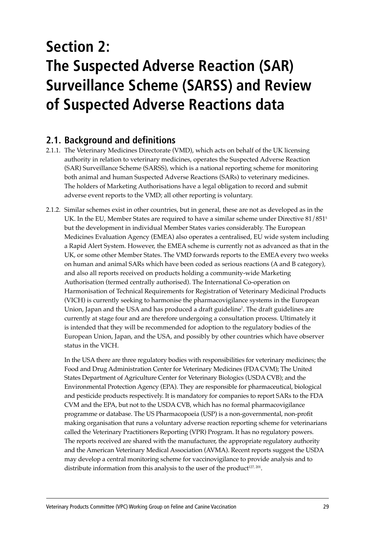# **Section 2: The Suspected Adverse Reaction (SAR) Surveillance Scheme (SARSS) and Review of Suspected Adverse Reactions data**

# **2.1. Background and definitions**

- 2.1.1. The Veterinary Medicines Directorate (VMD), which acts on behalf of the UK licensing authority in relation to veterinary medicines, operates the Suspected Adverse Reaction (SAR) Surveillance Scheme (SARSS), which is a national reporting scheme for monitoring both animal and human Suspected Adverse Reactions (SARs) to veterinary medicines. The holders of Marketing Authorisations have a legal obligation to record and submit adverse event reports to the VMD; all other reporting is voluntary.
- 2.1.2. Similar schemes exist in other countries, but in general, these are not as developed as in the UK. In the EU, Member States are required to have a similar scheme under Directive 81/851<sup>5</sup> but the development in individual Member States varies considerably. The European Medicines Evaluation Agency (EMEA) also operates a centralised, EU wide system including a Rapid Alert System. However, the EMEA scheme is currently not as advanced as that in the UK, or some other Member States. The VMD forwards reports to the EMEA every two weeks on human and animal SARs which have been coded as serious reactions (A and B category), and also all reports received on products holding a community-wide Marketing Authorisation (termed centrally authorised). The International Co-operation on Harmonisation of Technical Requirements for Registration of Veterinary Medicinal Products (VICH) is currently seeking to harmonise the pharmacovigilance systems in the European Union, Japan and the USA and has produced a draft guideline7 . The draft guidelines are currently at stage four and are therefore undergoing a consultation process. Ultimately it is intended that they will be recommended for adoption to the regulatory bodies of the European Union, Japan, and the USA, and possibly by other countries which have observer status in the VICH.

In the USA there are three regulatory bodies with responsibilities for veterinary medicines; the Food and Drug Administration Center for Veterinary Medicines (FDA CVM); The United States Department of Agriculture Center for Veterinary Biologics (USDA CVB); and the Environmental Protection Agency (EPA). They are responsible for pharmaceutical, biological and pesticide products respectively. It is mandatory for companies to report SARs to the FDA CVM and the EPA, but not to the USDA CVB, which has no formal pharmacovigilance programme or database. The US Pharmacopoeia (USP) is a non-governmental, non-profit making organisation that runs a voluntary adverse reaction reporting scheme for veterinarians called the Veterinary Practitioners Reporting (VPR) Program. It has no regulatory powers. The reports received are shared with the manufacturer, the appropriate regulatory authority and the American Veterinary Medical Association (AVMA). Recent reports suggest the USDA may develop a central monitoring scheme for vaccinovigilance to provide analysis and to distribute information from this analysis to the user of the product<sup>127, 201</sup>.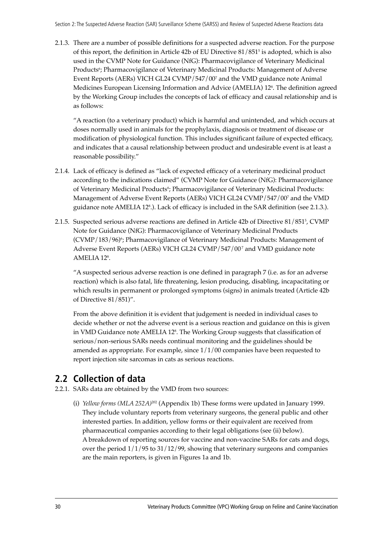2.1.3. There are a number of possible definitions for a suspected adverse reaction. For the purpose of this report, the definition in Article 42b of EU Directive 81/8515 is adopted, which is also used in the CVMP Note for Guidance (NfG): Pharmacovigilance of Veterinary Medicinal Products'; Pharmacovigilance of Veterinary Medicinal Products: Management of Adverse Event Reports (AERs) VICH GL24 CVMP/547/007 and the VMD guidance note Animal Medicines European Licensing Information and Advice (AMELIA) 128 . The definition agreed by the Working Group includes the concepts of lack of efficacy and causal relationship and is as follows:

ìA reaction (to a veterinary product) which is harmful and unintended, and which occurs at doses normally used in animals for the prophylaxis, diagnosis or treatment of disease or modification of physiological function. This includes significant failure of expected efficacy, and indicates that a causal relationship between product and undesirable event is at least a reasonable possibility."

- 2.1.4. Lack of efficacy is defined as "lack of expected efficacy of a veterinary medicinal product according to the indications claimed" (CVMP Note for Guidance (NfG): Pharmacovigilance of Veterinary Medicinal Products'; Pharmacovigilance of Veterinary Medicinal Products: Management of Adverse Event Reports (AERs) VICH GL24 CVMP/547/007 and the VMD guidance note AMELIA 128 .). Lack of efficacy is included in the SAR definition (see 2.1.3.).
- 2.1.5. Suspected serious adverse reactions are defined in Article 42b of Directive 81/8515 , CVMP Note for Guidance (NfG): Pharmacovigilance of Veterinary Medicinal Products (CVMP/183/96)<sup>6</sup>; Pharmacovigilance of Veterinary Medicinal Products: Management of Adverse Event Reports (AERs) VICH GL24 CVMP/547/007 and VMD guidance note AMELIA 128 .

ìA suspected serious adverse reaction is one defined in paragraph 7 (i.e. as for an adverse reaction) which is also fatal, life threatening, lesion producing, disabling, incapacitating or which results in permanent or prolonged symptoms (signs) in animals treated (Article 42b of Directive  $81/851$ )".

From the above definition it is evident that judgement is needed in individual cases to decide whether or not the adverse event is a serious reaction and guidance on this is given in VMD Guidance note AMELIA 128 . The Working Group suggests that classification of serious/non-serious SARs needs continual monitoring and the guidelines should be amended as appropriate. For example, since 1/1/00 companies have been requested to report injection site sarcomas in cats as serious reactions.

# **2.2 Collection of data**

- 2.2.1. SARs data are obtained by the VMD from two sources:
	- (i) *Yellow forms (MLA 252A)*<sup>202</sup> (Appendix 1b) These forms were updated in January 1999. They include voluntary reports from veterinary surgeons, the general public and other interested parties. In addition, yellow forms or their equivalent are received from pharmaceutical companies according to their legal obligations (see (ii) below). A breakdown of reporting sources for vaccine and non-vaccine SARs for cats and dogs, over the period 1/1/95 to 31/12/99, showing that veterinary surgeons and companies are the main reporters, is given in Figures 1a and 1b.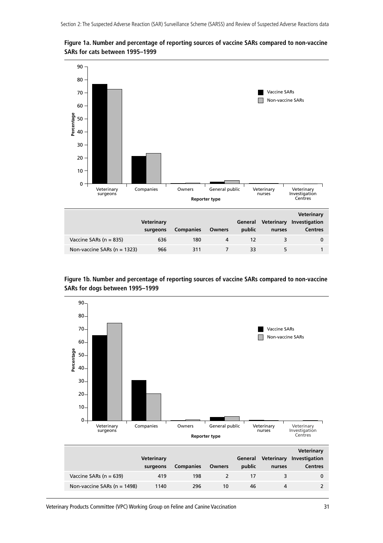

**Figure 1a. Number and percentage of reporting sources of vaccine SARs compared to non-vaccine SARs for cats between 1995–1999**

**Figure 1b. Number and percentage of reporting sources of vaccine SARs compared to non-vaccine SARs for dogs between 1995–1999**

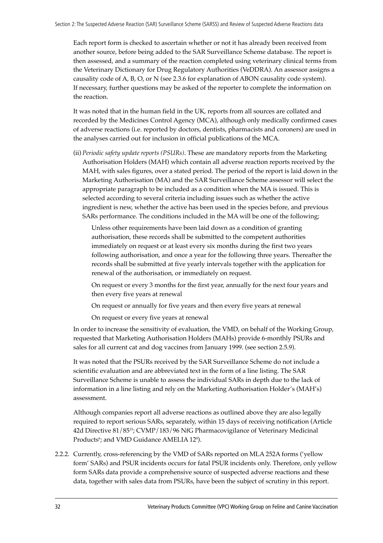Each report form is checked to ascertain whether or not it has already been received from another source, before being added to the SAR Surveillance Scheme database. The report is then assessed, and a summary of the reaction completed using veterinary clinical terms from the Veterinary Dictionary for Drug Regulatory Authorities (VeDDRA). An assessor assigns a causality code of A, B, O, or N (see 2.3.6 for explanation of ABON causality code system). If necessary, further questions may be asked of the reporter to complete the information on the reaction.

It was noted that in the human field in the UK, reports from all sources are collated and recorded by the Medicines Control Agency (MCA), although only medically confirmed cases of adverse reactions (i.e. reported by doctors, dentists, pharmacists and coroners) are used in the analyses carried out for inclusion in official publications of the MCA.

(ii) *Periodic safety update reports (PSURs)*. These are mandatory reports from the Marketing Authorisation Holders (MAH) which contain all adverse reaction reports received by the MAH, with sales figures, over a stated period. The period of the report is laid down in the Marketing Authorisation (MA) and the SAR Surveillance Scheme assessor will select the appropriate paragraph to be included as a condition when the MA is issued. This is selected according to several criteria including issues such as whether the active ingredient is new, whether the active has been used in the species before, and previous SARs performance. The conditions included in the MA will be one of the following;

Unless other requirements have been laid down as a condition of granting authorisation, these records shall be submitted to the competent authorities immediately on request or at least every six months during the first two years following authorisation, and once a year for the following three years. Thereafter the records shall be submitted at five yearly intervals together with the application for renewal of the authorisation, or immediately on request.

On request or every 3 months for the first year, annually for the next four years and then every five years at renewal

On request or annually for five years and then every five years at renewal

On request or every five years at renewal

In order to increase the sensitivity of evaluation, the VMD, on behalf of the Working Group, requested that Marketing Authorisation Holders (MAHs) provide 6-monthly PSURs and sales for all current cat and dog vaccines from January 1999. (see section 2.5.9).

It was noted that the PSURs received by the SAR Surveillance Scheme do not include a scientific evaluation and are abbreviated text in the form of a line listing. The SAR Surveillance Scheme is unable to assess the individual SARs in depth due to the lack of information in a line listing and rely on the Marketing Authorisation Holder's (MAH's) assessment.

Although companies report all adverse reactions as outlined above they are also legally required to report serious SARs, separately, within 15 days of receiving notification (Article 42d Directive 81/8515; CVMP/183/96 NfG Pharmacovigilance of Veterinary Medicinal Products<sup>6</sup>; and VMD Guidance AMELIA 128).

2.2.2. Currently, cross-referencing by the VMD of SARs reported on MLA 252A forms (ëyellow formí SARs) and PSUR incidents occurs for fatal PSUR incidents only. Therefore, only yellow form SARs data provide a comprehensive source of suspected adverse reactions and these data, together with sales data from PSURs, have been the subject of scrutiny in this report.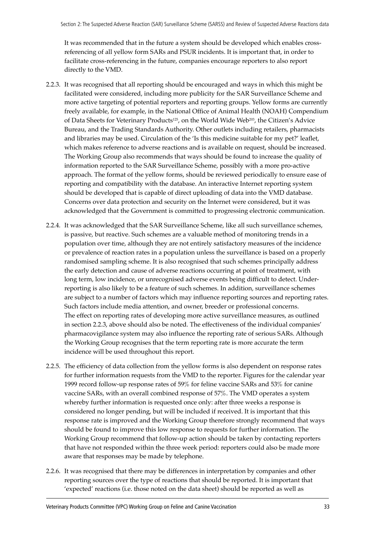It was recommended that in the future a system should be developed which enables crossreferencing of all yellow form SARs and PSUR incidents. It is important that, in order to facilitate cross-referencing in the future, companies encourage reporters to also report directly to the VMD.

- 2.2.3. It was recognised that all reporting should be encouraged and ways in which this might be facilitated were considered, including more publicity for the SAR Surveillance Scheme and more active targeting of potential reporters and reporting groups. Yellow forms are currently freely available, for example, in the National Office of Animal Health (NOAH) Compendium of Data Sheets for Veterinary Products<sup>125</sup>, on the World Wide Web<sup>203</sup>, the Citizen's Advice Bureau, and the Trading Standards Authority. Other outlets including retailers, pharmacists and libraries may be used. Circulation of the 'Is this medicine suitable for my pet?' leaflet, which makes reference to adverse reactions and is available on request, should be increased. The Working Group also recommends that ways should be found to increase the quality of information reported to the SAR Surveillance Scheme, possibly with a more pro-active approach. The format of the yellow forms, should be reviewed periodically to ensure ease of reporting and compatibility with the database. An interactive Internet reporting system should be developed that is capable of direct uploading of data into the VMD database. Concerns over data protection and security on the Internet were considered, but it was acknowledged that the Government is committed to progressing electronic communication.
- 2.2.4. It was acknowledged that the SAR Surveillance Scheme, like all such surveillance schemes, is passive, but reactive. Such schemes are a valuable method of monitoring trends in a population over time, although they are not entirely satisfactory measures of the incidence or prevalence of reaction rates in a population unless the surveillance is based on a properly randomised sampling scheme. It is also recognised that such schemes principally address the early detection and cause of adverse reactions occurring at point of treatment, with long term, low incidence, or unrecognised adverse events being difficult to detect. Underreporting is also likely to be a feature of such schemes. In addition, surveillance schemes are subject to a number of factors which may influence reporting sources and reporting rates. Such factors include media attention, and owner, breeder or professional concerns. The effect on reporting rates of developing more active surveillance measures, as outlined in section 2.2.3, above should also be noted. The effectiveness of the individual companies' pharmacovigilance system may also influence the reporting rate of serious SARs. Although the Working Group recognises that the term reporting rate is more accurate the term incidence will be used throughout this report.
- 2.2.5. The efficiency of data collection from the yellow forms is also dependent on response rates for further information requests from the VMD to the reporter. Figures for the calendar year 1999 record follow-up response rates of 59% for feline vaccine SARs and 53% for canine vaccine SARs, with an overall combined response of 57%. The VMD operates a system whereby further information is requested once only: after three weeks a response is considered no longer pending, but will be included if received. It is important that this response rate is improved and the Working Group therefore strongly recommend that ways should be found to improve this low response to requests for further information. The Working Group recommend that follow-up action should be taken by contacting reporters that have not responded within the three week period: reporters could also be made more aware that responses may be made by telephone.
- 2.2.6. It was recognised that there may be differences in interpretation by companies and other reporting sources over the type of reactions that should be reported. It is important that 'expected' reactions (i.e. those noted on the data sheet) should be reported as well as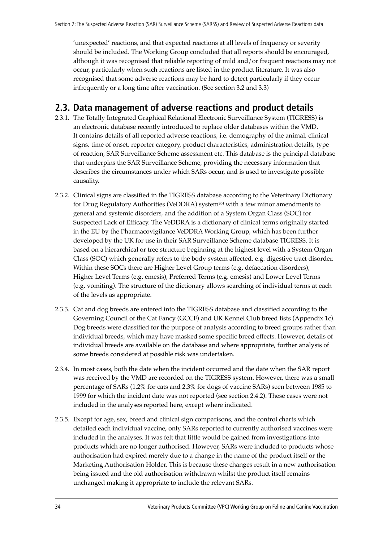'unexpected' reactions, and that expected reactions at all levels of frequency or severity should be included. The Working Group concluded that all reports should be encouraged, although it was recognised that reliable reporting of mild and/or frequent reactions may not occur, particularly when such reactions are listed in the product literature. It was also recognised that some adverse reactions may be hard to detect particularly if they occur infrequently or a long time after vaccination. (See section 3.2 and 3.3)

# **2.3. Data management of adverse reactions and product details**

- 2.3.1. The Totally Integrated Graphical Relational Electronic Surveillance System (TIGRESS) is an electronic database recently introduced to replace older databases within the VMD. It contains details of all reported adverse reactions, i.e. demography of the animal, clinical signs, time of onset, reporter category, product characteristics, administration details, type of reaction, SAR Surveillance Scheme assessment etc. This database is the principal database that underpins the SAR Surveillance Scheme, providing the necessary information that describes the circumstances under which SARs occur, and is used to investigate possible causality.
- 2.3.2. Clinical signs are classified in the TIGRESS database according to the Veterinary Dictionary for Drug Regulatory Authorities (VeDDRA) system<sup>204</sup> with a few minor amendments to general and systemic disorders, and the addition of a System Organ Class (SOC) for Suspected Lack of Efficacy. The VeDDRA is a dictionary of clinical terms originally started in the EU by the Pharmacovigilance VeDDRA Working Group, which has been further developed by the UK for use in their SAR Surveillance Scheme database TIGRESS. It is based on a hierarchical or tree structure beginning at the highest level with a System Organ Class (SOC) which generally refers to the body system affected. e.g. digestive tract disorder. Within these SOCs there are Higher Level Group terms (e.g. defaecation disorders), Higher Level Terms (e.g. emesis), Preferred Terms (e.g. emesis) and Lower Level Terms (e.g. vomiting). The structure of the dictionary allows searching of individual terms at each of the levels as appropriate.
- 2.3.3. Cat and dog breeds are entered into the TIGRESS database and classified according to the Governing Council of the Cat Fancy (GCCF) and UK Kennel Club breed lists (Appendix 1c). Dog breeds were classified for the purpose of analysis according to breed groups rather than individual breeds, which may have masked some specific breed effects. However, details of individual breeds are available on the database and where appropriate, further analysis of some breeds considered at possible risk was undertaken.
- 2.3.4. In most cases, both the date when the incident occurred and the date when the SAR report was received by the VMD are recorded on the TIGRESS system. However, there was a small percentage of SARs (1.2% for cats and 2.3% for dogs of vaccine SARs) seen between 1985 to 1999 for which the incident date was not reported (see section 2.4.2). These cases were not included in the analyses reported here, except where indicated.
- 2.3.5. Except for age, sex, breed and clinical sign comparisons, and the control charts which detailed each individual vaccine, only SARs reported to currently authorised vaccines were included in the analyses. It was felt that little would be gained from investigations into products which are no longer authorised. However, SARs were included to products whose authorisation had expired merely due to a change in the name of the product itself or the Marketing Authorisation Holder. This is because these changes result in a new authorisation being issued and the old authorisation withdrawn whilst the product itself remains unchanged making it appropriate to include the relevant SARs.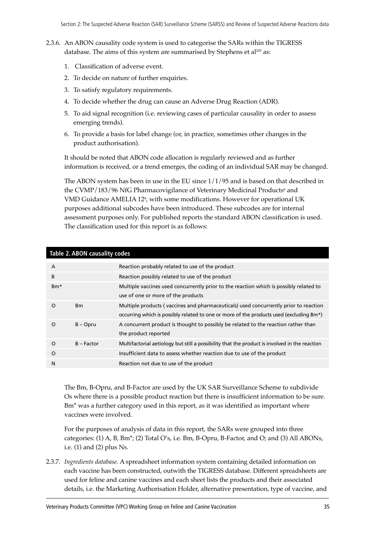- 2.3.6. An ABON causality code system is used to categorise the SARs within the TIGRESS database. The aims of this system are summarised by Stephens et al<sup>205</sup> as:
	- 1. Classification of adverse event.
	- 2. To decide on nature of further enquiries.
	- 3. To satisfy regulatory requirements.
	- 4. To decide whether the drug can cause an Adverse Drug Reaction (ADR).
	- 5. To aid signal recognition (i.e. reviewing cases of particular causality in order to assess emerging trends).
	- 6. To provide a basis for label change (or, in practice, sometimes other changes in the product authorisation).

It should be noted that ABON code allocation is regularly reviewed and as further information is received, or a trend emerges, the coding of an individual SAR may be changed.

The ABON system has been in use in the EU since  $1/1/95$  and is based on that described in the CVMP/183/96 NfG Pharmacovigilance of Veterinary Medicinal Products<sup>6</sup> and VMD Guidance AMELIA 12<sup>s</sup>, with some modifications. However for operational UK purposes additional subcodes have been introduced. These subcodes are for internal assessment purposes only. For published reports the standard ABON classification is used. The classification used for this report is as follows:

| $\overline{A}$ |              | Reaction probably related to use of the product                                               |
|----------------|--------------|-----------------------------------------------------------------------------------------------|
| B              |              | Reaction possibly related to use of the product                                               |
| $Bm*$          |              | Multiple vaccines used concurrently prior to the reaction which is possibly related to        |
|                |              | use of one or more of the products                                                            |
| O              | <b>Bm</b>    | Multiple products (vaccines and pharmaceuticals) used concurrently prior to reaction          |
|                |              | occurring which is possibly related to one or more of the products used (excluding Bm*)       |
| O              | $B -$ Opru   | A concurrent product is thought to possibly be related to the reaction rather than            |
|                |              | the product reported                                                                          |
| $\Omega$       | $B - Factor$ | Multifactorial aetiology but still a possibility that the product is involved in the reaction |
| O              |              | Insufficient data to assess whether reaction due to use of the product                        |
| N              |              | Reaction not due to use of the product                                                        |

#### **Table 2. ABON causality codes**

The Bm, B-Opru, and B-Factor are used by the UK SAR Surveillance Scheme to subdivide Os where there is a possible product reaction but there is insufficient information to be sure. Bm\* was a further category used in this report, as it was identified as important where vaccines were involved.

For the purposes of analysis of data in this report, the SARs were grouped into three categories: (1) A, B, Bm<sup>\*</sup>; (2) Total O's, i.e. Bm, B-Opru, B-Factor, and O; and (3) All ABONs, i.e. (1) and (2) plus Ns.

2.3.7. *Ingredients database.* A spreadsheet information system containing detailed information on each vaccine has been constructed, outwith the TIGRESS database. Different spreadsheets are used for feline and canine vaccines and each sheet lists the products and their associated details, i.e. the Marketing Authorisation Holder, alternative presentation, type of vaccine, and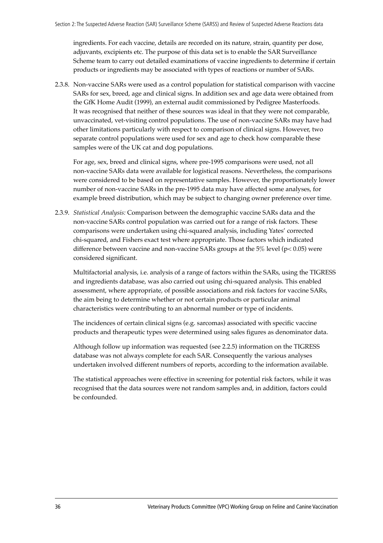ingredients. For each vaccine, details are recorded on its nature, strain, quantity per dose, adjuvants, excipients etc. The purpose of this data set is to enable the SAR Surveillance Scheme team to carry out detailed examinations of vaccine ingredients to determine if certain products or ingredients may be associated with types of reactions or number of SARs.

2.3.8. Non-vaccine SARs were used as a control population for statistical comparison with vaccine SARs for sex, breed, age and clinical signs. In addition sex and age data were obtained from the GfK Home Audit (1999), an external audit commissioned by Pedigree Masterfoods. It was recognised that neither of these sources was ideal in that they were not comparable, unvaccinated, vet-visiting control populations. The use of non-vaccine SARs may have had other limitations particularly with respect to comparison of clinical signs. However, two separate control populations were used for sex and age to check how comparable these samples were of the UK cat and dog populations.

For age, sex, breed and clinical signs, where pre-1995 comparisons were used, not all non-vaccine SARs data were available for logistical reasons. Nevertheless, the comparisons were considered to be based on representative samples. However, the proportionately lower number of non-vaccine SARs in the pre-1995 data may have affected some analyses, for example breed distribution, which may be subject to changing owner preference over time.

2.3.9. *Statistical Analysis:* Comparison between the demographic vaccine SARs data and the non-vaccine SARs control population was carried out for a range of risk factors. These comparisons were undertaken using chi-squared analysis, including Yates' corrected chi-squared, and Fishers exact test where appropriate. Those factors which indicated difference between vaccine and non-vaccine SARs groups at the 5% level (p< 0.05) were considered significant.

Multifactorial analysis, i.e. analysis of a range of factors within the SARs, using the TIGRESS and ingredients database, was also carried out using chi-squared analysis. This enabled assessment, where appropriate, of possible associations and risk factors for vaccine SARs, the aim being to determine whether or not certain products or particular animal characteristics were contributing to an abnormal number or type of incidents.

The incidences of certain clinical signs (e.g. sarcomas) associated with specific vaccine products and therapeutic types were determined using sales figures as denominator data.

Although follow up information was requested (see 2.2.5) information on the TIGRESS database was not always complete for each SAR. Consequently the various analyses undertaken involved different numbers of reports, according to the information available.

The statistical approaches were effective in screening for potential risk factors, while it was recognised that the data sources were not random samples and, in addition, factors could be confounded.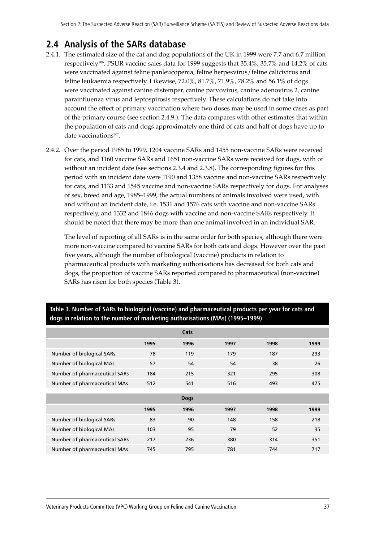# **2.4 Analysis of the SARs database**

- 2.4.1. The estimated size of the cat and dog populations of the UK in 1999 were 7.7 and 6.7 million respectively206. PSUR vaccine sales data for 1999 suggests that 35.4%, 35.7% and 14.2% of cats were vaccinated against feline panleucopenia, feline herpesvirus/feline calicivirus and feline leukaemia respectively. Likewise, 72.0%, 81.7%, 71.9%, 78.2% and 56.1% of dogs were vaccinated against canine distemper, canine parvovirus, canine adenovirus 2, canine parainfluenza virus and leptospirosis respectively. These calculations do not take into account the effect of primary vaccination where two doses may be used in some cases as part of the primary course (see section 2.4.9.). The data compares with other estimates that within the population of cats and dogs approximately one third of cats and half of dogs have up to date vaccinations<sup>207</sup>.
- 2.4.2. Over the period 1985 to 1999, 1204 vaccine SARs and 1455 non-vaccine SARs were received for cats, and 1160 vaccine SARs and 1651 non-vaccine SARs were received for dogs, with or without an incident date (see sections 2.3.4 and 2.3.8). The corresponding figures for this period with an incident date were 1190 and 1358 vaccine and non-vaccine SARs respectively for cats, and 1133 and 1545 vaccine and non-vaccine SARs respectively for dogs. For analyses of sex, breed and age, 1985–1999, the actual numbers of animals involved were used, with and without an incident date, i.e. 1531 and 1576 cats with vaccine and non-vaccine SARs respectively, and 1332 and 1846 dogs with vaccine and non-vaccine SARs respectively. It should be noted that there may be more than one animal involved in an individual SAR.

The level of reporting of all SARs is in the same order for both species, although there were more non-vaccine compared to vaccine SARs for both cats and dogs. However over the past five years, although the number of biological (vaccine) products in relation to pharmaceutical products with marketing authorisations has decreased for both cats and dogs, the proportion of vaccine SARs reported compared to pharmaceutical (non-vaccine) SARs has risen for both species (Table 3).

|                               |      | Cats        |      |      |      |
|-------------------------------|------|-------------|------|------|------|
|                               | 1995 | 1996        | 1997 | 1998 | 1999 |
| Number of biological SARs     | 78   | 119         | 179  | 187  | 293  |
| Number of biological MAs      | 57   | 54          | 54   | 38   | 26   |
| Number of pharmaceutical SARs | 184  | 215         | 321  | 295  | 308  |
| Number of pharmaceutical MAs  | 512  | 541         | 516  | 493  | 475  |
|                               |      |             |      |      |      |
|                               |      | <b>Dogs</b> |      |      |      |
|                               | 1995 | 1996        | 1997 | 1998 | 1999 |
| Number of biological SARs     | 83   | 90          | 148  | 158  | 218  |
| Number of biological MAs      | 103  | 95          | 79   | 52   | 35   |
| Number of pharmaceutical SARs | 217  | 236         | 380  | 314  | 351  |
| Number of pharmaceutical MAs  | 745  | 795         | 781  | 744  | 717  |

#### **Table 3. Number of SARs to biological (vaccine) and pharmaceutical products per year for cats and dogs in relation to the number of marketing authorisations (MAs) (1995–1999)**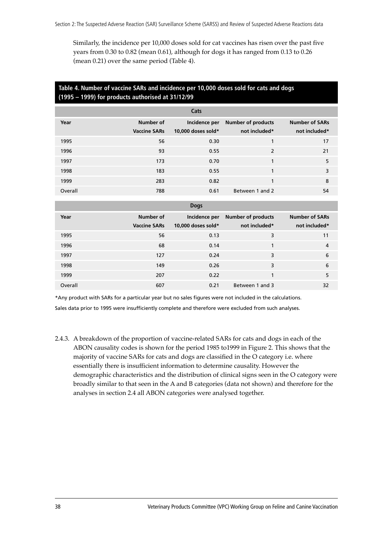Similarly, the incidence per 10,000 doses sold for cat vaccines has risen over the past five years from 0.30 to 0.82 (mean 0.61), although for dogs it has ranged from 0.13 to 0.26 (mean 0.21) over the same period (Table 4).

#### **Table 4. Number of vaccine SARs and incidence per 10,000 doses sold for cats and dogs (1995 – 1999) for products authorised at 31/12/99**

|         |                                  | Cats                                |                                            |                                        |
|---------|----------------------------------|-------------------------------------|--------------------------------------------|----------------------------------------|
| Year    | Number of<br><b>Vaccine SARs</b> | Incidence per<br>10,000 doses sold* | <b>Number of products</b><br>not included* | <b>Number of SARs</b><br>not included* |
| 1995    | 56                               | 0.30                                | 1                                          | 17                                     |
| 1996    | 93                               | 0.55                                | $\overline{2}$                             | 21                                     |
| 1997    | 173                              | 0.70                                | 1                                          | 5                                      |
| 1998    | 183                              | 0.55                                | $\mathbf{1}$                               | 3                                      |
| 1999    | 283                              | 0.82                                | $\mathbf{1}$                               | 8                                      |
| Overall | 788                              | 0.61                                | Between 1 and 2                            | 54                                     |
|         |                                  | <b>Dogs</b>                         |                                            |                                        |
| Year    | <b>Number of</b>                 | Incidence per                       | <b>Number of products</b>                  | <b>Number of SARs</b>                  |
|         | <b>Vaccine SARs</b>              | 10,000 doses sold*                  | not included*                              | not included*                          |
| 1995    | 56                               | 0.13                                | 3                                          | 11                                     |
| 1996    | 68                               | 0.14                                | 1                                          | 4                                      |
|         |                                  |                                     |                                            |                                        |

1997 127 0.24 3 6 1998 149 0.26 3 6 1999 207 0.22 1 5 Overall 607 0.21 Between 1 and 3 32

\*Any product with SARs for a particular year but no sales figures were not included in the calculations.

Sales data prior to 1995 were insufficiently complete and therefore were excluded from such analyses.

2.4.3. A breakdown of the proportion of vaccine-related SARs for cats and dogs in each of the ABON causality codes is shown for the period 1985 to1999 in Figure 2. This shows that the majority of vaccine SARs for cats and dogs are classified in the O category i.e. where essentially there is insufficient information to determine causality. However the demographic characteristics and the distribution of clinical signs seen in the O category were broadly similar to that seen in the A and B categories (data not shown) and therefore for the analyses in section 2.4 all ABON categories were analysed together.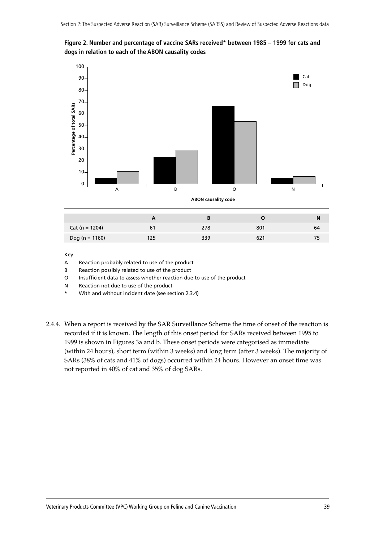

Dog (n = 1160) 125 339 621 75

**Figure 2. Number and percentage of vaccine SARs received\* between 1985 – 1999 for cats and dogs in relation to each of the ABON causality codes**

- A Reaction probably related to use of the product
- B Reaction possibly related to use of the product
- O Insufficient data to assess whether reaction due to use of the product
- N Reaction not due to use of the product
- With and without incident date (see section 2.3.4)
- 2.4.4. When a report is received by the SAR Surveillance Scheme the time of onset of the reaction is recorded if it is known. The length of this onset period for SARs received between 1995 to 1999 is shown in Figures 3a and b. These onset periods were categorised as immediate (within 24 hours), short term (within 3 weeks) and long term (after 3 weeks). The majority of SARs (38% of cats and 41% of dogs) occurred within 24 hours. However an onset time was not reported in 40% of cat and 35% of dog SARs.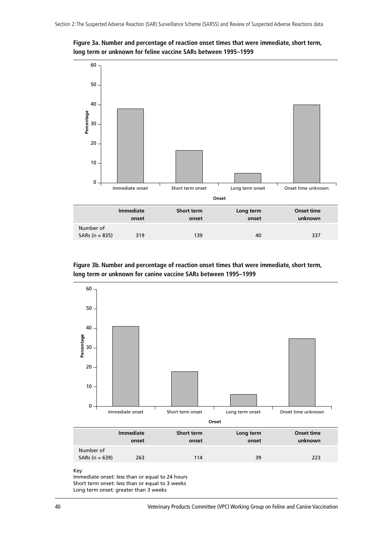



**Figure 3b. Number and percentage of reaction onset times that were immediate, short term, long term or unknown for canine vaccine SARs between 1995–1999**



Key

Immediate onset: less than or equal to 24 hours Short term onset: less than or equal to 3 weeks Long term onset: greater than 3 weeks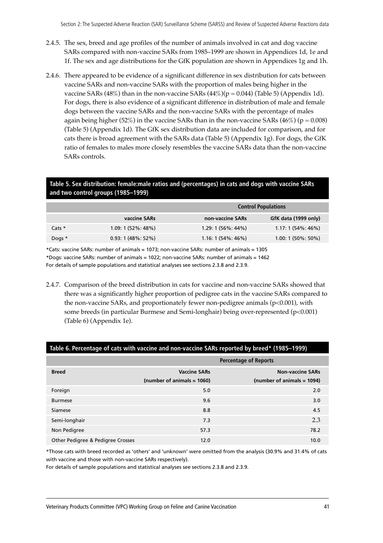- 2.4.5. The sex, breed and age profiles of the number of animals involved in cat and dog vaccine SARs compared with non-vaccine SARs from 1985–1999 are shown in Appendices 1d, 1e and 1f. The sex and age distributions for the GfK population are shown in Appendices 1g and 1h.
- 2.4.6. There appeared to be evidence of a significant difference in sex distribution for cats between vaccine SARs and non-vaccine SARs with the proportion of males being higher in the vaccine SARs (48%) than in the non-vaccine SARs (44%)( $p = 0.044$ ) (Table 5) (Appendix 1d). For dogs, there is also evidence of a significant difference in distribution of male and female dogs between the vaccine SARs and the non-vaccine SARs with the percentage of males again being higher (52%) in the vaccine SARs than in the non-vaccine SARs (46%) ( $p = 0.008$ ) (Table 5) (Appendix 1d). The GfK sex distribution data are included for comparison, and for cats there is broad agreement with the SARs data (Table 5) (Appendix 1g). For dogs, the GfK ratio of females to males more closely resembles the vaccine SARs data than the non-vaccine SARs controls.

#### **Table 5. Sex distribution: female:male ratios and (percentages) in cats and dogs with vaccine SARs and two control groups (1985–1999)**

|          |                     |                     | <b>Control Populations</b> |
|----------|---------------------|---------------------|----------------------------|
|          | vaccine SARs        | non-vaccine SARs    | GfK data (1999 only)       |
| Cats $*$ | $1.09:1(52\%:48\%)$ | $1.29:1(56\%:44\%)$ | $1.17:1(54\%:46\%)$        |
| Dogs $*$ | $0.93:1(48\%:52\%)$ | $1.16:1(54\%:46\%)$ | $1.00:1(50\%:50\%)$        |

\*Cats: vaccine SARs: number of animals = 1073; non-vaccine SARs: number of animals = 1305 \*Dogs: vaccine SARs: number of animals = 1022; non-vaccine SARs: number of animals = 1462 For details of sample populations and statistical analyses see sections 2.3.8 and 2.3.9.

2.4.7. Comparison of the breed distribution in cats for vaccine and non-vaccine SARs showed that there was a significantly higher proportion of pedigree cats in the vaccine SARs compared to the non-vaccine SARs, and proportionately fewer non-pedigree animals (p<0.001), with some breeds (in particular Burmese and Semi-longhair) being over-represented (p<0.001) (Table 6) (Appendix 1e).

|                                              |                                                   | <b>Percentage of Reports</b>                          |
|----------------------------------------------|---------------------------------------------------|-------------------------------------------------------|
| <b>Breed</b>                                 | <b>Vaccine SARs</b><br>(number of animals = 1060) | <b>Non-vaccine SARs</b><br>(number of animals = 1094) |
| Foreign                                      | 5.0                                               | 2.0                                                   |
| <b>Burmese</b>                               | 9.6                                               | 3.0                                                   |
| Siamese                                      | 8.8                                               | 4.5                                                   |
| Semi-longhair                                | 7.3                                               | 2.3                                                   |
| Non Pedigree                                 | 57.3                                              | 78.2                                                  |
| <b>Other Pedigree &amp; Pedigree Crosses</b> | 12.0                                              | 10.0                                                  |

#### **Table 6. Percentage of cats with vaccine and non-vaccine SARs reported by breed\* (1985–1999)**

\*Those cats with breed recorded as 'others' and 'unknown' were omitted from the analysis (30.9% and 31.4% of cats with vaccine and those with non-vaccine SARs respectively).

For details of sample populations and statistical analyses see sections 2.3.8 and 2.3.9.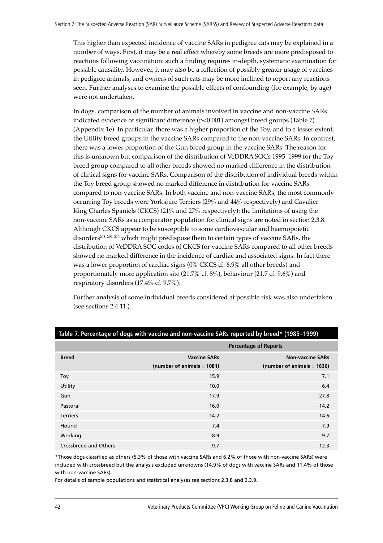This higher than expected incidence of vaccine SARs in pedigree cats may be explained in a number of ways. First, it may be a real effect whereby some breeds are more predisposed to reactions following vaccination: such a finding requires in-depth, systematic examination for possible causality. However, it may also be a reflection of possibly greater usage of vaccines in pedigree animals, and owners of such cats may be more inclined to report any reactions seen. Further analyses to examine the possible effects of confounding (for example, by age) were not undertaken.

In dogs, comparison of the number of animals involved in vaccine and non-vaccine SARs indicated evidence of significant difference (p<0.001) amongst breed groups (Table 7) (Appendix 1e). In particular, there was a higher proportion of the Toy, and to a lesser extent, the Utility breed groups in the vaccine SARs compared to the non-vaccine SARs. In contrast, there was a lower proportion of the Gun breed group in the vaccine SARs. The reason for this is unknown but comparison of the distribution of VeDDRA SOCs 1995-1999 for the Toy breed group compared to all other breeds showed no marked difference in the distribution of clinical signs for vaccine SARs. Comparison of the distribution of individual breeds within the Toy breed group showed no marked difference in distribution for vaccine SARs compared to non-vaccine SARs. In both vaccine and non-vaccine SARs, the most commonly occurring Toy breeds were Yorkshire Terriers (29% and 44% respectively) and Cavalier King Charles Spaniels (CKCS) (21% and 27% respectively): the limitations of using the non-vaccine SARs as a comparator population for clinical signs are noted in section 2.3.8. Although CKCS appear to be susceptible to some cardiovascular and haemopoietic disorders<sup>208, 209, 210</sup> which might predispose them to certain types of vaccine SARs, the distribution of VeDDRA SOC codes of CKCS for vaccine SARs compared to all other breeds showed no marked difference in the incidence of cardiac and associated signs. In fact there was a lower proportion of cardiac signs (0% CKCS cf. 6.9% all other breeds) and proportionately more application site (21.7% cf. 8%), behaviour (21.7 cf. 9.6%) and respiratory disorders (17.4% cf. 9.7%).

Further analysis of some individual breeds considered at possible risk was also undertaken (see sections 2.4.11.).

|                       |                            | <b>Percentage of Reports</b> |
|-----------------------|----------------------------|------------------------------|
| <b>Breed</b>          | <b>Vaccine SARs</b>        | <b>Non-vaccine SARs</b>      |
|                       | (number of animals = 1081) | (number of animals = 1636)   |
| Toy                   | 15.9                       | 7.1                          |
| Utility               | 10.0                       | 6.4                          |
| Gun                   | 17.9                       | 27.8                         |
| Pastoral              | 16.0                       | 14.2                         |
| <b>Terriers</b>       | 14.2                       | 14.6                         |
| Hound                 | 7.4                        | 7.9                          |
| Working               | 8.9                        | 9.7                          |
| Crossbreed and Others | 9.7                        | 12.3                         |

#### **Table 7. Percentage of dogs with vaccine and non-vaccine SARs reported by breed\* (1985–1999)**

\*Those dogs classified as others (5.3% of those with vaccine SARs and 6.2% of those with non-vaccine SARs) were included with crossbreed but the analysis excluded unknowns (14.9% of dogs with vaccine SARs and 11.4% of those with non-vaccine SARs).

For details of sample populations and statistical analyses see sections 2.3.8 and 2.3.9.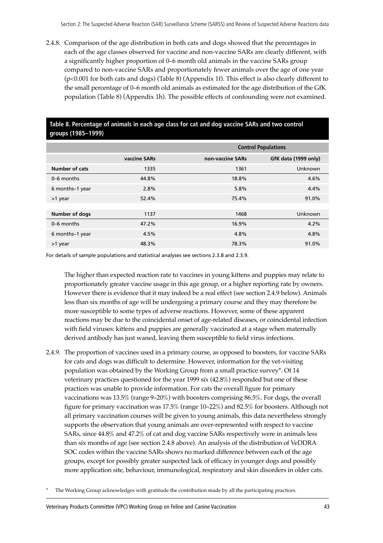2.4.8. Comparison of the age distribution in both cats and dogs showed that the percentages in each of the age classes observed for vaccine and non-vaccine SARs are clearly different, with a significantly higher proportion of  $0-6$  month old animals in the vaccine SARs group compared to non-vaccine SARs and proportionately fewer animals over the age of one year (p<0.001 for both cats and dogs) (Table 8) (Appendix 1f). This effect is also clearly different to the small percentage of  $0-6$  month old animals as estimated for the age distribution of the GfK population (Table 8) (Appendix 1h). The possible effects of confounding were not examined.

#### **Table 8. Percentage of animals in each age class for cat and dog vaccine SARs and two control groups (1985–1999)**

|                 |              |                  | <b>Control Populations</b> |
|-----------------|--------------|------------------|----------------------------|
|                 | vaccine SARs | non-vaccine SARs | GfK data (1999 only)       |
| Number of cats  | 1335         | 1361             | Unknown                    |
| 0-6 months      | 44.8%        | 18.8%            | 4.6%                       |
| 6 months-1 year | 2.8%         | 5.8%             | 4.4%                       |
| >1 year         | 52.4%        | 75.4%            | 91.0%                      |
|                 |              |                  |                            |
| Number of dogs  | 1137         | 1468             | Unknown                    |
| 0-6 months      | 47.2%        | 16.9%            | 4.2%                       |
| 6 months-1 year | 4.5%         | 4.8%             | 4.8%                       |
| >1 year         | 48.3%        | 78.3%            | 91.0%                      |

For details of sample populations and statistical analyses see sections 2.3.8 and 2.3.9.

The higher than expected reaction rate to vaccines in young kittens and puppies may relate to proportionately greater vaccine usage in this age group, or a higher reporting rate by owners. However there is evidence that it may indeed be a real effect (see section 2.4.9 below). Animals less than six months of age will be undergoing a primary course and they may therefore be more susceptible to some types of adverse reactions. However, some of these apparent reactions may be due to the coincidental onset of age-related diseases, or coincidental infection with field viruses: kittens and puppies are generally vaccinated at a stage when maternally derived antibody has just waned, leaving them susceptible to field virus infections.

2.4.9. The proportion of vaccines used in a primary course, as opposed to boosters, for vaccine SARs for cats and dogs was difficult to determine. However, information for the vet-visiting population was obtained by the Working Group from a small practice survey\*. Of 14 veterinary practices questioned for the year 1999 six (42.8%) responded but one of these practices was unable to provide information. For cats the overall figure for primary vaccinations was  $13.5\%$  (range  $9-20\%)$  with boosters comprising 86.5%. For dogs, the overall figure for primary vaccination was  $17.5\%$  (range  $10-22\%$ ) and  $82.5\%$  for boosters. Although not all primary vaccination courses will be given to young animals, this data nevertheless strongly supports the observation that young animals are over-represented with respect to vaccine SARs, since 44.8% and 47.2% of cat and dog vaccine SARs respectively were in animals less than six months of age (see section 2.4.8 above). An analysis of the distribution of VeDDRA SOC codes within the vaccine SARs shows no marked difference between each of the age groups, except for possibly greater suspected lack of efficacy in younger dogs and possibly more application site, behaviour, immunological, respiratory and skin disorders in older cats.

The Working Group acknowledges with gratitude the contribution made by all the participating practices.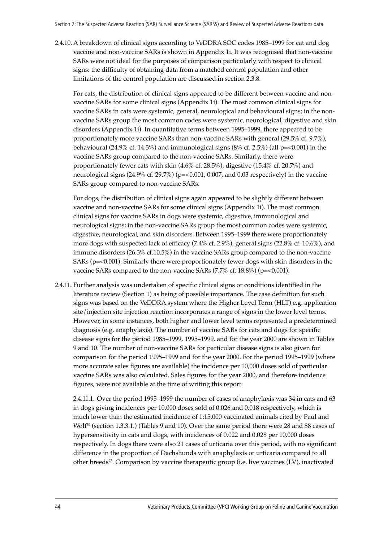2.4.10. A breakdown of clinical signs according to VeDDRA SOC codes 1985–1999 for cat and dog vaccine and non-vaccine SARs is shown in Appendix 1i. It was recognised that non-vaccine SARs were not ideal for the purposes of comparison particularly with respect to clinical signs: the difficulty of obtaining data from a matched control population and other limitations of the control population are discussed in section 2.3.8.

For cats, the distribution of clinical signs appeared to be different between vaccine and nonvaccine SARs for some clinical signs (Appendix 1i). The most common clinical signs for vaccine SARs in cats were systemic, general, neurological and behavioural signs; in the nonvaccine SARs group the most common codes were systemic, neurological, digestive and skin disorders (Appendix 1i). In quantitative terms between 1995–1999, there appeared to be proportionately more vaccine SARs than non-vaccine SARs with general (29.5% cf. 9.7%), behavioural (24.9% cf. 14.3%) and immunological signs (8% cf. 2.5%) (all p=<0.001) in the vaccine SARs group compared to the non-vaccine SARs. Similarly, there were proportionately fewer cats with skin (4.6% cf. 28.5%), digestive (15.4% cf. 20.7%) and neurological signs (24.9% cf. 29.7%) (p=<0.001, 0.007, and 0.03 respectively) in the vaccine SARs group compared to non-vaccine SARs.

For dogs, the distribution of clinical signs again appeared to be slightly different between vaccine and non-vaccine SARs for some clinical signs (Appendix 1i). The most common clinical signs for vaccine SARs in dogs were systemic, digestive, immunological and neurological signs; in the non-vaccine SARs group the most common codes were systemic, digestive, neurological, and skin disorders. Between 1995–1999 there were proportionately more dogs with suspected lack of efficacy (7.4% cf. 2.9%), general signs (22.8% cf. 10.6%), and immune disorders (26.3% cf.10.5%) in the vaccine SARs group compared to the non-vaccine SARs (p=<0.001). Similarly there were proportionately fewer dogs with skin disorders in the vaccine SARs compared to the non-vaccine SARs  $(7.7\% \text{ cf. } 18.8\%)$  (p=<0.001).

2.4.11. Further analysis was undertaken of specific clinical signs or conditions identified in the literature review (Section 1) as being of possible importance. The case definition for such signs was based on the VeDDRA system where the Higher Level Term (HLT) e.g. application site/injection site injection reaction incorporates a range of signs in the lower level terms. However, in some instances, both higher and lower level terms represented a predetermined diagnosis (e.g. anaphylaxis). The number of vaccine SARs for cats and dogs for specific disease signs for the period 1985–1999, 1995–1999, and for the year 2000 are shown in Tables 9 and 10. The number of non-vaccine SARs for particular disease signs is also given for comparison for the period 1995–1999 and for the year 2000. For the period 1995–1999 (where more accurate sales figures are available) the incidence per 10,000 doses sold of particular vaccine SARs was also calculated. Sales figures for the year 2000, and therefore incidence figures, were not available at the time of writing this report.

2.4.11.1. Over the period 1995–1999 the number of cases of anaphylaxis was 34 in cats and 63 in dogs giving incidences per 10,000 doses sold of 0.026 and 0.018 respectively, which is much lower than the estimated incidence of 1:15,000 vaccinated animals cited by Paul and Wolf<sup>30</sup> (section 1.3.3.1.) (Tables 9 and 10). Over the same period there were 28 and 88 cases of hypersensitivity in cats and dogs, with incidences of 0.022 and 0.028 per 10,000 doses respectively. In dogs there were also 21 cases of urticaria over this period, with no significant difference in the proportion of Dachshunds with anaphylaxis or urticaria compared to all other breeds<sup>27</sup>. Comparison by vaccine therapeutic group (i.e. live vaccines (LV), inactivated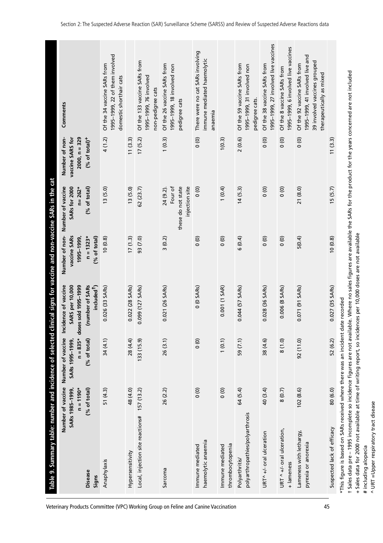| Comments<br>Number of non-<br>$2000, n = 329$<br>$(% of total)+$<br>vaccine SARS for<br>clinical signs for vaccine and non-vaccine SARs in the cat<br>Number of vaccine<br><b>SARs for 2000</b><br>(% of total)<br>$n = 262*$<br>Number of non-<br>vaccine SARs<br>$n = 1323*$<br>1995-1999,<br>Incidence of vaccine<br>(number of SARs<br><b>SARS</b> per 10,000<br>doses sold 1995-1999<br>Number of vaccine<br>$n = 835*$<br>(% of total)<br>SARs 1995-1999, | (% of total)<br>included <sup>+</sup> ) | 1995-1999, 22 of them involved<br>Of the 34 vaccine SARs from<br>domestic shorthair cats<br>4(1.2)<br>13(5.0)<br>(0.8)<br>0.026 (33 SARs)<br>34 (4.1) | 11(3.3)<br>13(5.0)<br>17(1.3)<br>$0.022(28$ SARs)<br>28 (4.4) | Of the 133 vaccine SARs from<br>1995-1999, 76 involved<br>non-pedigree cats<br>17(5.2)<br>62(23.7)<br>93 (7.0)<br>0.099 (127 SARs)<br>133(15.9) | Of the 26 vaccine SARs from<br>1995-1999, 18 involved non<br>pedigree cats<br>1(0.3)<br>Four of<br>these do not state<br>injection site<br>24 (9.2).<br>3(0.2)<br>0.021 (26 SARs)<br>26(3.1) | There were no cat SARs involving<br>immune mediated haemolytic<br>anaemia<br>$\frac{1}{2}$<br>$\frac{6}{6}$<br>$\frac{0}{0}$<br>$0(0$ SARs)<br>$\circ$ | 1(0.3)<br>1(0.4)<br>$\circ$<br>0.001 (1 SAR)<br>1(0.1) | Of the 59 vaccine SARs from<br>1995-1999, 31 involved non<br>pedigree cats.<br>2(0.6)<br>14(5.3)<br>6(0.4)<br>0.044 (57 SARs)<br>59 (7.1) | 1995-1999, 27 involved live vaccines<br>Of the 38 vaccine SARs from<br>$\frac{1}{2}$<br>$\frac{1}{2}$<br>$\circ$<br>0.028 (36 SARs)<br>38 (4.6) | 1995-1999, 6 involved live vaccines<br>Of the 8 vaccine SARs from<br>$\frac{0}{0}$<br>$\circ$<br>$\overline{0}$<br>0.006 (8 SARs)<br>8(1.0) | 1995-1999, 41 involved live and<br>39 involved vaccines grouped<br>Of the 92 vaccine SARs from<br>therapeutically as mixed<br>$\frac{0}{0}$<br>21 (8.0)<br>5(0.4)<br>0.071 (91 SARs)<br>92(11.0) | 11(3.3)<br>15(5.7)<br>10(0.8)<br>0.027 (35 SARs)<br>date recorded<br>52 (6.2)                                |
|-----------------------------------------------------------------------------------------------------------------------------------------------------------------------------------------------------------------------------------------------------------------------------------------------------------------------------------------------------------------------------------------------------------------------------------------------------------------|-----------------------------------------|-------------------------------------------------------------------------------------------------------------------------------------------------------|---------------------------------------------------------------|-------------------------------------------------------------------------------------------------------------------------------------------------|----------------------------------------------------------------------------------------------------------------------------------------------------------------------------------------------|--------------------------------------------------------------------------------------------------------------------------------------------------------|--------------------------------------------------------|-------------------------------------------------------------------------------------------------------------------------------------------|-------------------------------------------------------------------------------------------------------------------------------------------------|---------------------------------------------------------------------------------------------------------------------------------------------|--------------------------------------------------------------------------------------------------------------------------------------------------------------------------------------------------|--------------------------------------------------------------------------------------------------------------|
|                                                                                                                                                                                                                                                                                                                                                                                                                                                                 |                                         |                                                                                                                                                       |                                                               |                                                                                                                                                 |                                                                                                                                                                                              |                                                                                                                                                        |                                                        |                                                                                                                                           |                                                                                                                                                 |                                                                                                                                             |                                                                                                                                                                                                  |                                                                                                              |
| Table 9. Summary table: number and incidence of selected<br>Number of vaccine<br>(% of total)<br>$n = 1190*$<br>SARs 1985-1999,<br><b>Disease</b>                                                                                                                                                                                                                                                                                                               | Signs                                   | 51 (4.3)<br>Anaphylaxis                                                                                                                               | 48 (4.0)<br>Hypersensitivity                                  | 157 (13.2)<br>Local, injection site reactions#                                                                                                  | 26 (2.2)<br>Sarcoma                                                                                                                                                                          | $\circ$<br>haemolytic anaemia<br>Immune mediated                                                                                                       | $\circ$<br>thrombocytopenia<br>Immune mediated         | 64 (5.4)<br>polyarthropathies/polyarthrosis<br>Polyarthritis/                                                                             | 40 (3.4)<br>URT^ +/- oral ulceration                                                                                                            | 8(0.7)<br>URT $\wedge$ +/- oral ulceration,<br>+ lameness                                                                                   | 102(8.6)<br>Lameness with lethargy,<br>pyrexia or anorexia                                                                                                                                       | *This figure is based on SARs received where there was an incident<br>80 (6.0)<br>Suspected lack of efficacy |

^ URT = Upper respiratory tract disease ^ URT =Upper respiratory tract disease # including alopecia # including alopecia

† Sales data pre – 1995 incomplete so incidence figures are not available. Where no sales figures are available the SARs for the product for the years concerned are not included

t Sales data pre - 1995 incomplete so incidence figures are not available. Where no sales figures are available the SARs for the product for the years concerned are not included

+ Sales data for 2000 not available at time of writing report, so incidences per 10,000 doses are not available

+ Sales data for 2000 not available at time of writing report, so incidences per 10,000 doses are not available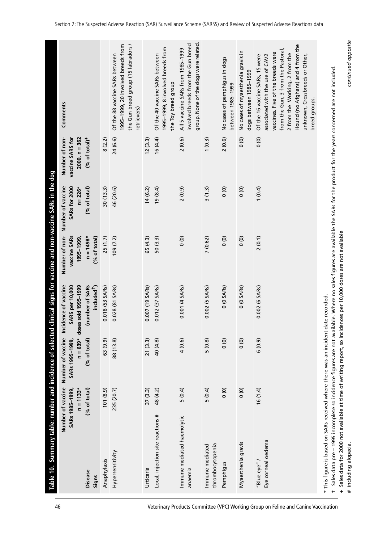| 46                                                                                 | Table 10.                                                                          | Summary table: number and incidence of selected     |                                                    |                                                                    |                             | d clinical signs for vaccine and non-vaccine SARs in the dog   |                                                       |                                                                                                                                                                                                                                                                         |
|------------------------------------------------------------------------------------|------------------------------------------------------------------------------------|-----------------------------------------------------|----------------------------------------------------|--------------------------------------------------------------------|-----------------------------|----------------------------------------------------------------|-------------------------------------------------------|-------------------------------------------------------------------------------------------------------------------------------------------------------------------------------------------------------------------------------------------------------------------------|
|                                                                                    |                                                                                    | Number of vaccine<br>$n = 1133*$<br>SARs 1985-1999, | Number of vaccine<br>$n = 639*$<br>SARs 1995-1999, | Incidence of vaccine<br>SARS per 10,000<br>ses sold 1995-1999<br>웅 | vaccine SARs<br>1995-1999   | Number of non-Number of vaccine<br>SARs for 2000<br>$n = 226*$ | Number of non-<br>vaccine SARS for<br>$2000, n = 362$ | Comments                                                                                                                                                                                                                                                                |
|                                                                                    | <b>Disease</b><br>Signs                                                            | (% of total)                                        | (% of total)                                       | (number of SARs<br>included <sup>1</sup> )                         | (% of total)<br>$n = 1498*$ | (% of total)                                                   | $(% of total)+$                                       |                                                                                                                                                                                                                                                                         |
|                                                                                    | Anaphylaxis                                                                        | $(6.8)$ 101                                         | 63 (9.9)                                           | $0.018$ (53 SARs)                                                  | 25(1.7)                     | 30(13.3)                                                       | 8(2.2)                                                |                                                                                                                                                                                                                                                                         |
|                                                                                    | Hypersensitivity                                                                   | 235 (20.7)                                          | 88 (13.8)                                          | 0.028 (81 SARs)                                                    | 109(7.2)                    | 46 (20.6)                                                      | 24 (6.6)                                              | the Gun breed group (15 labradors /<br>1995-1999, 20 involved breeds from<br>Of the 88 vaccine SARs between<br>retrievers)                                                                                                                                              |
|                                                                                    | Urticaria                                                                          | 37(3.3)                                             | 21(3.3)                                            | 0.007 (19 SARs)                                                    | 65 (4.3)                    | 14(6.2)                                                        | (3.3)                                                 |                                                                                                                                                                                                                                                                         |
|                                                                                    | Local, injection site reactions #                                                  | 48 (4.2)                                            | 40 (4.8)                                           | 0.012 (37 SARs)                                                    | 50 (3.3)                    | 19(8.4)                                                        | 16(4.4)                                               | 1995-1999, 8 involved breeds from<br>Of the 40 vaccine SARs between<br>the Toy breed group                                                                                                                                                                              |
|                                                                                    | Immune mediated haemolytic<br>anaemia                                              | 5(0.4)                                              | 4(0.6)                                             | $0.001(4$ SARs)                                                    | $\frac{0}{0}$               | 2(0.9)                                                         | 2(0.6)                                                | group. None of the dogs were related.<br>involved breeds from the Gun breed<br>All 5 vaccine SARs from 1985-1999                                                                                                                                                        |
|                                                                                    | thrombocytopenia<br>Immune mediated                                                | 5(0.4)                                              | 5(0.8)                                             | $0.002$ (5 SARs)                                                   | 7(0.62)                     | 3(1.3)                                                         | 1(0.3)                                                |                                                                                                                                                                                                                                                                         |
|                                                                                    | Pemphigus                                                                          | $\frac{0}{0}$                                       | $\circ$                                            | $0(0$ SARs)                                                        | $\circ$                     | $\frac{1}{2}$                                                  | 2(0.6)                                                | No cases of pemphigus in dogs<br>between 1985-1999                                                                                                                                                                                                                      |
|                                                                                    | Myaesthenia gravis                                                                 | $\circ$                                             | $\circ$                                            | $0(0$ SARs)                                                        | $\circ$                     | $\frac{0}{0}$                                                  | $\circ$                                               | No cases of myaesthenia gravis in<br>dogs between 1985-1999                                                                                                                                                                                                             |
| Veterinary Products Committee (VPC) Working Group on Feline and Canine Vaccination | Eye corneal oedema<br>"Blue eye" /                                                 | 16(1.4)                                             | 6(0.9)                                             | 0.002 (6 SARs)                                                     | 2(0.1)                      | 1(0.4)                                                         | $\frac{1}{2}$                                         | Hound (no Afghans) and 4 from the<br>from the Gun, 3 from the Pastoral,<br>vaccines. Five of the breeds were<br>2 from the Working, 2 from the<br>unknown, Crossbreeds or Other,<br>associated with the use of CAV2<br>Of the 16 vaccine SARs, 15 were<br>breed groups. |
|                                                                                    | * This figure is based on SARs received where there was an incident date recorded. |                                                     |                                                    |                                                                    |                             |                                                                |                                                       | Sales data pre – 1995 incomplete so incidence figures are not available. Where no sales figures are available the SARs for the product for the years concerned are not included.                                                                                        |

+ Sales data for 2000 not available at time of writing report, so incidences per 10,000 doses are not available

# including alopecia.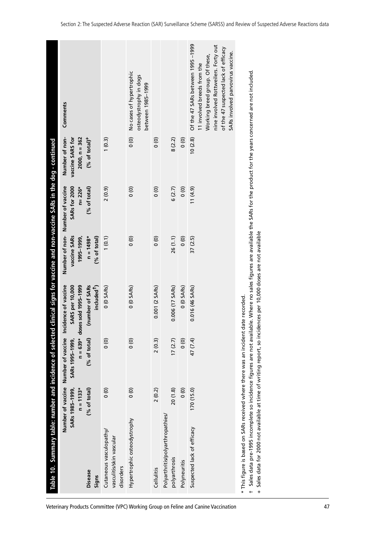|                                                                                    | Table 10. Summary table: number and incidence of selecte                                                                                                                                                                                                                                                                                                             |                                                                     |                                                                    | ed clinical signs for vaccine and non-vaccine SARs in the dog - continued                 |                                                             |                                                                  |                                                                          |                                                                                                                                                                                                                        |
|------------------------------------------------------------------------------------|----------------------------------------------------------------------------------------------------------------------------------------------------------------------------------------------------------------------------------------------------------------------------------------------------------------------------------------------------------------------|---------------------------------------------------------------------|--------------------------------------------------------------------|-------------------------------------------------------------------------------------------|-------------------------------------------------------------|------------------------------------------------------------------|--------------------------------------------------------------------------|------------------------------------------------------------------------------------------------------------------------------------------------------------------------------------------------------------------------|
|                                                                                    | <b>Disease</b>                                                                                                                                                                                                                                                                                                                                                       | Number of vaccine<br>(% of total)<br>$n = 1133*$<br>SARs 1985-1999, | Number of vaccine<br>$n = 639*$<br>(% of total)<br>SARs 1995-1999, | Incidence of vaccine<br>doses sold 1995-1999<br>(number of SARs<br><b>SARS</b> per 10,000 | Number of non-<br>vaccine SARs<br>$n = 1498*$<br>1995-1999, | Number of vaccine<br>SARs for 2000<br>$n = 226*$<br>(% of total) | Number of non-<br>vaccine SARS for<br>$2000, n = 362$<br>$(% of total)+$ | Comments                                                                                                                                                                                                               |
|                                                                                    | Signs                                                                                                                                                                                                                                                                                                                                                                |                                                                     |                                                                    | included <sup>1</sup> )                                                                   | (% of total)                                                |                                                                  |                                                                          |                                                                                                                                                                                                                        |
|                                                                                    | Cutaneous vasculopathy/<br>vasculitis/skin vascular<br>disorders                                                                                                                                                                                                                                                                                                     | $\frac{1}{2}$                                                       | $\frac{0}{0}$                                                      | 0 (0 SARs)                                                                                | 1(0.1)                                                      | 2(0.9)                                                           | 1(0.3)                                                                   |                                                                                                                                                                                                                        |
|                                                                                    | Hypertrophic osteodystrophy                                                                                                                                                                                                                                                                                                                                          | $\overline{0}$                                                      | $\overline{0}$                                                     | $0(0$ SARs)                                                                               | 0(0)                                                        | $\frac{0}{0}$                                                    | $\frac{1}{2}$                                                            | No cases of hypertrophic<br>osteodystrophy in dogs<br>between 1985-1999                                                                                                                                                |
|                                                                                    | Cellulitis                                                                                                                                                                                                                                                                                                                                                           | 2(0.2)                                                              | 2(0.3)                                                             | 0.001 (2 SARs)                                                                            | $\frac{0}{0}$                                               | $\frac{1}{2}$                                                    | $\frac{0}{0}$                                                            |                                                                                                                                                                                                                        |
|                                                                                    | Polyarthritis/polyarthropathies/<br>polyarthrosis                                                                                                                                                                                                                                                                                                                    | 20(1.8)                                                             | 17(2.7)                                                            | $0.006$ (17 SARs)                                                                         | 26(1.1)                                                     | 6(2.7)                                                           | 8(2.2)                                                                   |                                                                                                                                                                                                                        |
|                                                                                    | Polyneuritis                                                                                                                                                                                                                                                                                                                                                         | $\circ$                                                             | $\overline{0}$                                                     | $0(0$ SARs)                                                                               | $\frac{6}{10}$                                              | $\overline{0}$                                                   | $\overline{0}$                                                           |                                                                                                                                                                                                                        |
| Veterinary Products Committee (VPC) Working Group on Feline and Canine Vaccination | Suspected lack of efficacy                                                                                                                                                                                                                                                                                                                                           | 170(15.0)                                                           | 47 (7.4)                                                           | 0.016 (46 SARs)                                                                           | 37(2.5)                                                     | $(6.4)$ 11                                                       | 10(2.8)                                                                  | Of the 47 SARs between 1995-1999<br>nine involved Rottweilers. Forty out<br>of the 47 suspected lack of efficacy<br>SARs involved parvovirus vaccine.<br>Working breed group. Of these,<br>11 involved breeds from the |
|                                                                                    | Sales data pre-1995 incomplete so incidence figures are not available. Where no sales figures are available the SARs for the product for the years concerned are not included.<br>* This figure is based on SARs received where there was an incident date recorded<br>Sales data for 2000 not available at time of writing report, so inc<br>$\ddot{}$<br>$\ddot{}$ |                                                                     |                                                                    | idences per 10,000 doses are not available                                                |                                                             |                                                                  |                                                                          |                                                                                                                                                                                                                        |
| 47                                                                                 |                                                                                                                                                                                                                                                                                                                                                                      |                                                                     |                                                                    |                                                                                           |                                                             |                                                                  |                                                                          |                                                                                                                                                                                                                        |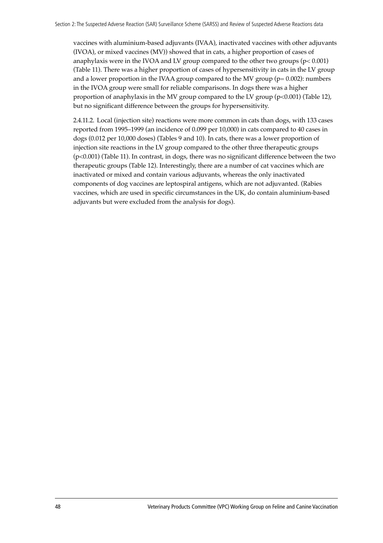vaccines with aluminium-based adjuvants (IVAA), inactivated vaccines with other adjuvants (IVOA), or mixed vaccines (MV)) showed that in cats, a higher proportion of cases of anaphylaxis were in the IVOA and LV group compared to the other two groups (p< 0.001) (Table 11). There was a higher proportion of cases of hypersensitivity in cats in the LV group and a lower proportion in the IVAA group compared to the MV group ( $p= 0.002$ ): numbers in the IVOA group were small for reliable comparisons. In dogs there was a higher proportion of anaphylaxis in the MV group compared to the LV group  $(p<0.001)$  (Table 12), but no significant difference between the groups for hypersensitivity.

2.4.11.2. Local (injection site) reactions were more common in cats than dogs, with 133 cases reported from 1995-1999 (an incidence of 0.099 per 10,000) in cats compared to 40 cases in dogs (0.012 per 10,000 doses) (Tables 9 and 10). In cats, there was a lower proportion of injection site reactions in the LV group compared to the other three therapeutic groups (p<0.001) (Table 11). In contrast, in dogs, there was no significant difference between the two therapeutic groups (Table 12). Interestingly, there are a number of cat vaccines which are inactivated or mixed and contain various adjuvants, whereas the only inactivated components of dog vaccines are leptospiral antigens, which are not adjuvanted. (Rabies vaccines, which are used in specific circumstances in the UK, do contain aluminium-based adjuvants but were excluded from the analysis for dogs).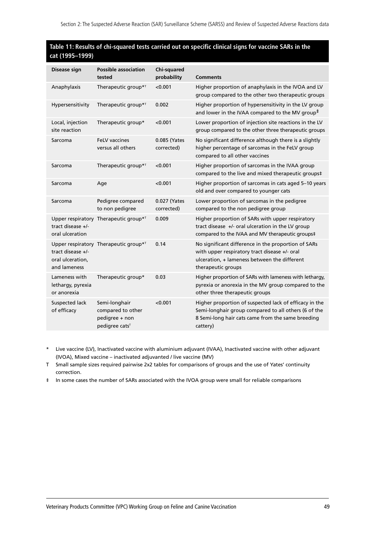#### **Table 11: Results of chi-squared tests carried out on specific clinical signs for vaccine SARs in the cat (1995–1999)**

| Disease sign                                          | <b>Possible association</b><br>tested                                              | <b>Chi-squared</b><br>probability | <b>Comments</b>                                                                                                                                                                 |
|-------------------------------------------------------|------------------------------------------------------------------------------------|-----------------------------------|---------------------------------------------------------------------------------------------------------------------------------------------------------------------------------|
| Anaphylaxis                                           | Therapeutic group* <sup>T</sup>                                                    | < 0.001                           | Higher proportion of anaphylaxis in the IVOA and LV<br>group compared to the other two therapeutic groups                                                                       |
| Hypersensitivity                                      | Therapeutic group* <sup>T</sup>                                                    | 0.002                             | Higher proportion of hypersensitivity in the LV group<br>and lower in the IVAA compared to the MV group <sup>#</sup>                                                            |
| Local, injection<br>site reaction                     | Therapeutic group*                                                                 | < 0.001                           | Lower proportion of injection site reactions in the LV<br>group compared to the other three therapeutic groups                                                                  |
| Sarcoma                                               | <b>FeLV vaccines</b><br>versus all others                                          | 0.085 (Yates<br>corrected)        | No significant difference although there is a slightly<br>higher percentage of sarcomas in the FeLV group<br>compared to all other vaccines                                     |
| Sarcoma                                               | Therapeutic group* <sup>T</sup>                                                    | < 0.001                           | Higher proportion of sarcomas in the IVAA group<br>compared to the live and mixed therapeutic groups‡                                                                           |
| Sarcoma                                               | Age                                                                                | < 0.001                           | Higher proportion of sarcomas in cats aged 5-10 years<br>old and over compared to younger cats                                                                                  |
| Sarcoma                                               | Pedigree compared<br>to non pedigree                                               | 0.027 (Yates<br>corrected)        | Lower proportion of sarcomas in the pedigree<br>compared to the non pedigree group                                                                                              |
| tract disease +/-<br>oral ulceration                  | Upper respiratory Therapeutic group* <sup>T</sup>                                  | 0.009                             | Higher proportion of SARs with upper respiratory<br>tract disease +/- oral ulceration in the LV group<br>compared to the IVAA and MV therapeutic groups‡                        |
| tract disease +/-<br>oral ulceration.<br>and lameness | Upper respiratory Therapeutic group* <sup>T</sup>                                  | 0.14                              | No significant difference in the proportion of SARs<br>with upper respiratory tract disease +/- oral<br>ulceration, + lameness between the different<br>therapeutic groups      |
| Lameness with<br>lethargy, pyrexia<br>or anorexia     | Therapeutic group*                                                                 | 0.03                              | Higher proportion of SARs with lameness with lethargy,<br>pyrexia or anorexia in the MV group compared to the<br>other three therapeutic groups                                 |
| Suspected lack<br>of efficacy                         | Semi-longhair<br>compared to other<br>pedigree + non<br>pedigree cats <sup>T</sup> | < 0.001                           | Higher proportion of suspected lack of efficacy in the<br>Semi-longhair group compared to all others (6 of the<br>8 Semi-long hair cats came from the same breeding<br>cattery) |
|                                                       |                                                                                    |                                   |                                                                                                                                                                                 |

- \* Live vaccine (LV), Inactivated vaccine with aluminium adjuvant (IVAA), Inactivated vaccine with other adjuvant (IVOA), Mixed vaccine – inactivated adjuvanted / live vaccine (MV)
- T Small sample sizes required pairwise 2x2 tables for comparisons of groups and the use of Yates' continuity correction.
- ‡ In some cases the number of SARs associated with the IVOA group were small for reliable comparisons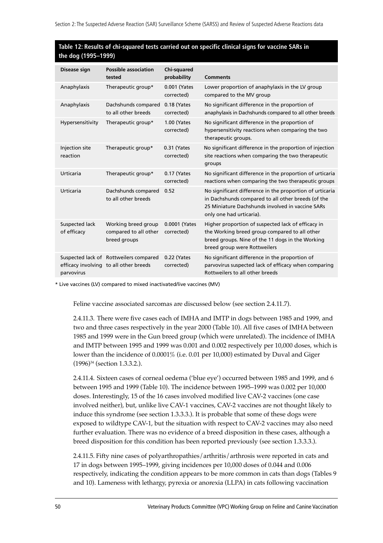#### **Table 12: Results of chi-squared tests carried out on specific clinical signs for vaccine SARs in the dog (1995–1999)**

| Disease sign                  | <b>Possible association</b><br>tested                                            | <b>Chi-squared</b><br>probability | <b>Comments</b>                                                                                                                                                                                |
|-------------------------------|----------------------------------------------------------------------------------|-----------------------------------|------------------------------------------------------------------------------------------------------------------------------------------------------------------------------------------------|
| Anaphylaxis                   | Therapeutic group*                                                               | 0.001 (Yates<br>corrected)        | Lower proportion of anaphylaxis in the LV group<br>compared to the MV group                                                                                                                    |
| Anaphylaxis                   | Dachshunds compared<br>to all other breeds                                       | 0.18 (Yates<br>corrected)         | No significant difference in the proportion of<br>anaphylaxis in Dachshunds compared to all other breeds                                                                                       |
| Hypersensitivity              | Therapeutic group*                                                               | 1.00 (Yates<br>corrected)         | No significant difference in the proportion of<br>hypersensitivity reactions when comparing the two<br>therapeutic groups.                                                                     |
| Injection site<br>reaction    | Therapeutic group*                                                               | 0.31 (Yates<br>corrected)         | No significant difference in the proportion of injection<br>site reactions when comparing the two therapeutic<br>groups                                                                        |
| Urticaria                     | Therapeutic group*                                                               | 0.17 (Yates<br>corrected)         | No significant difference in the proportion of urticaria<br>reactions when comparing the two therapeutic groups                                                                                |
| Urticaria                     | Dachshunds compared<br>to all other breeds                                       | 0.52                              | No significant difference in the proportion of urticaria<br>in Dachshunds compared to all other breeds (of the<br>25 Miniature Dachshunds involved in vaccine SARs<br>only one had urticaria). |
| Suspected lack<br>of efficacy | Working breed group<br>compared to all other<br>breed groups                     | 0.0001 (Yates<br>corrected)       | Higher proportion of suspected lack of efficacy in<br>the Working breed group compared to all other<br>breed groups. Nine of the 11 dogs in the Working<br>breed group were Rottweilers        |
| parvovirus                    | Suspected lack of Rottweilers compared<br>efficacy involving to all other breeds | 0.22 (Yates<br>corrected)         | No significant difference in the proportion of<br>parvovirus suspected lack of efficacy when comparing<br>Rottweilers to all other breeds                                                      |

\* Live vaccines (LV) compared to mixed inactivated/live vaccines (MV)

Feline vaccine associated sarcomas are discussed below (see section 2.4.11.7).

2.4.11.3. There were five cases each of IMHA and IMTP in dogs between 1985 and 1999, and two and three cases respectively in the year 2000 (Table 10). All five cases of IMHA between 1985 and 1999 were in the Gun breed group (which were unrelated). The incidence of IMHA and IMTP between 1995 and 1999 was 0.001 and 0.002 respectively per 10,000 doses, which is lower than the incidence of 0.0001% (i.e. 0.01 per 10,000) estimated by Duval and Giger (1996)34 (section 1.3.3.2.).

2.4.11.4. Sixteen cases of corneal oedema ('blue eye') occurred between 1985 and 1999, and 6 between 1995 and 1999 (Table 10). The incidence between 1995–1999 was 0.002 per 10,000 doses. Interestingly, 15 of the 16 cases involved modified live CAV-2 vaccines (one case involved neither), but, unlike live CAV-1 vaccines, CAV-2 vaccines are not thought likely to induce this syndrome (see section 1.3.3.3.). It is probable that some of these dogs were exposed to wildtype CAV-1, but the situation with respect to CAV-2 vaccines may also need further evaluation. There was no evidence of a breed disposition in these cases, although a breed disposition for this condition has been reported previously (see section 1.3.3.3.).

2.4.11.5. Fifty nine cases of polyarthropathies/arthritis/arthrosis were reported in cats and 17 in dogs between 1995–1999, giving incidences per  $10,000$  doses of 0.044 and 0.006 respectively, indicating the condition appears to be more common in cats than dogs (Tables 9 and 10). Lameness with lethargy, pyrexia or anorexia (LLPA) in cats following vaccination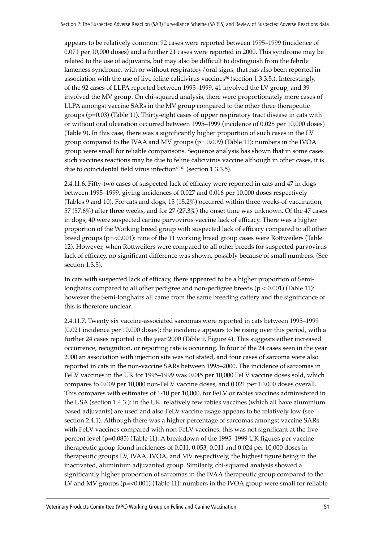appears to be relatively common: 92 cases were reported between 1995–1999 (incidence of 0.071 per 10,000 doses) and a further 21 cases were reported in 2000. This syndrome may be related to the use of adjuvants, but may also be difficult to distinguish from the febrile lameness syndrome, with or without respiratory/oral signs, that has also been reported in association with the use of live feline calicivirus vaccines<sup>56</sup> (section 1.3.3.5.). Interestingly, of the 92 cases of LLPA reported between 1995-1999, 41 involved the LV group, and 39 involved the MV group. On chi-squared analysis, there were proportionately more cases of LLPA amongst vaccine SARs in the MV group compared to the other three therapeutic groups (p=0.03) (Table 11). Thirty-eight cases of upper respiratory tract disease in cats with or without oral ulceration occurred between 1995–1999 (incidence of 0.028 per 10,000 doses) (Table 9). In this case, there was a significantly higher proportion of such cases in the LV group compared to the IVAA and MV groups  $(p= 0.009)$  (Table 11): numbers in the IVOA group were small for reliable comparisons. Sequence analysis has shown that in some cases such vaccines reactions may be due to feline calicivirus vaccine although in other cases, it is due to coincidental field virus infection $60, 61$  (section 1.3.3.5).

2.4.11.6. Fifty-two cases of suspected lack of efficacy were reported in cats and 47 in dogs between 1995–1999, giving incidences of 0.027 and 0.016 per 10,000 doses respectively (Tables 9 and 10). For cats and dogs, 15 (15.2%) occurred within three weeks of vaccination, 57 (57.6%) after three weeks, and for 27 (27.3%) the onset time was unknown. Of the 47 cases in dogs, 40 were suspected canine parvovirus vaccine lack of efficacy. There was a higher proportion of the Working breed group with suspected lack of efficacy compared to all other breed groups (p=<0.001): nine of the 11 working breed group cases were Rottweilers (Table 12). However, when Rottweilers were compared to all other breeds for suspected parvovirus lack of efficacy, no significant difference was shown, possibly because of small numbers. (See section 1.3.5).

In cats with suspected lack of efficacy, there appeared to be a higher proportion of Semilonghairs compared to all other pedigree and non-pedigree breeds (p < 0.001) (Table 11): however the Semi-longhairs all came from the same breeding cattery and the significance of this is therefore unclear.

2.4.11.7. Twenty six vaccine-associated sarcomas were reported in cats between 1995-1999 (0.021 incidence per 10,000 doses): the incidence appears to be rising over this period, with a further 24 cases reported in the year 2000 (Table 9, Figure 4). This suggests either increased occurrence, recognition, or reporting rate is occurring. In four of the 24 cases seen in the year 2000 an association with injection site was not stated, and four cases of sarcoma were also reported in cats in the non-vaccine SARs between 1995–2000. The incidence of sarcomas in FeLV vaccines in the UK for 1995–1999 was 0.045 per 10,000 FeLV vaccine doses sold, which compares to 0.009 per 10,000 non-FeLV vaccine doses, and 0.021 per 10,000 doses overall. This compares with estimates of 1-10 per 10,000, for FeLV or rabies vaccines administered in the USA (section 1.4.3.): in the UK, relatively few rabies vaccines (which all have aluminium based adjuvants) are used and also FeLV vaccine usage appears to be relatively low (see section 2.4.1). Although there was a higher percentage of sarcomas amongst vaccine SARs with FeLV vaccines compared with non-FeLV vaccines, this was not significant at the five percent level (p=0.085) (Table 11). A breakdown of the 1995–1999 UK figures per vaccine therapeutic group found incidences of 0.011, 0.053, 0.011 and 0.024 per 10,000 doses in therapeutic groups LV, IVAA, IVOA, and MV respectively, the highest figure being in the inactivated, aluminium adjuvanted group. Similarly, chi-squared analysis showed a significantly higher proportion of sarcomas in the IVAA therapeutic group compared to the LV and MV groups  $(p=<0.001)$  (Table 11): numbers in the IVOA group were small for reliable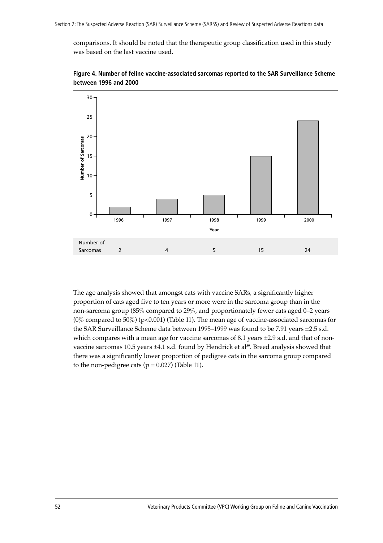comparisons. It should be noted that the therapeutic group classification used in this study was based on the last vaccine used.



**Figure 4. Number of feline vaccine-associated sarcomas reported to the SAR Surveillance Scheme between 1996 and 2000**

The age analysis showed that amongst cats with vaccine SARs, a significantly higher proportion of cats aged five to ten years or more were in the sarcoma group than in the non-sarcoma group  $(85\%$  compared to  $29\%$ , and proportionately fewer cats aged 0–2 years (0% compared to 50%) (p<0.001) (Table 11). The mean age of vaccine-associated sarcomas for the SAR Surveillance Scheme data between 1995–1999 was found to be 7.91 years  $\pm$ 2.5 s.d. which compares with a mean age for vaccine sarcomas of 8.1 years ±2.9 s.d. and that of nonvaccine sarcomas 10.5 years  $\pm 4.1$  s.d. found by Hendrick et al<sup>89</sup>. Breed analysis showed that there was a significantly lower proportion of pedigree cats in the sarcoma group compared to the non-pedigree cats ( $p = 0.027$ ) (Table 11).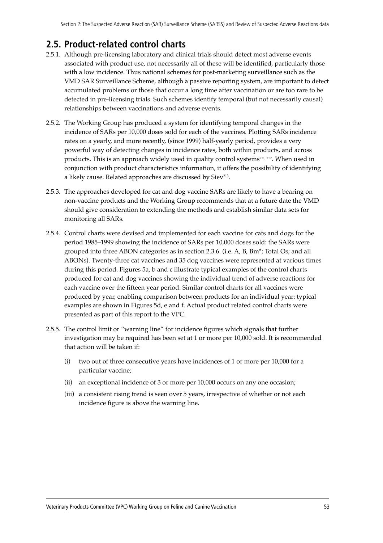## **2.5. Product-related control charts**

- 2.5.1. Although pre-licensing laboratory and clinical trials should detect most adverse events associated with product use, not necessarily all of these will be identified, particularly those with a low incidence. Thus national schemes for post-marketing surveillance such as the VMD SAR Surveillance Scheme, although a passive reporting system, are important to detect accumulated problems or those that occur a long time after vaccination or are too rare to be detected in pre-licensing trials. Such schemes identify temporal (but not necessarily causal) relationships between vaccinations and adverse events.
- 2.5.2. The Working Group has produced a system for identifying temporal changes in the incidence of SARs per 10,000 doses sold for each of the vaccines. Plotting SARs incidence rates on a yearly, and more recently, (since 1999) half-yearly period, provides a very powerful way of detecting changes in incidence rates, both within products, and across products. This is an approach widely used in quality control systems<sup>211, 212</sup>. When used in conjunction with product characteristics information, it offers the possibility of identifying a likely cause. Related approaches are discussed by Siev<sup>213</sup>.
- 2.5.3. The approaches developed for cat and dog vaccine SARs are likely to have a bearing on non-vaccine products and the Working Group recommends that at a future date the VMD should give consideration to extending the methods and establish similar data sets for monitoring all SARs.
- 2.5.4. Control charts were devised and implemented for each vaccine for cats and dogs for the period 1985–1999 showing the incidence of SARs per 10,000 doses sold: the SARs were grouped into three ABON categories as in section 2.3.6. (i.e. A, B, Bm\*; Total Os; and all ABONs). Twenty-three cat vaccines and 35 dog vaccines were represented at various times during this period. Figures 5a, b and c illustrate typical examples of the control charts produced for cat and dog vaccines showing the individual trend of adverse reactions for each vaccine over the fifteen year period. Similar control charts for all vaccines were produced by year, enabling comparison between products for an individual year: typical examples are shown in Figures 5d, e and f. Actual product related control charts were presented as part of this report to the VPC.
- 2.5.5. The control limit or "warning line" for incidence figures which signals that further investigation may be required has been set at 1 or more per 10,000 sold. It is recommended that action will be taken if:
	- (i) two out of three consecutive years have incidences of 1 or more per 10,000 for a particular vaccine;
	- (ii) an exceptional incidence of 3 or more per 10,000 occurs on any one occasion;
	- (iii) a consistent rising trend is seen over 5 years, irrespective of whether or not each incidence figure is above the warning line.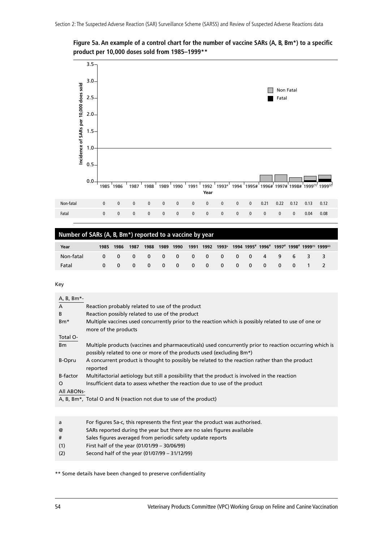**Figure 5a. An example of a control chart for the number of vaccine SARs (A, B, Bm\*) to a specific product per 10,000 doses sold from 1985–1999\*\***



| Number of SARs (A, B, Bm <sup>*</sup> ) reported to a vaccine by year |  |           |      |      |           |  |  |  |                                                                          |  |  |  |  |
|-----------------------------------------------------------------------|--|-----------|------|------|-----------|--|--|--|--------------------------------------------------------------------------|--|--|--|--|
| Year                                                                  |  | 1985 1986 | 1987 | 1988 | 1989 1990 |  |  |  | 1991 1992 1993 <sup>a</sup> 1994 1995# 1996# 1997# 1998# 1999(1) 1999(2) |  |  |  |  |
| Non-fatal                                                             |  |           |      |      |           |  |  |  | 0 0 0 0 0 0 0 0 0 0 0 0 4 9 6 3 3                                        |  |  |  |  |
| Fatal                                                                 |  |           |      |      |           |  |  |  | 0 0 0 0 0 0 0 0 0 0 0 0 0 1                                              |  |  |  |  |

Key

| A, B, Bm*-      |                                                                                                                                                                                 |
|-----------------|---------------------------------------------------------------------------------------------------------------------------------------------------------------------------------|
| $\overline{A}$  | Reaction probably related to use of the product                                                                                                                                 |
| B               | Reaction possibly related to use of the product                                                                                                                                 |
| Bm <sup>*</sup> | Multiple vaccines used concurrently prior to the reaction which is possibly related to use of one or<br>more of the products                                                    |
| Total O-        |                                                                                                                                                                                 |
| B <sub>m</sub>  | Multiple products (vaccines and pharmaceuticals) used concurrently prior to reaction occurring which is<br>possibly related to one or more of the products used (excluding Bm*) |
| B-Opru          | A concurrent product is thought to possibly be related to the reaction rather than the product<br>reported                                                                      |
| B-factor        | Multifactorial aetiology but still a possibility that the product is involved in the reaction                                                                                   |
| $\Omega$        | Insufficient data to assess whether the reaction due to use of the product                                                                                                      |
| All ABONs-      |                                                                                                                                                                                 |
|                 | A, B, Bm <sup>*</sup> , Total O and N (reaction not due to use of the product)                                                                                                  |
|                 |                                                                                                                                                                                 |

| a   | For figures 5a-c, this represents the first year the product was authorised. |
|-----|------------------------------------------------------------------------------|
| @   | SARs reported during the year but there are no sales figures available       |
| #   | Sales figures averaged from periodic safety update reports                   |
| (1) | First half of the year (01/01/99 - 30/06/99)                                 |
| (2) | Second half of the year (01/07/99 - 31/12/99)                                |

\*\* Some details have been changed to preserve confidentiality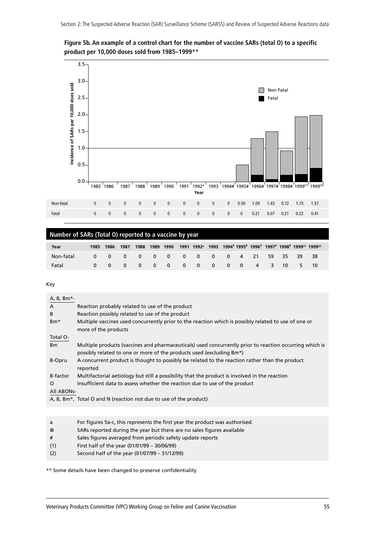



### **Number of SARs (Total O) reported to a vaccine by year**

| Year      | 1985 | 1986     | 1987                     | 1988                                        |  |                                                  |                          |                         |               |       |     |                | $1989$ 1990 1991 1992 $^{\circ}$ 1993 1994#1995#1996#1997#1998#1999 $^{(1)}$ 1999 $^{(2)}$ |  |
|-----------|------|----------|--------------------------|---------------------------------------------|--|--------------------------------------------------|--------------------------|-------------------------|---------------|-------|-----|----------------|--------------------------------------------------------------------------------------------|--|
| Non-fatal |      | 0        | $0\quad 0\quad 0\quad 0$ |                                             |  | $\begin{array}{ccc} & & 0 & & 0 \end{array}$     | $0\qquad 0$              |                         | $4 \quad 21$  | 59 35 |     | - 39           | - 38                                                                                       |  |
| Fatal     |      | $\Omega$ | $\overline{\mathbf{0}}$  | $\begin{array}{cccc} 0 & 0 & 0 \end{array}$ |  | $\begin{array}{ccc} & & 0 & \quad 0 \end{array}$ | $\overline{\phantom{0}}$ | $\overline{\mathbf{0}}$ | $0 \t 4 \t 3$ |       | -10 | 5 <sub>5</sub> | -10                                                                                        |  |

Key

| A, B, Bm*-      |                                                                                                                                                                                 |
|-----------------|---------------------------------------------------------------------------------------------------------------------------------------------------------------------------------|
| $\mathsf{A}$    | Reaction probably related to use of the product                                                                                                                                 |
| B               | Reaction possibly related to use of the product                                                                                                                                 |
| Bm <sup>*</sup> | Multiple vaccines used concurrently prior to the reaction which is possibly related to use of one or<br>more of the products                                                    |
| Total O-        |                                                                                                                                                                                 |
| B <sub>m</sub>  | Multiple products (vaccines and pharmaceuticals) used concurrently prior to reaction occurring which is<br>possibly related to one or more of the products used (excluding Bm*) |
| B-Opru          | A concurrent product is thought to possibly be related to the reaction rather than the product<br>reported                                                                      |
| <b>B-factor</b> | Multifactorial aetiology but still a possibility that the product is involved in the reaction                                                                                   |
| $\Omega$        | Insufficient data to assess whether the reaction due to use of the product                                                                                                      |
| All ABONs-      |                                                                                                                                                                                 |
|                 | A, B, Bm <sup>*</sup> , Total O and N (reaction not due to use of the product)                                                                                                  |

| a   | For figures 5a-c, this represents the first year the product was authorised. |
|-----|------------------------------------------------------------------------------|
| @   | SARs reported during the year but there are no sales figures available       |
| #   | Sales figures averaged from periodic safety update reports                   |
| (1) | First half of the year (01/01/99 - 30/06/99)                                 |
| (2) | Second half of the year (01/07/99 - 31/12/99)                                |

\*\* Some details have been changed to preserve confidentiality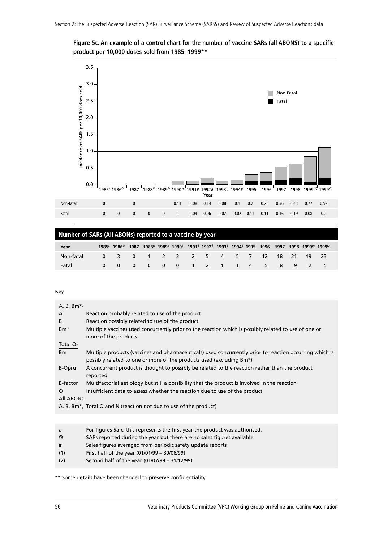**Figure 5c. An example of a control chart for the number of vaccine SARs (all ABONS) to a specific product per 10,000 doses sold from 1985–1999\*\***



|           | Number of SARs (All ABONs) reported to a vaccine by year |  |  |  |  |  |  |  |  |  |  |  |  |                                                                                                                                                                                                                                    |  |
|-----------|----------------------------------------------------------|--|--|--|--|--|--|--|--|--|--|--|--|------------------------------------------------------------------------------------------------------------------------------------------------------------------------------------------------------------------------------------|--|
| Year      |                                                          |  |  |  |  |  |  |  |  |  |  |  |  | 1985 <sup>a</sup> 1986 <sup>®</sup> 1987 1988 <sup>®</sup> 1989 <sup>®</sup> 1990 <sup>#</sup> 1991 <sup>#</sup> 1992 <sup>#</sup> 1993 <sup>#</sup> 1994 <sup>#</sup> 1995 1996 1997 1998 1999 <sup>(1)</sup> 1999 <sup>(2)</sup> |  |
| Non-fatal |                                                          |  |  |  |  |  |  |  |  |  |  |  |  | 0 3 0 1 2 3 2 5 4 5 7 12 18 21 19 23                                                                                                                                                                                               |  |
| Fatal     |                                                          |  |  |  |  |  |  |  |  |  |  |  |  | 0 0 0 0 0 0 1 2 1 1 4 5 8 9 2 5                                                                                                                                                                                                    |  |

Key

| A, B, Bm*-                                                                                                                                                                                        |  |
|---------------------------------------------------------------------------------------------------------------------------------------------------------------------------------------------------|--|
|                                                                                                                                                                                                   |  |
| $\mathsf{A}$<br>Reaction probably related to use of the product                                                                                                                                   |  |
| Reaction possibly related to use of the product<br>B                                                                                                                                              |  |
| Multiple vaccines used concurrently prior to the reaction which is possibly related to use of one or<br>Bm <sup>*</sup><br>more of the products                                                   |  |
| Total O-                                                                                                                                                                                          |  |
| Multiple products (vaccines and pharmaceuticals) used concurrently prior to reaction occurring which is<br>B <sub>m</sub><br>possibly related to one or more of the products used (excluding Bm*) |  |
| A concurrent product is thought to possibly be related to the reaction rather than the product<br>B-Opru<br>reported                                                                              |  |
| B-factor<br>Multifactorial aetiology but still a possibility that the product is involved in the reaction                                                                                         |  |
| Insufficient data to assess whether the reaction due to use of the product<br>$\Omega$                                                                                                            |  |
| All ABONs-                                                                                                                                                                                        |  |
| A, B, Bm*, Total O and N (reaction not due to use of the product)                                                                                                                                 |  |

- a For figures 5a-c, this represents the first year the product was authorised.
- @ SARs reported during the year but there are no sales figures available
- # Sales figures averaged from periodic safety update reports
- (1) First half of the year (01/01/99 30/06/99)
- (2) Second half of the year (01/07/99 31/12/99)

\*\* Some details have been changed to preserve confidentiality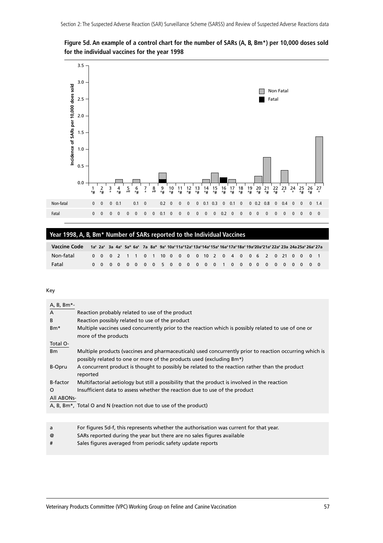

**Figure 5d. An example of a control chart for the number of SARs (A, B, Bm\*) per 10,000 doses sold for the individual vaccines for the year 1998**

#### **Year 1998, A, B, Bm\* Number of SARs reported to the Individual Vaccines**

| Vaccine Code 1a* 2a* 3a 4a* 5a* 6a* 7a 8a* 9a*10a*11a*12a*13a*14a*15a*16a*17a*18a*19a*20a*21a*22a*23a 24a25a*26a*27a |  |  |  |  |  |  |  |  |  |  |  |                                                          |  |  |
|----------------------------------------------------------------------------------------------------------------------|--|--|--|--|--|--|--|--|--|--|--|----------------------------------------------------------|--|--|
| Non-fatal                                                                                                            |  |  |  |  |  |  |  |  |  |  |  | 0 0 0 2 1 1 0 1 10 0 0 0 0 10 2 0 4 0 0 6 2 0 21 0 0 0 1 |  |  |
| Fatal                                                                                                                |  |  |  |  |  |  |  |  |  |  |  |                                                          |  |  |

| A, B, Bm*-     |                                                                                                                                                                                 |
|----------------|---------------------------------------------------------------------------------------------------------------------------------------------------------------------------------|
| $\mathsf{A}$   | Reaction probably related to use of the product                                                                                                                                 |
| B              | Reaction possibly related to use of the product                                                                                                                                 |
| $Bm*$          | Multiple vaccines used concurrently prior to the reaction which is possibly related to use of one or<br>more of the products                                                    |
| Total O-       |                                                                                                                                                                                 |
| B <sub>m</sub> | Multiple products (vaccines and pharmaceuticals) used concurrently prior to reaction occurring which is<br>possibly related to one or more of the products used (excluding Bm*) |
| B-Opru         | A concurrent product is thought to possibly be related to the reaction rather than the product<br>reported                                                                      |
| B-factor       | Multifactorial aetiology but still a possibility that the product is involved in the reaction                                                                                   |
| $\Omega$       | Insufficient data to assess whether the reaction due to use of the product                                                                                                      |
| All ABONs-     |                                                                                                                                                                                 |
|                | A, B, Bm <sup>*</sup> , Total O and N (reaction not due to use of the product)                                                                                                  |

- a For figures 5d-f, this represents whether the authorisation was current for that year.
- @ SARs reported during the year but there are no sales figures available
- # Sales figures averaged from periodic safety update reports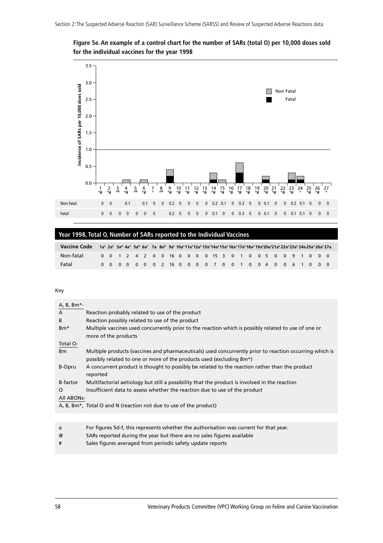**Figure 5e. An example of a control chart for the number of SARs (total O) per 10,000 doses sold for the individual vaccines for the year 1998**



#### **Year 1998, Total O, Number of SARs reported to the Individual Vaccines**

| Vaccine Code 1a* 2a* 3a* 4a* 5a* 6a* 7a 8a* 9a* 10a*11a*12a* 13a*14a*15a* 16a*17a*18a* 19a*20a*21a* 22a* 23a* 24a 25a* 26a* 27a |  |  |  |  |                                                         |  |  |  |  |  |  |  |  |  |
|---------------------------------------------------------------------------------------------------------------------------------|--|--|--|--|---------------------------------------------------------|--|--|--|--|--|--|--|--|--|
| Non-fatal                                                                                                                       |  |  |  |  | 0 0 1 2 4 2 0 0 16 0 0 0 0 15 3 0 1 0 0 5 0 0 9 1 0 0 0 |  |  |  |  |  |  |  |  |  |
| Fatal                                                                                                                           |  |  |  |  | 0 0 0 0 0 0 0 2 16 0 0 0 0 7 0 0 1 0 0 4 0 0 6 1 0 0 0  |  |  |  |  |  |  |  |  |  |

| A, B, Bm*-      |                                                                                                                                                                                 |
|-----------------|---------------------------------------------------------------------------------------------------------------------------------------------------------------------------------|
| $\overline{A}$  | Reaction probably related to use of the product                                                                                                                                 |
| B               | Reaction possibly related to use of the product                                                                                                                                 |
| Bm <sup>*</sup> | Multiple vaccines used concurrently prior to the reaction which is possibly related to use of one or<br>more of the products                                                    |
| Total O-        |                                                                                                                                                                                 |
| B <sub>m</sub>  | Multiple products (vaccines and pharmaceuticals) used concurrently prior to reaction occurring which is<br>possibly related to one or more of the products used (excluding Bm*) |
| B-Opru          | A concurrent product is thought to possibly be related to the reaction rather than the product<br>reported                                                                      |
| B-factor        | Multifactorial aetiology but still a possibility that the product is involved in the reaction                                                                                   |
| $\Omega$        | Insufficient data to assess whether the reaction due to use of the product                                                                                                      |
| All ABONs-      |                                                                                                                                                                                 |
|                 | A, B, Bm <sup>*</sup> , Total O and N (reaction not due to use of the product)                                                                                                  |
|                 |                                                                                                                                                                                 |

- a For figures 5d-f, this represents whether the authorisation was current for that year.
- @ SARs reported during the year but there are no sales figures available
- # Sales figures averaged from periodic safety update reports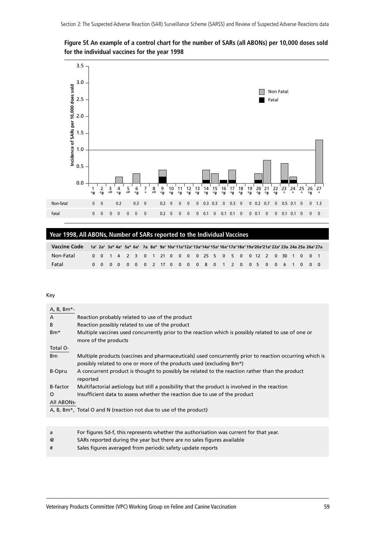

#### **Figure 5f. An example of a control chart for the number of SARs (all ABONs) per 10,000 doses sold for the individual vaccines for the year 1998**

#### **Year 1998, All ABONs, Number of SARs reported to the Individual Vaccines**

| Vaccine Code 1a* 2a* 3a* 4a* 5a* 6a* 7a 8a* 9a* 10a*11a*12a*13a*14a*15a*16a*17a*18a*19a*20a*21a*22a*23a 24a 25a 26a*27a |  |  |  |  |  |  |  |  |  |  |  |                                                           |  |  |
|-------------------------------------------------------------------------------------------------------------------------|--|--|--|--|--|--|--|--|--|--|--|-----------------------------------------------------------|--|--|
| Non-Fatal                                                                                                               |  |  |  |  |  |  |  |  |  |  |  | 0 0 1 4 2 3 0 1 21 0 0 0 0 25 5 0 5 0 0 12 2 0 30 1 0 0 1 |  |  |
| Fatal                                                                                                                   |  |  |  |  |  |  |  |  |  |  |  | 0 0 0 0 0 0 0 2 17 0 0 0 0 8 0 1 2 0 0 5 0 0 6 1 0 0 0    |  |  |

| A, B, Bm*-       |                                                                                                         |
|------------------|---------------------------------------------------------------------------------------------------------|
| $\overline{A}$   | Reaction probably related to use of the product                                                         |
| B                | Reaction possibly related to use of the product                                                         |
| B <sub>m</sub> * | Multiple vaccines used concurrently prior to the reaction which is possibly related to use of one or    |
|                  | more of the products                                                                                    |
| Total O-         |                                                                                                         |
| B <sub>m</sub>   | Multiple products (vaccines and pharmaceuticals) used concurrently prior to reaction occurring which is |
|                  | possibly related to one or more of the products used (excluding Bm*)                                    |
| B-Opru           | A concurrent product is thought to possibly be related to the reaction rather than the product          |
|                  | reported                                                                                                |
| <b>B-factor</b>  | Multifactorial aetiology but still a possibility that the product is involved in the reaction           |
| O                | Insufficient data to assess whether the reaction due to use of the product                              |
| All ABONs-       |                                                                                                         |
|                  | A, B, Bm <sup>*</sup> , Total O and N (reaction not due to use of the product)                          |
|                  |                                                                                                         |

- a For figures 5d-f, this represents whether the authorisation was current for that year.
- @ SARs reported during the year but there are no sales figures available
- # Sales figures averaged from periodic safety update reports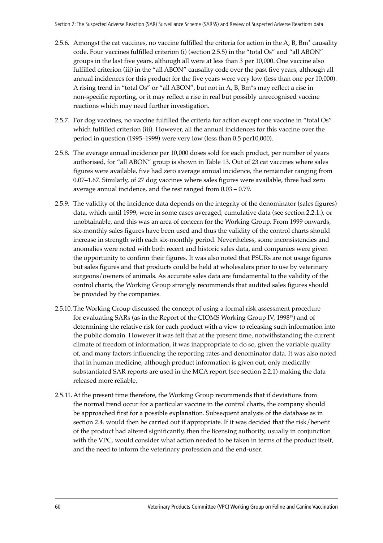- 2.5.6. Amongst the cat vaccines, no vaccine fulfilled the criteria for action in the A, B, Bm\* causality code. Four vaccines fulfilled criterion (i) (section 2.5.5) in the "total Os" and "all ABON" groups in the last five years, although all were at less than 3 per 10,000. One vaccine also fulfilled criterion (iii) in the "all ABON" causality code over the past five years, although all annual incidences for this product for the five years were very low (less than one per 10,000). A rising trend in "total Os" or "all ABON", but not in A, B, Bm\*s may reflect a rise in non-specific reporting, or it may reflect a rise in real but possibly unrecognised vaccine reactions which may need further investigation.
- 2.5.7. For dog vaccines, no vaccine fulfilled the criteria for action except one vaccine in "total Os" which fulfilled criterion (iii). However, all the annual incidences for this vaccine over the period in question (1995–1999) were very low (less than  $0.5$  per10,000).
- 2.5.8. The average annual incidence per 10,000 doses sold for each product, per number of years authorised, for "all ABON" group is shown in Table 13. Out of 23 cat vaccines where sales figures were available, five had zero average annual incidence, the remainder ranging from 0.07-1.67. Similarly, of 27 dog vaccines where sales figures were available, three had zero average annual incidence, and the rest ranged from  $0.03 - 0.79$ .
- 2.5.9. The validity of the incidence data depends on the integrity of the denominator (sales figures) data, which until 1999, were in some cases averaged, cumulative data (see section 2.2.1.), or unobtainable, and this was an area of concern for the Working Group. From 1999 onwards, six-monthly sales figures have been used and thus the validity of the control charts should increase in strength with each six-monthly period. Nevertheless, some inconsistencies and anomalies were noted with both recent and historic sales data, and companies were given the opportunity to confirm their figures. It was also noted that PSURs are not usage figures but sales figures and that products could be held at wholesalers prior to use by veterinary surgeons/owners of animals. As accurate sales data are fundamental to the validity of the control charts, the Working Group strongly recommends that audited sales figures should be provided by the companies.
- 2.5.10. The Working Group discussed the concept of using a formal risk assessment procedure for evaluating SARs (as in the Report of the CIOMS Working Group IV, 199819) and of determining the relative risk for each product with a view to releasing such information into the public domain. However it was felt that at the present time, notwithstanding the current climate of freedom of information, it was inappropriate to do so, given the variable quality of, and many factors influencing the reporting rates and denominator data. It was also noted that in human medicine, although product information is given out, only medically substantiated SAR reports are used in the MCA report (see section 2.2.1) making the data released more reliable.
- 2.5.11. At the present time therefore, the Working Group recommends that if deviations from the normal trend occur for a particular vaccine in the control charts, the company should be approached first for a possible explanation. Subsequent analysis of the database as in section 2.4. would then be carried out if appropriate. If it was decided that the risk/benefit of the product had altered significantly, then the licensing authority, usually in conjunction with the VPC, would consider what action needed to be taken in terms of the product itself, and the need to inform the veterinary profession and the end-user.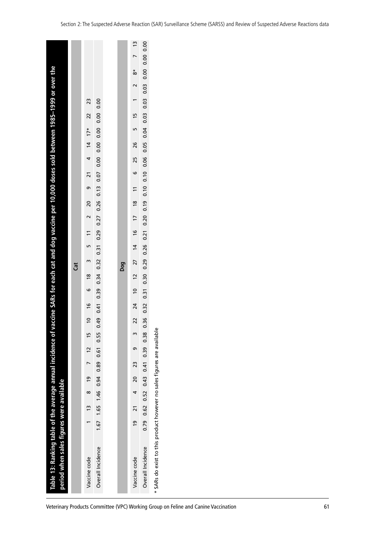|                                                                                                        |     |                     |                   |     |                          |                   | Veterinary Products Committee (VPC) Working Group on Feline and Canine Vaccination | 61 |
|--------------------------------------------------------------------------------------------------------|-----|---------------------|-------------------|-----|--------------------------|-------------------|------------------------------------------------------------------------------------|----|
| Table 13: Ranking table of the average annual incidence of<br>period when sales figures were available |     | Vaccine code        | Overall Incidence |     | Vaccine code             | Overall Incidence | SARs do exist to this product however no sales figures are availabl<br>$\ast$      |    |
|                                                                                                        |     |                     | 1.67              |     | $\overline{9}$           | 0.79              |                                                                                    |    |
|                                                                                                        |     |                     | 1.65              |     |                          | 0.62              |                                                                                    |    |
|                                                                                                        |     | $\tilde{1}$         | 1.46              |     | $\overline{2}$           | 0.52              |                                                                                    |    |
|                                                                                                        |     | $\infty$            |                   |     | 4                        |                   |                                                                                    |    |
|                                                                                                        |     | <b>e</b>            | 0.94              |     | $\overline{\mathcal{L}}$ | 0.43              |                                                                                    |    |
|                                                                                                        |     | $\overline{ }$      | 0.89              |     | 23                       | 0.41              |                                                                                    |    |
|                                                                                                        |     | 12                  | 0.61              |     | თ                        | 0.39              |                                                                                    |    |
|                                                                                                        |     | $\overline{1}$      | 0.55              |     | m                        | 0.38              | $\pmb{\mathsf{v}}$                                                                 |    |
|                                                                                                        |     | $\overline{c}$      | 0.49              |     | 22                       | 0.36              |                                                                                    |    |
|                                                                                                        |     | $\frac{6}{2}$       | 0.41              |     | $\overline{24}$          | 0.32              |                                                                                    |    |
|                                                                                                        |     | 6                   | 0.39              |     | $\overline{c}$           | 0.31              |                                                                                    |    |
|                                                                                                        | Cat | $\frac{8}{2}$       | 0.34              | Dog | $\overline{c}$           | 0.30              |                                                                                    |    |
| vaccine SARs for each cat and dog vaccine per 10,000 doses sold between 1985-1999 or over the          |     | m                   | 0.32              |     | 27                       | 0.29              |                                                                                    |    |
|                                                                                                        |     | S                   | 0.31              |     | $\overline{4}$           | 0.26              |                                                                                    |    |
|                                                                                                        |     | $\overline{1}$      | 0.29              |     | $\frac{6}{2}$            | 0.21              |                                                                                    |    |
|                                                                                                        |     | $\sim$              | 0.27              |     | $\overline{1}$           | 0.20              |                                                                                    |    |
|                                                                                                        |     | $\Omega$            | 0.13<br>0.26      |     | $\frac{8}{2}$            | 0.10<br>0.19      |                                                                                    |    |
|                                                                                                        |     | ō                   | 0.07              |     | $\overline{1}$           | 0.10              |                                                                                    |    |
|                                                                                                        |     | $\overline{2}1$     | 0.00              |     | م                        | 0.06              |                                                                                    |    |
|                                                                                                        |     | $\overline{4}$<br>4 | 0.00              |     | 26<br>25                 | 0.05              |                                                                                    |    |
|                                                                                                        |     | $17*$               | 0.00              |     |                          | 0.04              |                                                                                    |    |
|                                                                                                        |     | $\overline{2}$      | 0.00              |     | $\frac{15}{2}$<br>LN     | 0.03              |                                                                                    |    |
|                                                                                                        |     | 23                  | 0.00              |     | $\overline{ }$           | 0.03              |                                                                                    |    |
|                                                                                                        |     |                     |                   |     | $\sim$                   | 0.03              |                                                                                    |    |
|                                                                                                        |     |                     |                   |     | $\stackrel{*}{\infty}$   | 0.00              |                                                                                    |    |
|                                                                                                        |     |                     |                   |     | $\overline{ }$           | $0.00\ 0.00$      |                                                                                    |    |
|                                                                                                        |     |                     |                   |     | $\frac{2}{3}$            |                   |                                                                                    |    |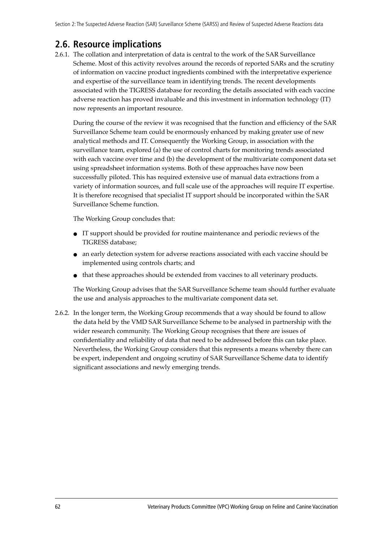## **2.6. Resource implications**

2.6.1. The collation and interpretation of data is central to the work of the SAR Surveillance Scheme. Most of this activity revolves around the records of reported SARs and the scrutiny of information on vaccine product ingredients combined with the interpretative experience and expertise of the surveillance team in identifying trends. The recent developments associated with the TIGRESS database for recording the details associated with each vaccine adverse reaction has proved invaluable and this investment in information technology (IT) now represents an important resource.

During the course of the review it was recognised that the function and efficiency of the SAR Surveillance Scheme team could be enormously enhanced by making greater use of new analytical methods and IT. Consequently the Working Group, in association with the surveillance team, explored (a) the use of control charts for monitoring trends associated with each vaccine over time and (b) the development of the multivariate component data set using spreadsheet information systems. Both of these approaches have now been successfully piloted. This has required extensive use of manual data extractions from a variety of information sources, and full scale use of the approaches will require IT expertise. It is therefore recognised that specialist IT support should be incorporated within the SAR Surveillance Scheme function.

The Working Group concludes that:

- IT support should be provided for routine maintenance and periodic reviews of the TIGRESS database;
- an early detection system for adverse reactions associated with each vaccine should be implemented using controls charts; and
- that these approaches should be extended from vaccines to all veterinary products.

The Working Group advises that the SAR Surveillance Scheme team should further evaluate the use and analysis approaches to the multivariate component data set.

2.6.2. In the longer term, the Working Group recommends that a way should be found to allow the data held by the VMD SAR Surveillance Scheme to be analysed in partnership with the wider research community. The Working Group recognises that there are issues of confidentiality and reliability of data that need to be addressed before this can take place. Nevertheless, the Working Group considers that this represents a means whereby there can be expert, independent and ongoing scrutiny of SAR Surveillance Scheme data to identify significant associations and newly emerging trends.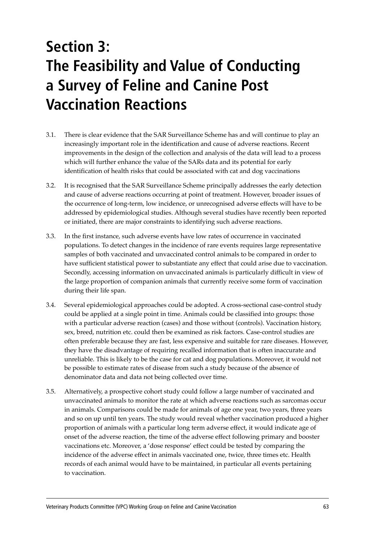# **Section 3: The Feasibility and Value of Conducting a Survey of Feline and Canine Post Vaccination Reactions**

- 3.1. There is clear evidence that the SAR Surveillance Scheme has and will continue to play an increasingly important role in the identification and cause of adverse reactions. Recent improvements in the design of the collection and analysis of the data will lead to a process which will further enhance the value of the SARs data and its potential for early identification of health risks that could be associated with cat and dog vaccinations
- 3.2. It is recognised that the SAR Surveillance Scheme principally addresses the early detection and cause of adverse reactions occurring at point of treatment. However, broader issues of the occurrence of long-term, low incidence, or unrecognised adverse effects will have to be addressed by epidemiological studies. Although several studies have recently been reported or initiated, there are major constraints to identifying such adverse reactions.
- 3.3. In the first instance, such adverse events have low rates of occurrence in vaccinated populations. To detect changes in the incidence of rare events requires large representative samples of both vaccinated and unvaccinated control animals to be compared in order to have sufficient statistical power to substantiate any effect that could arise due to vaccination. Secondly, accessing information on unvaccinated animals is particularly difficult in view of the large proportion of companion animals that currently receive some form of vaccination during their life span.
- 3.4. Several epidemiological approaches could be adopted. A cross-sectional case-control study could be applied at a single point in time. Animals could be classified into groups: those with a particular adverse reaction (cases) and those without (controls). Vaccination history, sex, breed, nutrition etc. could then be examined as risk factors. Case-control studies are often preferable because they are fast, less expensive and suitable for rare diseases. However, they have the disadvantage of requiring recalled information that is often inaccurate and unreliable. This is likely to be the case for cat and dog populations. Moreover, it would not be possible to estimate rates of disease from such a study because of the absence of denominator data and data not being collected over time.
- 3.5. Alternatively, a prospective cohort study could follow a large number of vaccinated and unvaccinated animals to monitor the rate at which adverse reactions such as sarcomas occur in animals. Comparisons could be made for animals of age one year, two years, three years and so on up until ten years. The study would reveal whether vaccination produced a higher proportion of animals with a particular long term adverse effect, it would indicate age of onset of the adverse reaction, the time of the adverse effect following primary and booster vaccinations etc. Moreover, a 'dose response' effect could be tested by comparing the incidence of the adverse effect in animals vaccinated one, twice, three times etc. Health records of each animal would have to be maintained, in particular all events pertaining to vaccination.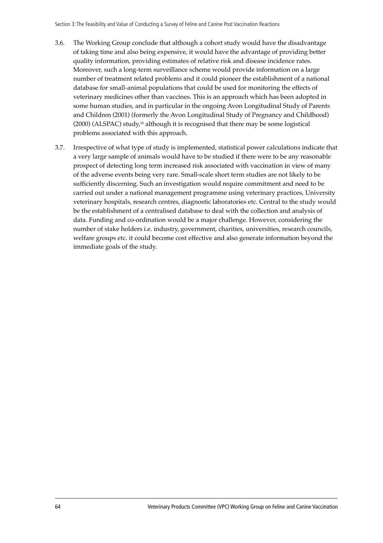- 3.6. The Working Group conclude that although a cohort study would have the disadvantage of taking time and also being expensive, it would have the advantage of providing better quality information, providing estimates of relative risk and disease incidence rates. Moreover, such a long-term surveillance scheme would provide information on a large number of treatment related problems and it could pioneer the establishment of a national database for small-animal populations that could be used for monitoring the effects of veterinary medicines other than vaccines. This is an approach which has been adopted in some human studies, and in particular in the ongoing Avon Longitudinal Study of Parents and Children (2001) (formerly the Avon Longitudinal Study of Pregnancy and Childhood) (2000) (ALSPAC) study,18 although it is recognised that there may be some logistical problems associated with this approach.
- 3.7. Irrespective of what type of study is implemented, statistical power calculations indicate that a very large sample of animals would have to be studied if there were to be any reasonable prospect of detecting long term increased risk associated with vaccination in view of many of the adverse events being very rare. Small-scale short term studies are not likely to be sufficiently discerning. Such an investigation would require commitment and need to be carried out under a national management programme using veterinary practices, University veterinary hospitals, research centres, diagnostic laboratories etc. Central to the study would be the establishment of a centralised database to deal with the collection and analysis of data. Funding and co-ordination would be a major challenge. However, considering the number of stake holders i.e. industry, government, charities, universities, research councils, welfare groups etc. it could become cost effective and also generate information beyond the immediate goals of the study.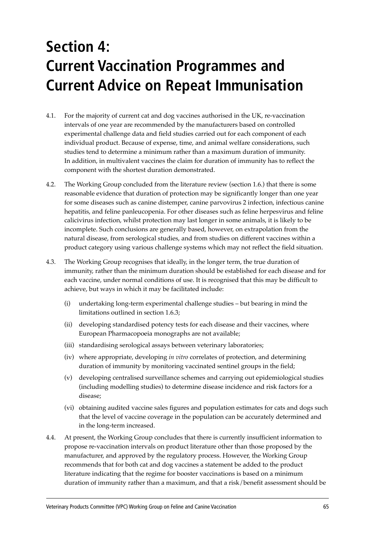# **Section 4: Current Vaccination Programmes and Current Advice on Repeat Immunisation**

- 4.1. For the majority of current cat and dog vaccines authorised in the UK, re-vaccination intervals of one year are recommended by the manufacturers based on controlled experimental challenge data and field studies carried out for each component of each individual product. Because of expense, time, and animal welfare considerations, such studies tend to determine a minimum rather than a maximum duration of immunity. In addition, in multivalent vaccines the claim for duration of immunity has to reflect the component with the shortest duration demonstrated.
- 4.2. The Working Group concluded from the literature review (section 1.6.) that there is some reasonable evidence that duration of protection may be significantly longer than one year for some diseases such as canine distemper, canine parvovirus 2 infection, infectious canine hepatitis, and feline panleucopenia. For other diseases such as feline herpesvirus and feline calicivirus infection, whilst protection may last longer in some animals, it is likely to be incomplete. Such conclusions are generally based, however, on extrapolation from the natural disease, from serological studies, and from studies on different vaccines within a product category using various challenge systems which may not reflect the field situation.
- 4.3. The Working Group recognises that ideally, in the longer term, the true duration of immunity, rather than the minimum duration should be established for each disease and for each vaccine, under normal conditions of use. It is recognised that this may be difficult to achieve, but ways in which it may be facilitated include:
	- $(i)$  undertaking long-term experimental challenge studies  $-$  but bearing in mind the limitations outlined in section 1.6.3;
	- (ii) developing standardised potency tests for each disease and their vaccines, where European Pharmacopoeia monographs are not available;
	- (iii) standardising serological assays between veterinary laboratories;
	- (iv) where appropriate, developing *in vitro* correlates of protection, and determining duration of immunity by monitoring vaccinated sentinel groups in the field;
	- (v) developing centralised surveillance schemes and carrying out epidemiological studies (including modelling studies) to determine disease incidence and risk factors for a disease;
	- (vi) obtaining audited vaccine sales figures and population estimates for cats and dogs such that the level of vaccine coverage in the population can be accurately determined and in the long-term increased.
- 4.4. At present, the Working Group concludes that there is currently insufficient information to propose re-vaccination intervals on product literature other than those proposed by the manufacturer, and approved by the regulatory process. However, the Working Group recommends that for both cat and dog vaccines a statement be added to the product literature indicating that the regime for booster vaccinations is based on a minimum duration of immunity rather than a maximum, and that a risk/benefit assessment should be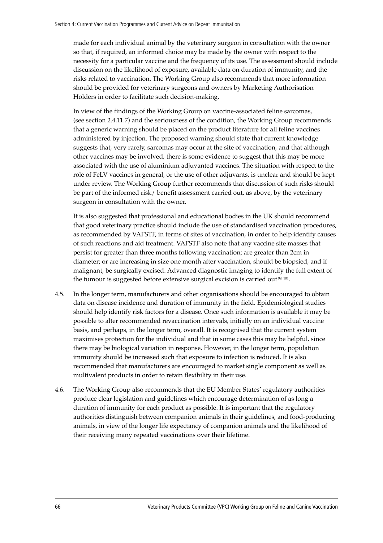made for each individual animal by the veterinary surgeon in consultation with the owner so that, if required, an informed choice may be made by the owner with respect to the necessity for a particular vaccine and the frequency of its use. The assessment should include discussion on the likelihood of exposure, available data on duration of immunity, and the risks related to vaccination. The Working Group also recommends that more information should be provided for veterinary surgeons and owners by Marketing Authorisation Holders in order to facilitate such decision-making.

In view of the findings of the Working Group on vaccine-associated feline sarcomas, (see section 2.4.11.7) and the seriousness of the condition, the Working Group recommends that a generic warning should be placed on the product literature for all feline vaccines administered by injection. The proposed warning should state that current knowledge suggests that, very rarely, sarcomas may occur at the site of vaccination, and that although other vaccines may be involved, there is some evidence to suggest that this may be more associated with the use of aluminium adjuvanted vaccines. The situation with respect to the role of FeLV vaccines in general, or the use of other adjuvants, is unclear and should be kept under review. The Working Group further recommends that discussion of such risks should be part of the informed risk/ benefit assessment carried out, as above, by the veterinary surgeon in consultation with the owner.

It is also suggested that professional and educational bodies in the UK should recommend that good veterinary practice should include the use of standardised vaccination procedures, as recommended by VAFSTF, in terms of sites of vaccination, in order to help identify causes of such reactions and aid treatment. VAFSTF also note that any vaccine site masses that persist for greater than three months following vaccination; are greater than 2cm in diameter; or are increasing in size one month after vaccination, should be biopsied, and if malignant, be surgically excised. Advanced diagnostic imaging to identify the full extent of the tumour is suggested before extensive surgical excision is carried out<sup>99, 101</sup>.

- 4.5. In the longer term, manufacturers and other organisations should be encouraged to obtain data on disease incidence and duration of immunity in the field. Epidemiological studies should help identify risk factors for a disease. Once such information is available it may be possible to alter recommended revaccination intervals, initially on an individual vaccine basis, and perhaps, in the longer term, overall. It is recognised that the current system maximises protection for the individual and that in some cases this may be helpful, since there may be biological variation in response. However, in the longer term, population immunity should be increased such that exposure to infection is reduced. It is also recommended that manufacturers are encouraged to market single component as well as multivalent products in order to retain flexibility in their use.
- 4.6. The Working Group also recommends that the EU Member States' regulatory authorities produce clear legislation and guidelines which encourage determination of as long a duration of immunity for each product as possible. It is important that the regulatory authorities distinguish between companion animals in their guidelines, and food-producing animals, in view of the longer life expectancy of companion animals and the likelihood of their receiving many repeated vaccinations over their lifetime.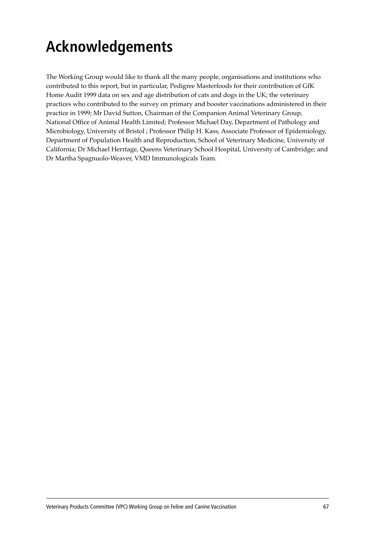# **Acknowledgements**

The Working Group would like to thank all the many people, organisations and institutions who contributed to this report, but in particular, Pedigree Masterfoods for their contribution of GfK Home Audit 1999 data on sex and age distribution of cats and dogs in the UK; the veterinary practices who contributed to the survey on primary and booster vaccinations administered in their practice in 1999; Mr David Sutton, Chairman of the Companion Animal Veterinary Group, National Office of Animal Health Limited; Professor Michael Day, Department of Pathology and Microbiology, University of Bristol ; Professor Philip H. Kass, Associate Professor of Epidemiology, Department of Population Health and Reproduction, School of Veterinary Medicine, University of California; Dr Michael Herrtage, Queens Veterinary School Hospital, University of Cambridge; and Dr Martha Spagnuolo-Weaver, VMD Immunologicals Team.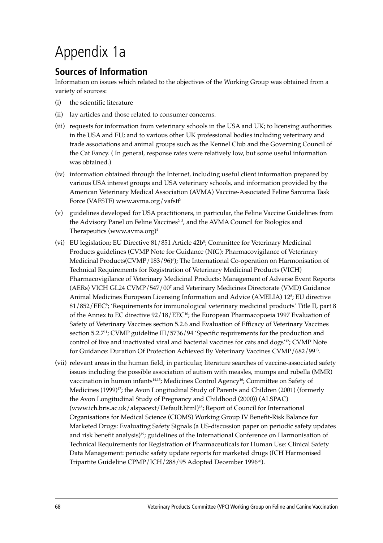# Appendix 1a

### **Sources of Information**

Information on issues which related to the objectives of the Working Group was obtained from a variety of sources:

- (i) the scientific literature
- (ii) lay articles and those related to consumer concerns.
- (iii) requests for information from veterinary schools in the USA and UK; to licensing authorities in the USA and EU; and to various other UK professional bodies including veterinary and trade associations and animal groups such as the Kennel Club and the Governing Council of the Cat Fancy. ( In general, response rates were relatively low, but some useful information was obtained.)
- (iv) information obtained through the Internet, including useful client information prepared by various USA interest groups and USA veterinary schools, and information provided by the American Veterinary Medical Association (AVMA) Vaccine-Associated Feline Sarcoma Task Force (VAFSTF) www.avma.org/vafstf<sup>1</sup>
- (v) guidelines developed for USA practitioners, in particular, the Feline Vaccine Guidelines from the Advisory Panel on Feline Vaccines<sup>2, 3</sup>, and the AVMA Council for Biologics and Therapeutics (www.avma.org)4
- (vi) EU legislation; EU Directive 81/851 Article 42b5 ; Committee for Veterinary Medicinal Products guidelines (CVMP Note for Guidance (NfG): Pharmacovigilance of Veterinary Medicinal Products(CVMP/183/96)°); The International Co-operation on Harmonisation of Technical Requirements for Registration of Veterinary Medicinal Products (VICH) Pharmacovigilance of Veterinary Medicinal Products: Management of Adverse Event Reports (AERs) VICH GL24 CVMP/547/007 and Veterinary Medicines Directorate (VMD) Guidance Animal Medicines European Licensing Information and Advice (AMELIA) 12<sup>s</sup>; EU directive 81/852/EEC°; 'Requirements for immunological veterinary medicinal products' Title II, part 8 of the Annex to EC directive  $92/18/EEC^{10}$ ; the European Pharmacopoeia 1997 Evaluation of Safety of Veterinary Vaccines section 5.2.6 and Evaluation of Efficacy of Veterinary Vaccines section 5.2.7<sup>11</sup>; CVMP guideline III/5736/94 'Specific requirements for the production and control of live and inactivated viral and bacterial vaccines for cats and dogs<sup>'12</sup>; CVMP Note for Guidance: Duration Of Protection Achieved By Veterinary Vaccines CVMP/682/9913.
- (vii) relevant areas in the human field, in particular, literature searches of vaccine-associated safety issues including the possible association of autism with measles, mumps and rubella (MMR) vaccination in human infants14,15; Medicines Control Agency16; Committee on Safety of Medicines (1999)<sup>17</sup>; the Avon Longitudinal Study of Parents and Children (2001) (formerly the Avon Longitudinal Study of Pregnancy and Childhood (2000)) (ALSPAC) (www.ich.bris.ac.uk/alspacext/Default.html)18; Report of Council for International Organisations for Medical Science (CIOMS) Working Group IV Benefit-Risk Balance for Marketed Drugs: Evaluating Safety Signals (a US-discussion paper on periodic safety updates and risk benefit analysis)<sup>19</sup>; guidelines of the International Conference on Harmonisation of Technical Requirements for Registration of Pharmaceuticals for Human Use: Clinical Safety Data Management: periodic safety update reports for marketed drugs (ICH Harmonised Tripartite Guideline CPMP/ICH/288/95 Adopted December 199620).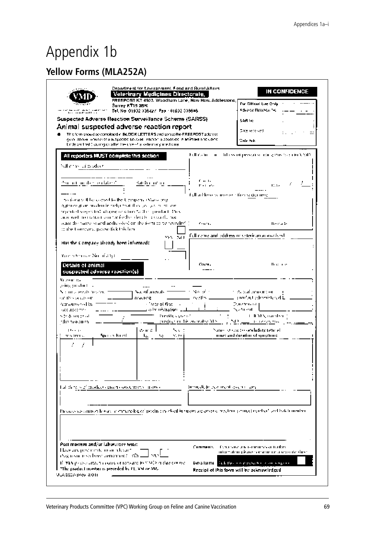# Appendix 1b

## **Yellow Forms (MLA252A)**

|                                                                                                      | Suspected Adverse Reaction Surveillance Scheme (SARSS)<br>Animal suspected adverse reaction report<br>This form should be completed in BILOGK LETTER'S and sent to the FREEPOST address.<br>gwyr Abdyn whoneyer a suspacied abydusel yarnori siabseryed in aniffraet impludyfiol |                                        | 548 Ve<br>Date received.<br>$=$<br>Cety Pude                                                                        |
|------------------------------------------------------------------------------------------------------|----------------------------------------------------------------------------------------------------------------------------------------------------------------------------------------------------------------------------------------------------------------------------------|----------------------------------------|---------------------------------------------------------------------------------------------------------------------|
|                                                                                                      | thrus and high, quangita after the use - 4 a veterinary institution                                                                                                                                                                                                              |                                        |                                                                                                                     |
| Sullandre dal producti                                                                               | All reporters MUST complete this section                                                                                                                                                                                                                                         |                                        | Full the full care and help symptoms are some as this face in the VAID.                                             |
| den om mented av datas C                                                                             | ⊀akhi m'ni                                                                                                                                                                                                                                                                       | f. a. d.<br>Port and                   | they of                                                                                                             |
|                                                                                                      | no form will be comed to the Umipers (Marso ang-<br>Authority at an incollection behavior that they approach in the con-<br>repented suggested, als give reaction to the spoonbact. They                                                                                         | Full arbhoses concerned time spacement |                                                                                                                     |
| or the Company, pages fick this law.                                                                 | ado, west the restaura contraction the plot (18 - 18 record), mor-<br>actor the harperst and addressles) on the form to be revisible? (1)                                                                                                                                        | Concerting                             | <b>Benade</b>                                                                                                       |
| Has the Company already been informed?                                                               | YES INCL.                                                                                                                                                                                                                                                                        |                                        | full name and address or veterinarian overly wh-                                                                    |
| Your historia - No of 30st                                                                           |                                                                                                                                                                                                                                                                                  |                                        |                                                                                                                     |
| Details of animal<br>suspected adverse reaction(s)<br>Report to                                      |                                                                                                                                                                                                                                                                                  | Court L                                | <b>Bookley</b>                                                                                                      |
| p-ing production<br>Not rate agends how team<br>on this seculo on<br>Administered by<br>occupations. | <br>t Nachfungsals =<br>reacting.<br>- Date of first Inc.<br>a administration - 11                                                                                                                                                                                               | No of th<br>coults =                   | these and insurance or<br>⊥ przieku) zdeseństwod L<br>Durchwood [<br>ha a thrìomh-                                  |
| ste & incorpor<br>rdin nouaiton.                                                                     | Previácia de contra                                                                                                                                                                                                                                                              | proglede in this ordinates. YES        | t di YES, maraber<br><b>CONTRACTOR</b>                                                                              |
| 11.111<br>and from se                                                                                | ward L<br>へいこ<br>Species Kingdi<br>N.H.I<br>he i<br>No.                                                                                                                                                                                                                          |                                        | Nation of concrete and udoty temped<br>most and duration of symptoms.                                               |
|                                                                                                      |                                                                                                                                                                                                                                                                                  |                                        |                                                                                                                     |
|                                                                                                      |                                                                                                                                                                                                                                                                                  |                                        |                                                                                                                     |
|                                                                                                      | fuil di ra surficiadad curecci condurents in avoi                                                                                                                                                                                                                                | Jimmediate acament aschi candi         |                                                                                                                     |
|                                                                                                      |                                                                                                                                                                                                                                                                                  |                                        | Previous succidance hoove in enhancing of poditions cheft in ruspecies are recommitted and received and back member |
|                                                                                                      |                                                                                                                                                                                                                                                                                  |                                        |                                                                                                                     |
|                                                                                                      |                                                                                                                                                                                                                                                                                  |                                        |                                                                                                                     |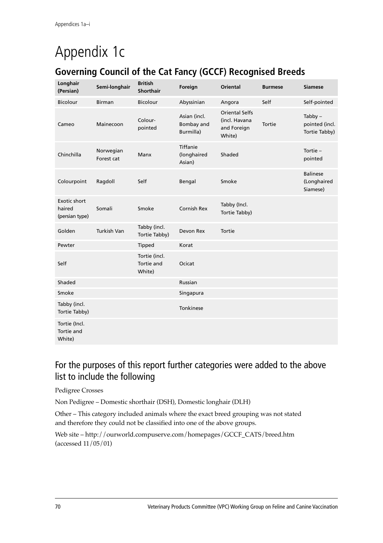# Appendix 1c

### **Governing Council of the Cat Fancy (GCCF) Recognised Breeds**

| Longhair<br>(Persian)                           | Semi-longhair           | <b>British</b><br><b>Shorthair</b>    | Foreign                                 | <b>Oriental</b>                                                 | <b>Burmese</b> | <b>Siamese</b>                               |
|-------------------------------------------------|-------------------------|---------------------------------------|-----------------------------------------|-----------------------------------------------------------------|----------------|----------------------------------------------|
| <b>Bicolour</b>                                 | <b>Birman</b>           | <b>Bicolour</b>                       | Abyssinian                              | Angora                                                          | Self           | Self-pointed                                 |
| Cameo                                           | Mainecoon               | Colour-<br>pointed                    | Asian (incl.<br>Bombay and<br>Burmilla) | <b>Oriental Selfs</b><br>(incl. Havana<br>and Foreign<br>White) | Tortie         | $Tabby -$<br>pointed (incl.<br>Tortie Tabby) |
| Chinchilla                                      | Norwegian<br>Forest cat | Manx                                  | Tiffanie<br>(longhaired<br>Asian)       | Shaded                                                          |                | Tortie $-$<br>pointed                        |
| Colourpoint                                     | Ragdoll                 | Self                                  | Bengal                                  | Smoke                                                           |                | <b>Balinese</b><br>(Longhaired<br>Siamese)   |
| <b>Exotic short</b><br>haired<br>(persian type) | Somali                  | Smoke                                 | Cornish Rex                             | Tabby (Incl.<br>Tortie Tabby)                                   |                |                                              |
| Golden                                          | <b>Turkish Van</b>      | Tabby (incl.<br>Tortie Tabby)         | Devon Rex                               | Tortie                                                          |                |                                              |
| Pewter                                          |                         | Tipped                                | Korat                                   |                                                                 |                |                                              |
| Self                                            |                         | Tortie (incl.<br>Tortie and<br>White) | Ocicat                                  |                                                                 |                |                                              |
| Shaded                                          |                         |                                       | Russian                                 |                                                                 |                |                                              |
| Smoke                                           |                         |                                       | Singapura                               |                                                                 |                |                                              |
| Tabby (incl.<br>Tortie Tabby)                   |                         |                                       | Tonkinese                               |                                                                 |                |                                              |
| Tortie (Incl.<br>Tortie and<br>White)           |                         |                                       |                                         |                                                                 |                |                                              |

### For the purposes of this report further categories were added to the above list to include the following

Pedigree Crosses

Non Pedigree - Domestic shorthair (DSH), Domestic longhair (DLH)

Other – This category included animals where the exact breed grouping was not stated and therefore they could not be classified into one of the above groups.

Web site - http://ourworld.compuserve.com/homepages/GCCF\_CATS/breed.htm (accessed 11/05/01)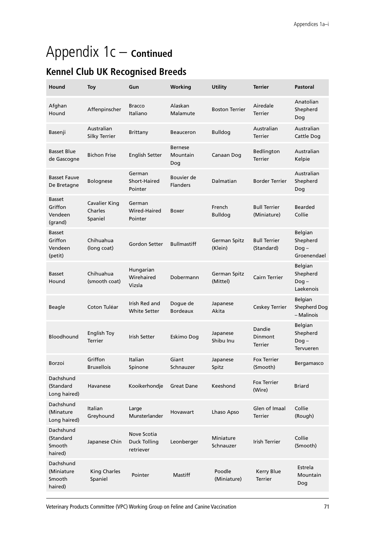# Appendix 1c – **Continued**

## **Kennel Club UK Recognised Breeds**

| Hound                                          | <b>Toy</b>                                 | Gun                                      | Working                           | <b>Utility</b>                  | <b>Terrier</b>                      | <b>Pastoral</b>                               |
|------------------------------------------------|--------------------------------------------|------------------------------------------|-----------------------------------|---------------------------------|-------------------------------------|-----------------------------------------------|
| Afghan<br>Hound                                | Affenpinscher                              | <b>Bracco</b><br>Italiano                | Alaskan<br>Malamute               | <b>Boston Terrier</b>           | Airedale<br><b>Terrier</b>          | Anatolian<br>Shepherd<br>Dog                  |
| Basenji                                        | Australian<br><b>Silky Terrier</b>         | <b>Brittany</b>                          | <b>Beauceron</b>                  | <b>Bulldog</b>                  | Australian<br><b>Terrier</b>        | Australian<br>Cattle Dog                      |
| <b>Basset Blue</b><br>de Gascogne              | <b>Bichon Frise</b>                        | <b>English Setter</b>                    | <b>Bernese</b><br>Mountain<br>Dog | Canaan Dog                      | Bedlington<br><b>Terrier</b>        | Australian<br>Kelpie                          |
| <b>Basset Fauve</b><br>De Bretagne             | Bolognese                                  | German<br>Short-Haired<br>Pointer        | Bouvier de<br><b>Flanders</b>     | Dalmatian                       | <b>Border Terrier</b>               | Australian<br>Shepherd<br>Dog                 |
| <b>Basset</b><br>Griffon<br>Vendeen<br>(grand) | <b>Cavalier King</b><br>Charles<br>Spaniel | German<br>Wired-Haired<br>Pointer        | Boxer                             | French<br><b>Bulldog</b>        | <b>Bull Terrier</b><br>(Miniature)  | <b>Bearded</b><br>Collie                      |
| <b>Basset</b><br>Griffon<br>Vendeen<br>(petit) | Chihuahua<br>(long coat)                   | Gordon Setter                            | <b>Bullmastiff</b>                | German Spitz<br>(Klein)         | <b>Bull Terrier</b><br>(Standard)   | Belgian<br>Shepherd<br>$Doq -$<br>Groenendael |
| <b>Basset</b><br>Hound                         | Chihuahua<br>(smooth coat)                 | Hungarian<br>Wirehaired<br>Vizsla        | Dobermann                         | <b>German Spitz</b><br>(Mittel) | Cairn Terrier                       | Belgian<br>Shepherd<br>$Dog -$<br>Laekenois   |
| <b>Beagle</b>                                  | Coton Tuléar                               | Irish Red and<br><b>White Setter</b>     | Dogue de<br><b>Bordeaux</b>       | Japanese<br>Akita               | <b>Ceskey Terrier</b>               | Belgian<br>Shepherd Dog<br>- Malinois         |
| <b>Bloodhound</b>                              | <b>English Toy</b><br><b>Terrier</b>       | <b>Irish Setter</b>                      | Eskimo Dog                        | Japanese<br>Shibu Inu           | Dandie<br>Dinmont<br><b>Terrier</b> | Belgian<br>Shepherd<br>$Dog -$<br>Tervueren   |
| <b>Borzoi</b>                                  | Griffon<br><b>Bruxellois</b>               | Italian<br>Spinone                       | Giant<br>Schnauzer                | Japanese<br>Spitz               | <b>Fox Terrier</b><br>(Smooth)      | Bergamasco                                    |
| Dachshund<br>(Standard<br>Long haired)         | Havanese                                   | Kooikerhondje                            | <b>Great Dane</b>                 | Keeshond                        | <b>Fox Terrier</b><br>(Wire)        | <b>Briard</b>                                 |
| Dachshund<br>(Minature<br>Long haired)         | Italian<br>Greyhound                       | Large<br>Munsterlander                   | Hovawart                          | Lhaso Apso                      | Glen of Imaal<br><b>Terrier</b>     | Collie<br>(Rough)                             |
| Dachshund<br>(Standard<br>Smooth<br>haired)    | Japanese Chin                              | Nove Scotia<br>Duck Tolling<br>retriever | Leonberger                        | Miniature<br>Schnauzer          | <b>Irish Terrier</b>                | Collie<br>(Smooth)                            |
| Dachshund<br>(Miniature<br>Smooth<br>haired)   | <b>King Charles</b><br>Spaniel             | Pointer                                  | <b>Mastiff</b>                    | Poodle<br>(Miniature)           | <b>Kerry Blue</b><br><b>Terrier</b> | Estrela<br>Mountain<br>Dog                    |

Veterinary Products Committee (VPC) Working Group on Feline and Canine Vaccination 71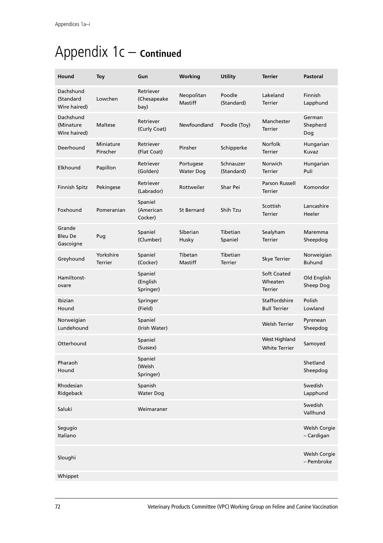# Appendix 1c – **Continued**

| Hound                                  | <b>Toy</b>            | Gun                              | Working                       | <b>Utility</b>          | <b>Terrier</b>                           | Pastoral                    |
|----------------------------------------|-----------------------|----------------------------------|-------------------------------|-------------------------|------------------------------------------|-----------------------------|
| Dachshund<br>(Standard<br>Wire haired) | Lowchen               | Retriever<br>(Chesapeake<br>bay) | Neopolitan<br>Mastiff         | Poodle<br>(Standard)    | Lakeland<br><b>Terrier</b>               | Finnish<br>Lapphund         |
| Dachshund<br>(Minature<br>Wire haired) | Maltese               | Retriever<br>(Curly Coat)        | Newfoundland                  | Poodle (Toy)            | Manchester<br><b>Terrier</b>             | German<br>Shepherd<br>Dog   |
| Deerhound                              | Miniature<br>Pinscher | Retriever<br>(Flat Coat)         | Pinsher                       | Schipperke              | <b>Norfolk</b><br><b>Terrier</b>         | Hungarian<br>Kuvaz          |
| Elkhound                               | Papillon              | Retriever<br>(Golden)            | Portugese<br><b>Water Dog</b> | Schnauzer<br>(Standard) | Norwich<br><b>Terrier</b>                | Hungarian<br>Puli           |
| Finnish Spitz                          | Pekingese             | Retriever<br>(Labrador)          | Rottweiler                    | Shar Pei                | Parson Russell<br><b>Terrier</b>         | Komondor                    |
| Foxhound                               | Pomeranian            | Spaniel<br>(American<br>Cocker)  | <b>St Bernard</b>             | Shih Tzu                | Scottish<br><b>Terrier</b>               | Lancashire<br>Heeler        |
| Grande<br><b>Bleu De</b><br>Gascoigne  | Pug                   | Spaniel<br>(Clumber)             | Siberian<br>Husky             | Tibetian<br>Spaniel     | Sealyham<br><b>Terrier</b>               | Maremma<br>Sheepdog         |
| Greyhound                              | Yorkshire<br>Terrier  | Spaniel<br>(Cocker)              | Tibetan<br>Mastiff            | Tibetian<br>Terrier     | Skye Terrier                             | Norweigian<br><b>Buhund</b> |
| Hamiltonst-<br>ovare                   |                       | Spaniel<br>(English<br>Springer) |                               |                         | Soft Coated<br>Wheaten<br><b>Terrier</b> | Old English<br>Sheep Dog    |
| Ibizian<br>Hound                       |                       | Springer<br>(Field)              |                               |                         | Staffordshire<br><b>Bull Terrier</b>     | Polish<br>Lowland           |
| Norweigian<br>Lundehound               |                       | Spaniel<br>(Irish Water)         |                               |                         | <b>Welsh Terrier</b>                     | Pyrenean<br>Sheepdog        |
| Otterhound                             |                       | Spaniel<br>(Sussex)              |                               |                         | West Highland<br><b>White Terrier</b>    | Samoyed                     |
| Pharaoh<br>Hound                       |                       | Spaniel<br>(Welsh<br>Springer)   |                               |                         |                                          | Shetland<br>Sheepdog        |
| Rhodesian<br>Ridgeback                 |                       | Spanish<br><b>Water Dog</b>      |                               |                         |                                          | Swedish<br>Lapphund         |
| Saluki                                 |                       | Weimaraner                       |                               |                         |                                          | Swedish<br>Vallhund         |
| Segugio<br>Italiano                    |                       |                                  |                               |                         |                                          | Welsh Corgie<br>- Cardigan  |
| Sloughi                                |                       |                                  |                               |                         |                                          | Welsh Corgie<br>- Pembroke  |
| Whippet                                |                       |                                  |                               |                         |                                          |                             |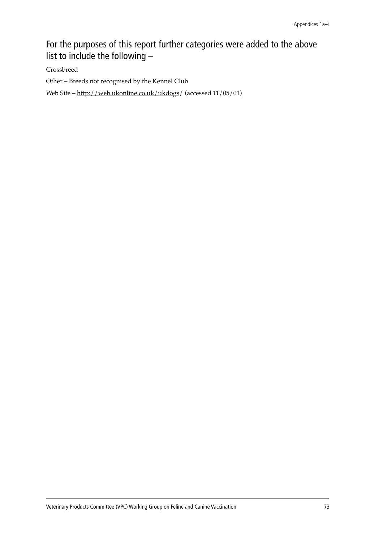### For the purposes of this report further categories were added to the above list to include the following –

Crossbreed

Other - Breeds not recognised by the Kennel Club

Web Site - http://web.ukonline.co.uk/ukdogs/ (accessed 11/05/01)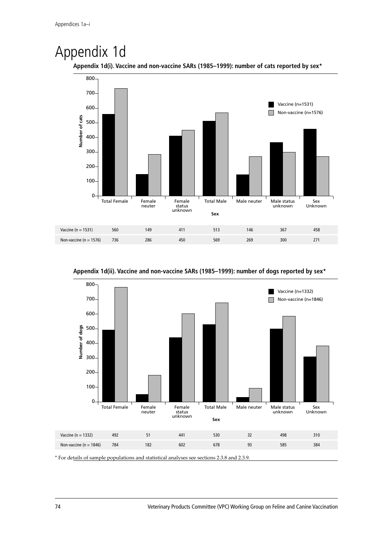## Appendix 1d





**Appendix 1d(ii). Vaccine and non-vaccine SARs (1985–1999): number of dogs reported by sex\***



74 Veterinary Products Committee (VPC) Working Group on Feline and Canine Vaccination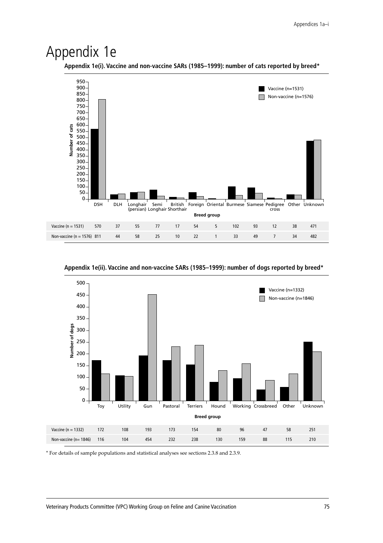## Appendix 1e

**Appendix 1e(i). Vaccine and non-vaccine SARs (1985–1999): number of cats reported by breed\***



**Appendix 1e(ii). Vaccine and non-vaccine SARs (1985–1999): number of dogs reported by breed\***



\* For details of sample populations and statistical analyses see sections 2.3.8 and 2.3.9.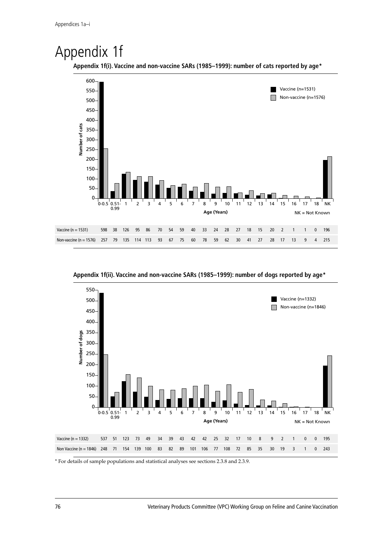# Appendix 1f



**Appendix 1f(ii). Vaccine and non-vaccine SARs (1985–1999): number of dogs reported by age\***



\* For details of sample populations and statistical analyses see sections 2.3.8 and 2.3.9.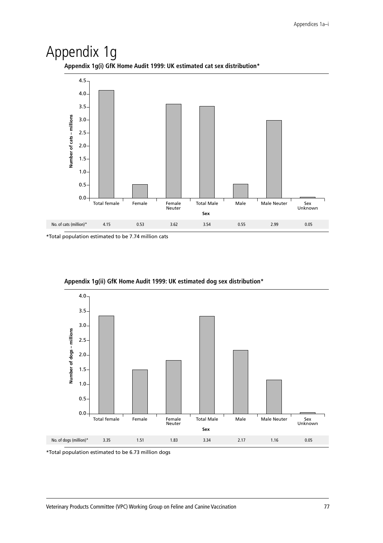## Appendix 1g



**Appendix 1g(i) GfK Home Audit 1999: UK estimated cat sex distribution\***

\*Total population estimated to be 7.74 million cats



**Appendix 1g(ii) GfK Home Audit 1999: UK estimated dog sex distribution\***

\*Total population estimated to be 6.73 million dogs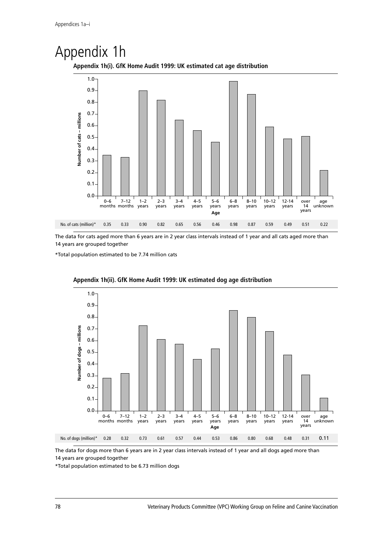# Appendix 1h



The data for cats aged more than 6 years are in 2 year class intervals instead of 1 year and all cats aged more than

14 years are grouped together

\*Total population estimated to be 7.74 million cats



**Appendix 1h(ii). GfK Home Audit 1999: UK estimated dog age distribution**

**Appendix 1h(i). GfK Home Audit 1999: UK estimated cat age distribution**

The data for dogs more than 6 years are in 2 year class intervals instead of 1 year and all dogs aged more than 14 years are grouped together

\*Total population estimated to be 6.73 million dogs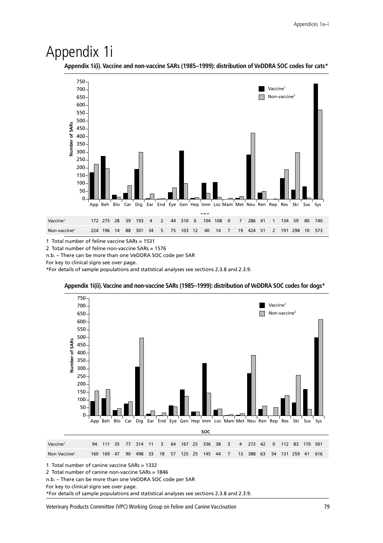## Appendix 1i

**Appendix 1i(i).Vaccine and non-vaccine SARs (1985–1999): distribution of VeDDRA SOC codes for cats\***



1 Total number of feline vaccine SARs = 1531

2 Total number of feline non-vaccine SARs = 1576

n.b. – There can be more than one VeDDRA SOC code per SAR

For key to clinical signs see over page.

\*For details of sample populations and statistical analyses see sections 2.3.8 and 2.3.9.



#### **Appendix 1i(ii).Vaccine and non-vaccine SARs (1985–1999): distribution of VeDDRA SOC codes for dogs\***

1 Total number of canine vaccine SARs = 1332

2 Total number of canine non-vaccine SARs = 1846

n.b. – There can be more than one VeDDRA SOC code per SAR

For key to clinical signs see over page.

\*For details of sample populations and statistical analyses see sections 2.3.8 and 2.3.9.

Veterinary Products Committee (VPC) Working Group on Feline and Canine Vaccination 79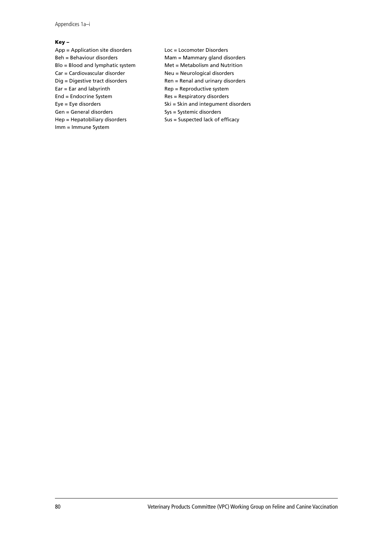Appendices 1a–i

#### **Key –**

- App = Application site disorders Loc = Locomoter Disorders Beh = Behaviour disorders Mam = Mammary gland disorders Blo = Blood and lymphatic system Met = Metabolism and Nutrition Car = Cardiovascular disorder Neu = Neurological disorders Dig = Digestive tract disorders Ren = Renal and urinary disorders  $Ear = Ear$  and labyrinth  $Rep = Reproduction$  system End = Endocrine System Res = Respiratory disorders Eye = Eye disorders extending the Ski = Skin and integument disorders Gen = General disorders Sys = Systemic disorders Hep = Hepatobiliary disorders Sus = Suspected lack of efficacy Imm = Immune System
	-
	-
	-
	-
	-
	-
	-
	-
	-
	-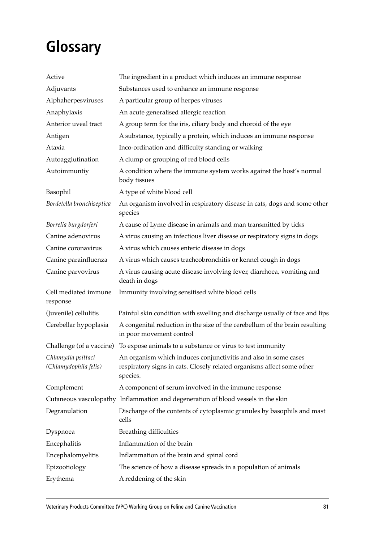# **Glossary**

| Active                                      | The ingredient in a product which induces an immune response                                                                                          |
|---------------------------------------------|-------------------------------------------------------------------------------------------------------------------------------------------------------|
| Adjuvants                                   | Substances used to enhance an immune response                                                                                                         |
| Alphaherpesviruses                          | A particular group of herpes viruses                                                                                                                  |
| Anaphylaxis                                 | An acute generalised allergic reaction                                                                                                                |
| Anterior uveal tract                        | A group term for the iris, ciliary body and choroid of the eye                                                                                        |
| Antigen                                     | A substance, typically a protein, which induces an immune response                                                                                    |
| Ataxia                                      | Inco-ordination and difficulty standing or walking                                                                                                    |
| Autoagglutination                           | A clump or grouping of red blood cells                                                                                                                |
| Autoimmuntiy                                | A condition where the immune system works against the host's normal<br>body tissues                                                                   |
| Basophil                                    | A type of white blood cell                                                                                                                            |
| Bordetella bronchiseptica                   | An organism involved in respiratory disease in cats, dogs and some other<br>species                                                                   |
| Borrelia burgdorferi                        | A cause of Lyme disease in animals and man transmitted by ticks                                                                                       |
| Canine adenovirus                           | A virus causing an infectious liver disease or respiratory signs in dogs                                                                              |
| Canine coronavirus                          | A virus which causes enteric disease in dogs                                                                                                          |
| Canine parainfluenza                        | A virus which causes tracheobronchitis or kennel cough in dogs                                                                                        |
| Canine parvovirus                           | A virus causing acute disease involving fever, diarrhoea, vomiting and<br>death in dogs                                                               |
| Cell mediated immune<br>response            | Immunity involving sensitised white blood cells                                                                                                       |
| (Juvenile) cellulitis                       | Painful skin condition with swelling and discharge usually of face and lips                                                                           |
| Cerebellar hypoplasia                       | A congenital reduction in the size of the cerebellum of the brain resulting<br>in poor movement control                                               |
| Challenge (of a vaccine)                    | To expose animals to a substance or virus to test immunity                                                                                            |
| Chlamydia psittaci<br>(Chlamydophila felis) | An organism which induces conjunctivitis and also in some cases<br>respiratory signs in cats. Closely related organisms affect some other<br>species. |
| Complement                                  | A component of serum involved in the immune response                                                                                                  |
|                                             | Cutaneous vasculopathy Inflammation and degeneration of blood vessels in the skin                                                                     |
| Degranulation                               | Discharge of the contents of cytoplasmic granules by basophils and mast<br>cells                                                                      |
| Dyspnoea                                    | <b>Breathing difficulties</b>                                                                                                                         |
| Encephalitis                                | Inflammation of the brain                                                                                                                             |
| Encephalomyelitis                           | Inflammation of the brain and spinal cord                                                                                                             |
| Epizootiology                               | The science of how a disease spreads in a population of animals                                                                                       |
| Erythema                                    | A reddening of the skin                                                                                                                               |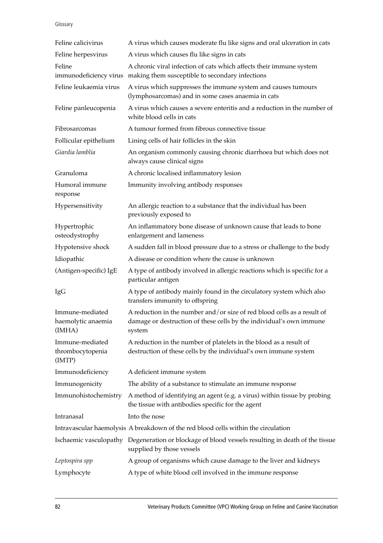#### Glossary

| Feline calicivirus                              | A virus which causes moderate flu like signs and oral ulceration in cats                                                                                 |
|-------------------------------------------------|----------------------------------------------------------------------------------------------------------------------------------------------------------|
| Feline herpesvirus                              | A virus which causes flu like signs in cats                                                                                                              |
| Feline<br>immunodeficiency virus                | A chronic viral infection of cats which affects their immune system<br>making them susceptible to secondary infections                                   |
| Feline leukaemia virus                          | A virus which suppresses the immune system and causes tumours<br>(lymphosarcomas) and in some cases anaemia in cats                                      |
| Feline panleucopenia                            | A virus which causes a severe enteritis and a reduction in the number of<br>white blood cells in cats                                                    |
| Fibrosarcomas                                   | A tumour formed from fibrous connective tissue                                                                                                           |
| Follicular epithelium                           | Lining cells of hair follicles in the skin                                                                                                               |
| Giardia lamblia                                 | An organism commonly causing chronic diarrhoea but which does not<br>always cause clinical signs                                                         |
| Granuloma                                       | A chronic localised inflammatory lesion                                                                                                                  |
| Humoral immune<br>response                      | Immunity involving antibody responses                                                                                                                    |
| Hypersensitivity                                | An allergic reaction to a substance that the individual has been<br>previously exposed to                                                                |
| Hypertrophic<br>osteodystrophy                  | An inflammatory bone disease of unknown cause that leads to bone<br>enlargement and lameness                                                             |
| Hypotensive shock                               | A sudden fall in blood pressure due to a stress or challenge to the body                                                                                 |
| Idiopathic                                      | A disease or condition where the cause is unknown                                                                                                        |
| (Antigen-specific) IgE                          | A type of antibody involved in allergic reactions which is specific for a<br>particular antigen                                                          |
| IgG                                             | A type of antibody mainly found in the circulatory system which also<br>transfers immunity to offspring                                                  |
| Immune-mediated<br>haemolytic anaemia<br>(IMHA) | A reduction in the number and/or size of red blood cells as a result of<br>damage or destruction of these cells by the individual's own immune<br>system |
| Immune-mediated<br>thrombocytopenia<br>(IMTP)   | A reduction in the number of platelets in the blood as a result of<br>destruction of these cells by the individual's own immune system                   |
| Immunodeficiency                                | A deficient immune system                                                                                                                                |
| Immunogenicity                                  | The ability of a substance to stimulate an immune response                                                                                               |
| Immunohistochemistry                            | A method of identifying an agent (e.g. a virus) within tissue by probing<br>the tissue with antibodies specific for the agent                            |
| Intranasal                                      | Into the nose                                                                                                                                            |
|                                                 | Intravascular haemolysis A breakdown of the red blood cells within the circulation                                                                       |
| Ischaemic vasculopathy                          | Degeneration or blockage of blood vessels resulting in death of the tissue<br>supplied by those vessels                                                  |
| Leptospira spp                                  | A group of organisms which cause damage to the liver and kidneys                                                                                         |
| Lymphocyte                                      | A type of white blood cell involved in the immune response                                                                                               |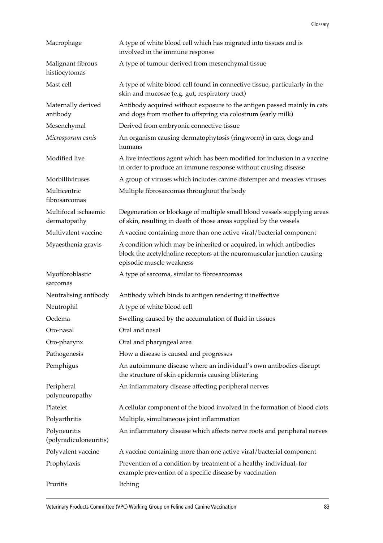| Macrophage                             | A type of white blood cell which has migrated into tissues and is<br>involved in the immune response                                                                       |
|----------------------------------------|----------------------------------------------------------------------------------------------------------------------------------------------------------------------------|
| Malignant fibrous<br>histiocytomas     | A type of tumour derived from mesenchymal tissue                                                                                                                           |
| Mast cell                              | A type of white blood cell found in connective tissue, particularly in the<br>skin and mucosae (e.g. gut, respiratory tract)                                               |
| Maternally derived<br>antibody         | Antibody acquired without exposure to the antigen passed mainly in cats<br>and dogs from mother to offspring via colostrum (early milk)                                    |
| Mesenchymal                            | Derived from embryonic connective tissue                                                                                                                                   |
| Microsporum canis                      | An organism causing dermatophytosis (ringworm) in cats, dogs and<br>humans                                                                                                 |
| Modified live                          | A live infectious agent which has been modified for inclusion in a vaccine<br>in order to produce an immune response without causing disease                               |
| Morbilliviruses                        | A group of viruses which includes canine distemper and measles viruses                                                                                                     |
| Multicentric<br>fibrosarcomas          | Multiple fibrosarcomas throughout the body                                                                                                                                 |
| Multifocal ischaemic<br>dermatopathy   | Degeneration or blockage of multiple small blood vessels supplying areas<br>of skin, resulting in death of those areas supplied by the vessels                             |
| Multivalent vaccine                    | A vaccine containing more than one active viral/bacterial component                                                                                                        |
| Myaesthenia gravis                     | A condition which may be inherited or acquired, in which antibodies<br>block the acetylcholine receptors at the neuromuscular junction causing<br>episodic muscle weakness |
| Myofibroblastic<br>sarcomas            | A type of sarcoma, similar to fibrosarcomas                                                                                                                                |
| Neutralising antibody                  | Antibody which binds to antigen rendering it ineffective                                                                                                                   |
|                                        |                                                                                                                                                                            |
| Neutrophil                             | A type of white blood cell                                                                                                                                                 |
| Oedema                                 | Swelling caused by the accumulation of fluid in tissues                                                                                                                    |
| Oro-nasal                              | Oral and nasal                                                                                                                                                             |
| Oro-pharynx                            | Oral and pharyngeal area                                                                                                                                                   |
| Pathogenesis                           | How a disease is caused and progresses                                                                                                                                     |
| Pemphigus                              | An autoimmune disease where an individual's own antibodies disrupt<br>the structure of skin epidermis causing blistering                                                   |
| Peripheral<br>polyneuropathy           | An inflammatory disease affecting peripheral nerves                                                                                                                        |
| Platelet                               | A cellular component of the blood involved in the formation of blood clots                                                                                                 |
| Polyarthritis                          | Multiple, simultaneous joint inflammation                                                                                                                                  |
| Polyneuritis<br>(polyradiculoneuritis) | An inflammatory disease which affects nerve roots and peripheral nerves                                                                                                    |
| Polyvalent vaccine                     | A vaccine containing more than one active viral/bacterial component                                                                                                        |
| Prophylaxis                            | Prevention of a condition by treatment of a healthy individual, for<br>example prevention of a specific disease by vaccination                                             |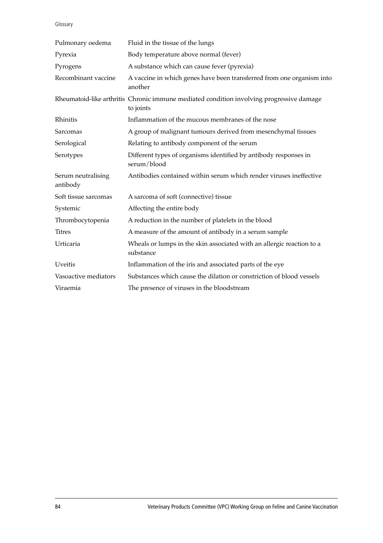Glossary

| Pulmonary oedema               | Fluid in the tissue of the lungs                                                                      |
|--------------------------------|-------------------------------------------------------------------------------------------------------|
| Pyrexia                        | Body temperature above normal (fever)                                                                 |
| Pyrogens                       | A substance which can cause fever (pyrexia)                                                           |
| Recombinant vaccine            | A vaccine in which genes have been transferred from one organism into<br>another                      |
|                                | Rheumatoid-like arthritis Chronic immune mediated condition involving progressive damage<br>to joints |
| Rhinitis                       | Inflammation of the mucous membranes of the nose                                                      |
| Sarcomas                       | A group of malignant tumours derived from mesenchymal tissues                                         |
| Serological                    | Relating to antibody component of the serum                                                           |
| Serotypes                      | Different types of organisms identified by antibody responses in<br>serum/blood                       |
| Serum neutralising<br>antibody | Antibodies contained within serum which render viruses ineffective                                    |
| Soft tissue sarcomas           | A sarcoma of soft (connective) tissue                                                                 |
| Systemic                       | Affecting the entire body                                                                             |
| Thrombocytopenia               | A reduction in the number of platelets in the blood                                                   |
| <b>Titres</b>                  | A measure of the amount of antibody in a serum sample                                                 |
| Urticaria                      | Wheals or lumps in the skin associated with an allergic reaction to a<br>substance                    |
| <b>Uveitis</b>                 | Inflammation of the iris and associated parts of the eye                                              |
| Vasoactive mediators           | Substances which cause the dilation or constriction of blood vessels                                  |
| Viraemia                       | The presence of viruses in the bloodstream                                                            |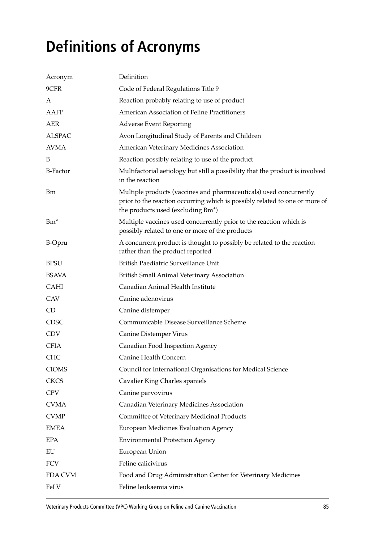# **Definitions of Acronyms**

| Acronym         | Definition                                                                                                                                                                             |
|-----------------|----------------------------------------------------------------------------------------------------------------------------------------------------------------------------------------|
| 9CFR            | Code of Federal Regulations Title 9                                                                                                                                                    |
| A               | Reaction probably relating to use of product                                                                                                                                           |
| AAFP            | American Association of Feline Practitioners                                                                                                                                           |
| AER             | <b>Adverse Event Reporting</b>                                                                                                                                                         |
| <b>ALSPAC</b>   | Avon Longitudinal Study of Parents and Children                                                                                                                                        |
| <b>AVMA</b>     | American Veterinary Medicines Association                                                                                                                                              |
| B               | Reaction possibly relating to use of the product                                                                                                                                       |
| <b>B-Factor</b> | Multifactorial aetiology but still a possibility that the product is involved<br>in the reaction                                                                                       |
| <b>Bm</b>       | Multiple products (vaccines and pharmaceuticals) used concurrently<br>prior to the reaction occurring which is possibly related to one or more of<br>the products used (excluding Bm*) |
| $Bm^*$          | Multiple vaccines used concurrently prior to the reaction which is<br>possibly related to one or more of the products                                                                  |
| <b>B-Opru</b>   | A concurrent product is thought to possibly be related to the reaction<br>rather than the product reported                                                                             |
| <b>BPSU</b>     | British Paediatric Surveillance Unit                                                                                                                                                   |
| <b>BSAVA</b>    | British Small Animal Veterinary Association                                                                                                                                            |
| <b>CAHI</b>     | Canadian Animal Health Institute                                                                                                                                                       |
| <b>CAV</b>      | Canine adenovirus                                                                                                                                                                      |
| CD              | Canine distemper                                                                                                                                                                       |
| <b>CDSC</b>     | Communicable Disease Surveillance Scheme                                                                                                                                               |
| <b>CDV</b>      | Canine Distemper Virus                                                                                                                                                                 |
| <b>CFIA</b>     | Canadian Food Inspection Agency                                                                                                                                                        |
| <b>CHC</b>      | Canine Health Concern                                                                                                                                                                  |
| <b>CIOMS</b>    | Council for International Organisations for Medical Science                                                                                                                            |
| <b>CKCS</b>     | Cavalier King Charles spaniels                                                                                                                                                         |
| <b>CPV</b>      | Canine parvovirus                                                                                                                                                                      |
| <b>CVMA</b>     | Canadian Veterinary Medicines Association                                                                                                                                              |
| <b>CVMP</b>     | Committee of Veterinary Medicinal Products                                                                                                                                             |
| <b>EMEA</b>     | <b>European Medicines Evaluation Agency</b>                                                                                                                                            |
| <b>EPA</b>      | <b>Environmental Protection Agency</b>                                                                                                                                                 |
| EU              | European Union                                                                                                                                                                         |
| FCV             | Feline calicivirus                                                                                                                                                                     |
| FDA CVM         | Food and Drug Administration Center for Veterinary Medicines                                                                                                                           |
| FeLV            | Feline leukaemia virus                                                                                                                                                                 |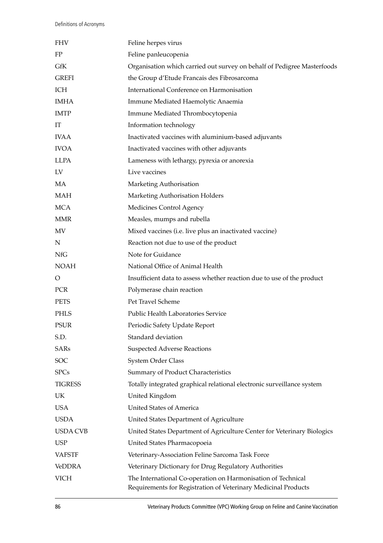| <b>FHV</b>      | Feline herpes virus                                                                                                            |
|-----------------|--------------------------------------------------------------------------------------------------------------------------------|
| FP              | Feline panleucopenia                                                                                                           |
| GfK             | Organisation which carried out survey on behalf of Pedigree Masterfoods                                                        |
| <b>GREFI</b>    | the Group d'Etude Francais des Fibrosarcoma                                                                                    |
| ICH             | International Conference on Harmonisation                                                                                      |
| <b>IMHA</b>     | Immune Mediated Haemolytic Anaemia                                                                                             |
| <b>IMTP</b>     | Immune Mediated Thrombocytopenia                                                                                               |
| IT              | Information technology                                                                                                         |
| <b>IVAA</b>     | Inactivated vaccines with aluminium-based adjuvants                                                                            |
| <b>IVOA</b>     | Inactivated vaccines with other adjuvants                                                                                      |
| <b>LLPA</b>     | Lameness with lethargy, pyrexia or anorexia                                                                                    |
| LV              | Live vaccines                                                                                                                  |
| MA              | Marketing Authorisation                                                                                                        |
| <b>MAH</b>      | Marketing Authorisation Holders                                                                                                |
| <b>MCA</b>      | Medicines Control Agency                                                                                                       |
| <b>MMR</b>      | Measles, mumps and rubella                                                                                                     |
| MV              | Mixed vaccines (i.e. live plus an inactivated vaccine)                                                                         |
| $\mathbf N$     | Reaction not due to use of the product                                                                                         |
| <b>NfG</b>      | Note for Guidance                                                                                                              |
| <b>NOAH</b>     | National Office of Animal Health                                                                                               |
| $\circ$         | Insufficient data to assess whether reaction due to use of the product                                                         |
| PCR             | Polymerase chain reaction                                                                                                      |
| <b>PETS</b>     | Pet Travel Scheme                                                                                                              |
| PHLS            | Public Health Laboratories Service                                                                                             |
| <b>PSUR</b>     | Periodic Safety Update Report                                                                                                  |
| S.D.            | Standard deviation                                                                                                             |
| SARs            | <b>Suspected Adverse Reactions</b>                                                                                             |
| <b>SOC</b>      | System Order Class                                                                                                             |
| <b>SPCs</b>     | Summary of Product Characteristics                                                                                             |
| <b>TIGRESS</b>  | Totally integrated graphical relational electronic surveillance system                                                         |
| UK.             | United Kingdom                                                                                                                 |
| <b>USA</b>      | <b>United States of America</b>                                                                                                |
| <b>USDA</b>     | United States Department of Agriculture                                                                                        |
| <b>USDA CVB</b> | United States Department of Agriculture Center for Veterinary Biologics                                                        |
| <b>USP</b>      | United States Pharmacopoeia                                                                                                    |
| <b>VAFSTF</b>   | Veterinary-Association Feline Sarcoma Task Force                                                                               |
| <b>VeDDRA</b>   | Veterinary Dictionary for Drug Regulatory Authorities                                                                          |
| <b>VICH</b>     | The International Co-operation on Harmonisation of Technical<br>Requirements for Registration of Veterinary Medicinal Products |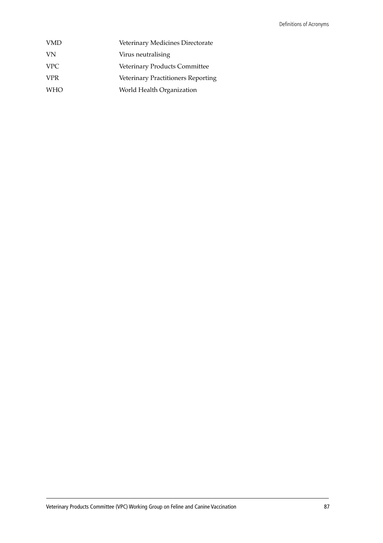| VMD  | Veterinary Medicines Directorate   |
|------|------------------------------------|
| VN   | Virus neutralising                 |
| VPC. | Veterinary Products Committee      |
| VPR  | Veterinary Practitioners Reporting |
| WHO  | World Health Organization          |
|      |                                    |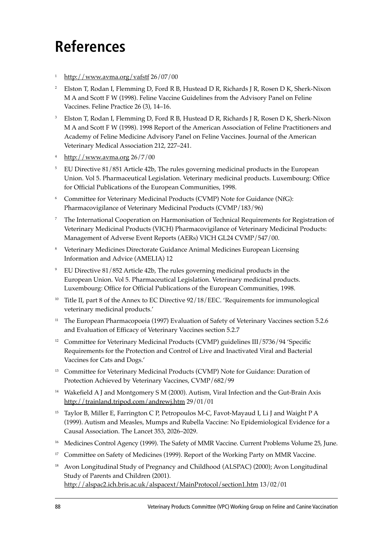# **References**

- http://www.avma.org/vafstf 26/07/00
- <sup>2</sup> Elston T, Rodan I, Flemming D, Ford R B, Hustead D R, Richards J R, Rosen D K, Sherk-Nixon M A and Scott F W (1998). Feline Vaccine Guidelines from the Advisory Panel on Feline Vaccines. Feline Practice 26 (3), 14-16.
- <sup>3</sup> Elston T, Rodan I, Flemming D, Ford R B, Hustead D R, Richards J R, Rosen D K, Sherk-Nixon M A and Scott F W (1998). 1998 Report of the American Association of Feline Practitioners and Academy of Feline Medicine Advisory Panel on Feline Vaccines. Journal of the American Veterinary Medical Association 212, 227-241.
- <sup>4</sup> http://www.avma.org 26/7/00
- <sup>5</sup> EU Directive 81/851 Article 42b, The rules governing medicinal products in the European Union. Vol 5. Pharmaceutical Legislation. Veterinary medicinal products. Luxembourg: Office for Official Publications of the European Communities, 1998.
- <sup>6</sup> Committee for Veterinary Medicinal Products (CVMP) Note for Guidance (NfG): Pharmacovigilance of Veterinary Medicinal Products (CVMP/183/96)
- <sup>7</sup> The International Cooperation on Harmonisation of Technical Requirements for Registration of Veterinary Medicinal Products (VICH) Pharmacovigilance of Veterinary Medicinal Products: Management of Adverse Event Reports (AERs) VICH GL24 CVMP/547/00.
- <sup>8</sup> Veterinary Medicines Directorate Guidance Animal Medicines European Licensing Information and Advice (AMELIA) 12
- <sup>9</sup> EU Directive 81/852 Article 42b, The rules governing medicinal products in the European Union. Vol 5. Pharmaceutical Legislation. Veterinary medicinal products. Luxembourg: Office for Official Publications of the European Communities, 1998.
- <sup>10</sup> Title II, part 8 of the Annex to EC Directive  $92/18$ /EEC. 'Requirements for immunological veterinary medicinal products.'
- <sup>11</sup> The European Pharmacopoeia (1997) Evaluation of Safety of Veterinary Vaccines section 5.2.6 and Evaluation of Efficacy of Veterinary Vaccines section 5.2.7
- <sup>12</sup> Committee for Veterinary Medicinal Products (CVMP) guidelines III/5736/94 'Specific Requirements for the Protection and Control of Live and Inactivated Viral and Bacterial Vaccines for Cats and Dogs.'
- <sup>13</sup> Committee for Veterinary Medicinal Products (CVMP) Note for Guidance: Duration of Protection Achieved by Veterinary Vaccines, CVMP/682/99
- <sup>14</sup> Wakefield A J and Montgomery S M (2000). Autism, Viral Infection and the Gut-Brain Axis http://trainland.tripod.com/andrewj.htm 29/01/01
- <sup>15</sup> Taylor B, Miller E, Farrington C P, Petropoulos M-C, Favot-Mayaud I, Li J and Waight P A (1999). Autism and Measles, Mumps and Rubella Vaccine: No Epidemiological Evidence for a Causal Association. The Lancet 353, 2026-2029.
- <sup>16</sup> Medicines Control Agency (1999). The Safety of MMR Vaccine. Current Problems Volume 25, June.
- <sup>17</sup> Committee on Safety of Medicines (1999). Report of the Working Party on MMR Vaccine.
- <sup>18</sup> Avon Longitudinal Study of Pregnancy and Childhood (ALSPAC) (2000); Avon Longitudinal Study of Parents and Children (2001). http://alspac2.ich.bris.ac.uk/alspacext/MainProtocol/section1.htm 13/02/01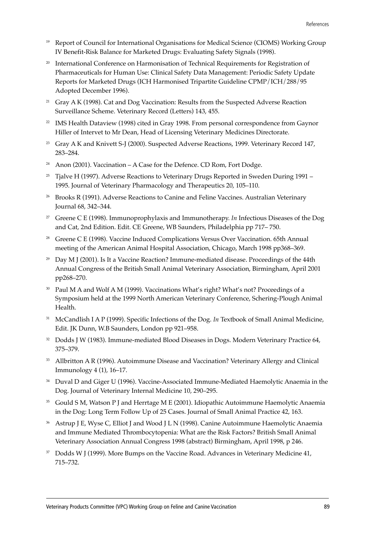- <sup>19</sup> Report of Council for International Organisations for Medical Science (CIOMS) Working Group IV Benefit-Risk Balance for Marketed Drugs: Evaluating Safety Signals (1998).
- <sup>20</sup> International Conference on Harmonisation of Technical Requirements for Registration of Pharmaceuticals for Human Use: Clinical Safety Data Management: Periodic Safety Update Reports for Marketed Drugs (ICH Harmonised Tripartite Guideline CPMP/ICH/288/95 Adopted December 1996).
- <sup>21</sup> Gray A K (1998). Cat and Dog Vaccination: Results from the Suspected Adverse Reaction Surveillance Scheme. Veterinary Record (Letters) 143, 455.
- <sup>22</sup> IMS Health Dataview (1998) cited in Gray 1998. From personal correspondence from Gaynor Hiller of Intervet to Mr Dean, Head of Licensing Veterinary Medicines Directorate.
- <sup>23</sup> Gray A K and Knivett S-J (2000). Suspected Adverse Reactions, 1999. Veterinary Record 147, 283-284.
- <sup>24</sup> Anon (2001). Vaccination  $A$  Case for the Defence. CD Rom, Fort Dodge.
- <sup>25</sup> Tjalve H (1997). Adverse Reactions to Veterinary Drugs Reported in Sweden During 1991 1995. Journal of Veterinary Pharmacology and Therapeutics 20, 105-110.
- <sup>26</sup> Brooks R (1991). Adverse Reactions to Canine and Feline Vaccines. Australian Veterinary Journal 68, 342-344.
- <sup>27</sup> Greene C E (1998). Immunoprophylaxis and Immunotherapy. *In* Infectious Diseases of the Dog and Cat, 2nd Edition. Edit. CE Greene, WB Saunders, Philadelphia pp 717–750.
- <sup>28</sup> Greene C E (1998). Vaccine Induced Complications Versus Over Vaccination. 65th Annual meeting of the American Animal Hospital Association, Chicago, March 1998 pp368–369.
- <sup>29</sup> Day M J (2001). Is It a Vaccine Reaction? Immune-mediated disease. Proceedings of the 44th Annual Congress of the British Small Animal Veterinary Association, Birmingham, April 2001 pp268-270.
- <sup>30</sup> Paul M A and Wolf A M (1999). Vaccinations What's right? What's not? Proceedings of a Symposium held at the 1999 North American Veterinary Conference, Schering-Plough Animal Health.
- <sup>31</sup> McCandlish I A P (1999). Specific Infections of the Dog. *In* Textbook of Small Animal Medicine, Edit. JK Dunn, W.B Saunders, London pp 921-958.
- <sup>32</sup> Dodds J W (1983). Immune-mediated Blood Diseases in Dogs. Modern Veterinary Practice 64, 375-379.
- <sup>33</sup> Allbritton A R (1996). Autoimmune Disease and Vaccination? Veterinary Allergy and Clinical Immunology  $4(1)$ ,  $16-17$ .
- <sup>34</sup> Duval D and Giger U (1996). Vaccine-Associated Immune-Mediated Haemolytic Anaemia in the Dog. Journal of Veterinary Internal Medicine 10, 290-295.
- <sup>35</sup> Gould S M, Watson P J and Herrtage M E (2001). Idiopathic Autoimmune Haemolytic Anaemia in the Dog: Long Term Follow Up of 25 Cases. Journal of Small Animal Practice 42, 163.
- <sup>36</sup> Astrup J E, Wyse C, Elliot J and Wood J L N (1998). Canine Autoimmune Haemolytic Anaemia and Immune Mediated Thrombocytopenia: What are the Risk Factors? British Small Animal Veterinary Association Annual Congress 1998 (abstract) Birmingham, April 1998, p 246.
- <sup>37</sup> Dodds W J (1999). More Bumps on the Vaccine Road. Advances in Veterinary Medicine 41, 715-732.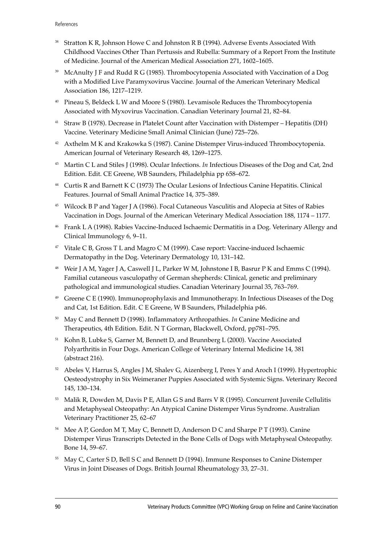- <sup>38</sup> Stratton K R, Johnson Howe C and Johnston R B (1994). Adverse Events Associated With Childhood Vaccines Other Than Pertussis and Rubella: Summary of a Report From the Institute of Medicine. Journal of the American Medical Association 271, 1602-1605.
- <sup>39</sup> McAnulty J F and Rudd R G (1985). Thrombocytopenia Associated with Vaccination of a Dog with a Modified Live Paramyxovirus Vaccine. Journal of the American Veterinary Medical Association 186, 1217-1219.
- <sup>40</sup> Pineau S, Beldeck L W and Moore S (1980). Levamisole Reduces the Thrombocytopenia Associated with Myxovirus Vaccination. Canadian Veterinary Journal 21, 82-84.
- <sup>41</sup> Straw B (1978). Decrease in Platelet Count after Vaccination with Distemper Hepatitis (DH) Vaccine. Veterinary Medicine Small Animal Clinician (June) 725-726.
- <sup>42</sup> Axthelm M K and Krakowka S (1987). Canine Distemper Virus-induced Thrombocytopenia. American Journal of Veterinary Research 48, 1269-1275.
- <sup>43</sup> Martin C L and Stiles J (1998). Ocular Infections. *In* Infectious Diseases of the Dog and Cat, 2nd Edition. Edit. CE Greene, WB Saunders, Philadelphia pp 658-672.
- <sup>44</sup> Curtis R and Barnett K C (1973) The Ocular Lesions of Infectious Canine Hepatitis. Clinical Features. Journal of Small Animal Practice 14, 375-389.
- <sup>45</sup> Wilcock B P and Yager J A (1986). Focal Cutaneous Vasculitis and Alopecia at Sites of Rabies Vaccination in Dogs. Journal of the American Veterinary Medical Association 188, 1174 - 1177.
- <sup>46</sup> Frank L A (1998). Rabies Vaccine-Induced Ischaemic Dermatitis in a Dog. Veterinary Allergy and Clinical Immunology 6, 9-11.
- $47$  Vitale C B, Gross T L and Magro C M (1999). Case report: Vaccine-induced Ischaemic Dermatopathy in the Dog. Veterinary Dermatology 10, 131-142.
- <sup>48</sup> Weir J A M, Yager J A, Caswell J L, Parker W M, Johnstone I B, Basrur P K and Emms C (1994). Familial cutaneous vasculopathy of German shepherds: Clinical, genetic and preliminary pathological and immunological studies. Canadian Veterinary Journal 35, 763-769.
- <sup>49</sup> Greene C E (1990). Immunoprophylaxis and Immunotherapy. In Infectious Diseases of the Dog and Cat, 1st Edition. Edit. C E Greene, W B Saunders, Philadelphia p46.
- <sup>50</sup> May C and Bennett D (1998). Inflammatory Arthropathies. *In* Canine Medicine and Therapeutics, 4th Edition. Edit. N T Gorman, Blackwell, Oxford, pp781-795.
- <sup>51</sup> Kohn B, Lubke S, Garner M, Bennett D, and Brunnberg L (2000). Vaccine Associated Polyarthritis in Four Dogs. American College of Veterinary Internal Medicine 14, 381 (abstract 216).
- <sup>52</sup> Abeles V, Harrus S, Angles J M, Shalev G, Aizenberg I, Peres Y and Aroch I (1999). Hypertrophic Oesteodystrophy in Six Weimeraner Puppies Associated with Systemic Signs. Veterinary Record 145, 130-134.
- <sup>53</sup> Malik R, Dowden M, Davis P E, Allan G S and Barrs V R (1995). Concurrent Juvenile Cellulitis and Metaphyseal Osteopathy: An Atypical Canine Distemper Virus Syndrome. Australian Veterinary Practitioner 25, 62-67
- <sup>54</sup> Mee A P, Gordon M T, May C, Bennett D, Anderson D C and Sharpe P T (1993). Canine Distemper Virus Transcripts Detected in the Bone Cells of Dogs with Metaphyseal Osteopathy. Bone 14, 59-67.
- <sup>55</sup> May C, Carter S D, Bell S C and Bennett D (1994). Immune Responses to Canine Distemper Virus in Joint Diseases of Dogs. British Journal Rheumatology 33, 27-31.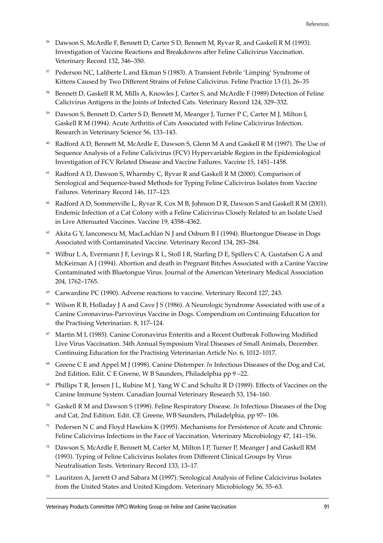- <sup>56</sup> Dawson S, McArdle F, Bennett D, Carter S D, Bennett M, Ryvar R, and Gaskell R M (1993). Investigation of Vaccine Reactions and Breakdowns after Feline Calicivirus Vaccination. Veterinary Record 132, 346-350.
- <sup>57</sup> Pederson NC, Laliberte L and Ekman S (1983). A Transient Febrile 'Limping' Syndrome of Kittens Caused by Two Different Strains of Feline Calicivirus. Feline Practice 13 (1), 26-35
- <sup>58</sup> Bennett D, Gaskell R M, Mills A, Knowles J, Carter S, and McArdle F (1989) Detection of Feline Calicivirus Antigens in the Joints of Infected Cats. Veterinary Record 124, 329-332.
- <sup>59</sup> Dawson S, Bennett D, Carter S D, Bennett M, Meanger J, Turner P C, Carter M J, Milton I, Gaskell R M (1994). Acute Arthritis of Cats Associated with Feline Calicivirus Infection. Research in Veterinary Science 56, 133-143.
- <sup>60</sup> Radford A D, Bennett M, McArdle E, Dawson S, Glenn M A and Gaskell R M (1997). The Use of Sequence Analysis of a Feline Calicivirus (FCV) Hypervariable Region in the Epidemiological Investigation of FCV Related Disease and Vaccine Failures. Vaccine 15, 1451-1458.
- Radford A D, Dawson S, Wharmby C, Ryvar R and Gaskell R M (2000). Comparison of Serological and Sequence-based Methods for Typing Feline Calicivirus Isolates from Vaccine Failures. Veterinary Record 146, 117-123.
- $62$  Radford A D, Sommerville L, Ryvar R, Cox M B, Johnson D R, Dawson S and Gaskell R M (2001). Endemic Infection of a Cat Colony with a Feline Calicivirus Closely Related to an Isolate Used in Live Attenuated Vaccines. Vaccine 19, 4358-4362.
- <sup>63</sup> Akita G Y, Ianconescu M, MacLachlan N J and Osburn B I (1994). Bluetongue Disease in Dogs Associated with Contaminated Vaccine. Veterinary Record 134, 283-284.
- <sup>64</sup> Wilbur L A, Evermann J F, Levings R L, Stoll I R, Starling D E, Spillers C A, Gustafson G A and McKeirnan A J (1994). Abortion and death in Pregnant Bitches Associated with a Canine Vaccine Contaminated with Bluetongue Virus. Journal of the American Veterinary Medical Association 204, 1762-1765.
- <sup>65</sup> Carwardine PC (1990). Adverse reactions to vaccine. Veterinary Record 127, 243.
- <sup>66</sup> Wilson R B, Holladay J A and Cave J S (1986). A Neurologic Syndrome Associated with use of a Canine Coronavirus-Parvovirus Vaccine in Dogs. Compendium on Continuing Education for the Practising Veterinarian. 8, 117-124.
- $67$  Martin M L (1985). Canine Coronavirus Enteritis and a Recent Outbreak Following Modified Live Virus Vaccination. 34th Annual Symposium Viral Diseases of Small Animals, December. Continuing Education for the Practising Veterinarian Article No. 6, 1012-1017.
- <sup>68</sup> Greene C E and Appel M J (1998). Canine Distemper. *In* Infectious Diseases of the Dog and Cat, 2nd Edition. Edit. C E Greene, W B Saunders, Philadelphia pp 9-22.
- $69$  Phillips T R, Jensen J L, Rubine M J, Yang W C and Schultz R D (1989). Effects of Vaccines on the Canine Immune System. Canadian Journal Veterinary Research 53, 154-160.
- <sup>70</sup> Gaskell R M and Dawson S (1998). Feline Respiratory Disease. *In* Infectious Diseases of the Dog and Cat, 2nd Edition. Edit. CE Greene, WB Saunders, Philadelphia, pp 97-106.
- <sup>71</sup> Pedersen N C and Floyd Hawkins K (1995). Mechanisms for Persistence of Acute and Chronic Feline Calicivirus Infections in the Face of Vaccination. Veterinary Microbiology 47, 141-156.
- <sup>72</sup> Dawson S, McArdle F, Bennett M, Carter M, Milton I P, Turner P, Meanger J and Gaskell RM (1993). Typing of Feline Calicivirus Isolates from Different Clinical Groups by Virus Neutralisation Tests. Veterinary Record 133, 13-17.
- $73$  Lauritzen A, Jarrett O and Sabara M (1997). Serological Analysis of Feline Calcicivirus Isolates from the United States and United Kingdom. Veterinary Microbiology 56, 55-63.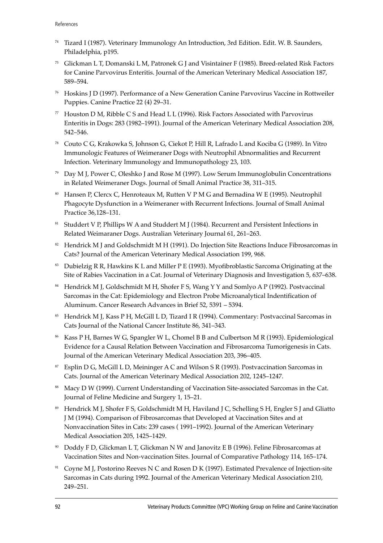- $74$  Tizard I (1987). Veterinary Immunology An Introduction, 3rd Edition. Edit. W. B. Saunders, Philadelphia, p195.
- <sup>75</sup> Glickman L T, Domanski L M, Patronek G J and Visintainer F (1985). Breed-related Risk Factors for Canine Parvovirus Enteritis. Journal of the American Veterinary Medical Association 187, 589-594.
- <sup>76</sup> Hoskins J D (1997). Performance of a New Generation Canine Parvovirus Vaccine in Rottweiler Puppies. Canine Practice 22 (4) 29-31.
- $77$  Houston D M, Ribble C S and Head L L (1996). Risk Factors Associated with Parvovirus Enteritis in Dogs: 283 (1982–1991). Journal of the American Veterinary Medical Association 208, 542-546.
- <sup>78</sup> Couto C G, Krakowka S, Johnson G, Ciekot P, Hill R, Lafrado L and Kociba G (1989). In Vitro Immunologic Features of Weimeraner Dogs with Neutrophil Abnormalities and Recurrent Infection. Veterinary Immunology and Immunopathology 23, 103.
- <sup>79</sup> Day M J, Power C, Oleshko J and Rose M (1997). Low Serum Immunoglobulin Concentrations in Related Weimeraner Dogs. Journal of Small Animal Practice 38, 311-315.
- <sup>80</sup> Hansen P, Clercx C, Henroteaux M, Rutten V P M G and Bernadina W E (1995). Neutrophil Phagocyte Dysfunction in a Weimeraner with Recurrent Infections. Journal of Small Animal Practice 36,128-131.
- 81 Studdert V P, Phillips W A and Studdert M J (1984). Recurrent and Persistent Infections in Related Weimaraner Dogs. Australian Veterinary Journal 61, 261-263.
- <sup>82</sup> Hendrick M J and Goldschmidt M H (1991). Do Injection Site Reactions Induce Fibrosarcomas in Cats? Journal of the American Veterinary Medical Association 199, 968.
- <sup>83</sup> Dubielzig R R, Hawkins K L and Miller P E (1993). Myofibroblastic Sarcoma Originating at the Site of Rabies Vaccination in a Cat. Journal of Veterinary Diagnosis and Investigation 5, 637–638.
- <sup>84</sup> Hendrick M J, Goldschmidt M H, Shofer F S, Wang Y Y and Somlyo A P (1992). Postvaccinal Sarcomas in the Cat: Epidemiology and Electron Probe Microanalytical Indentification of Aluminum. Cancer Research Advances in Brief 52, 5391 - 5394.
- <sup>85</sup> Hendrick M J, Kass P H, McGill L D, Tizard I R (1994). Commentary: Postvaccinal Sarcomas in Cats Journal of the National Cancer Institute 86, 341-343.
- <sup>86</sup> Kass P H, Barnes W G, Spangler W L, Chomel B B and Culbertson M R (1993). Epidemiological Evidence for a Causal Relation Between Vaccination and Fibrosarcoma Tumorigenesis in Cats. Journal of the American Veterinary Medical Association 203, 396-405.
- <sup>87</sup> Esplin D G, McGill L D, Meininger A C and Wilson S R (1993). Postvaccination Sarcomas in Cats. Journal of the American Veterinary Medical Association 202, 1245-1247.
- 88 Macy D W (1999). Current Understanding of Vaccination Site-associated Sarcomas in the Cat. Journal of Feline Medicine and Surgery 1, 15-21.
- <sup>89</sup> Hendrick M J, Shofer F S, Goldschmidt M H, Haviland J C, Schelling S H, Engler S J and Gliatto J M (1994). Comparison of Fibrosarcomas that Developed at Vaccination Sites and at Nonvaccination Sites in Cats: 239 cases (1991-1992). Journal of the American Veterinary Medical Association 205, 1425-1429.
- <sup>90</sup> Doddy F D, Glickman L T, Glickman N W and Janovitz E B (1996). Feline Fibrosarcomas at Vaccination Sites and Non-vaccination Sites. Journal of Comparative Pathology 114, 165-174.
- <sup>91</sup> Coyne M J, Postorino Reeves N C and Rosen D K (1997). Estimated Prevalence of Injection-site Sarcomas in Cats during 1992. Journal of the American Veterinary Medical Association 210, 249-251.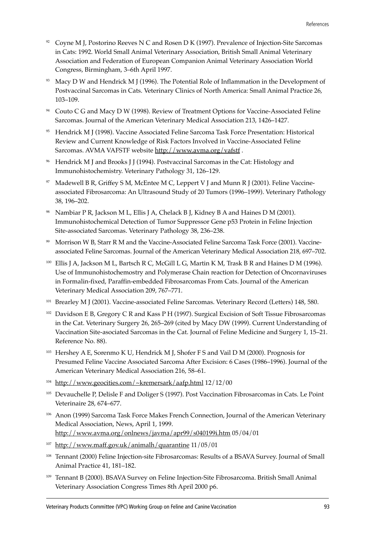- $92$  Coyne M J, Postorino Reeves N C and Rosen D K (1997). Prevalence of Injection-Site Sarcomas in Cats: 1992. World Small Animal Veterinary Association, British Small Animal Veterinary Association and Federation of European Companion Animal Veterinary Association World Congress, Birmingham, 3-6th April 1997.
- <sup>93</sup> Macy D W and Hendrick M J (1996). The Potential Role of Inflammation in the Development of Postvaccinal Sarcomas in Cats. Veterinary Clinics of North America: Small Animal Practice 26, 103-109.
- <sup>94</sup> Couto C G and Macy D W (1998). Review of Treatment Options for Vaccine-Associated Feline Sarcomas. Journal of the American Veterinary Medical Association 213, 1426-1427.
- <sup>95</sup> Hendrick M J (1998). Vaccine Associated Feline Sarcoma Task Force Presentation: Historical Review and Current Knowledge of Risk Factors Involved in Vaccine-Associated Feline Sarcomas. AVMA VAFSTF website http://www.avma.org/vafstf.
- <sup>96</sup> Hendrick M J and Brooks J J (1994). Postvaccinal Sarcomas in the Cat: Histology and Immunohistochemistry. Veterinary Pathology 31, 126–129.
- <sup>97</sup> Madewell B R, Griffey S M, McEntee M C, Leppert V J and Munn R J (2001). Feline Vaccineassociated Fibrosarcoma: An Ultrasound Study of 20 Tumors (1996–1999). Veterinary Pathology 38, 196-202.
- <sup>98</sup> Nambiar P R, Jackson M L, Ellis J A, Chelack B J, Kidney B A and Haines D M (2001). Immunohistochemical Detection of Tumor Suppressor Gene p53 Protein in Feline Injection Site-associated Sarcomas. Veterinary Pathology 38, 236-238.
- <sup>99</sup> Morrison W B, Starr R M and the Vaccine-Associated Feline Sarcoma Task Force (2001). Vaccineassociated Feline Sarcomas. Journal of the American Veterinary Medical Association 218, 697-702.
- <sup>100</sup> Ellis J A, Jackson M L, Bartsch R C, McGill L G, Martin K M, Trask B R and Haines D M (1996). Use of Immunohistochemostry and Polymerase Chain reaction for Detection of Oncornaviruses in Formalin-fixed, Paraffin-embedded Fibrosarcomas From Cats. Journal of the American Veterinary Medical Association 209, 767-771.
- <sup>101</sup> Brearley M J (2001). Vaccine-associated Feline Sarcomas. Veterinary Record (Letters) 148, 580.
- <sup>102</sup> Davidson E B, Gregory C R and Kass P H (1997). Surgical Excision of Soft Tissue Fibrosarcomas in the Cat. Veterinary Surgery 26, 265–269 (cited by Macy DW (1999). Current Understanding of Vaccination Site-asociated Sarcomas in the Cat. Journal of Feline Medicine and Surgery 1, 15-21. Reference No. 88).
- <sup>103</sup> Hershey A E, Sorenmo K U, Hendrick M J, Shofer F S and Vail D M (2000). Prognosis for Presumed Feline Vaccine Associated Sarcoma After Excision: 6 Cases (1986-1996). Journal of the American Veterinary Medical Association 216, 58-61.
- <sup>104</sup> http://www.geocities.com/~kremersark/aafp.html 12/12/00
- <sup>105</sup> Devauchelle P, Delisle F and Doliger S (1997). Post Vaccination Fibrosarcomas in Cats. Le Point Veterinaire 28, 674-677.
- <sup>106</sup> Anon (1999) Sarcoma Task Force Makes French Connection, Journal of the American Veterinary Medical Association, News, April 1, 1999. http://www.avma.org/onlnews/javma/apr99/s040199i.htm 05/04/01
- $107$  http://www.maff.gov.uk/animalh/quarantine 11/05/01
- <sup>108</sup> Tennant (2000) Feline Injection-site Fibrosarcomas: Results of a BSAVA Survey. Journal of Small Animal Practice 41, 181-182.
- <sup>109</sup> Tennant B (2000). BSAVA Survey on Feline Injection-Site Fibrosarcoma. British Small Animal Veterinary Association Congress Times 8th April 2000 p6.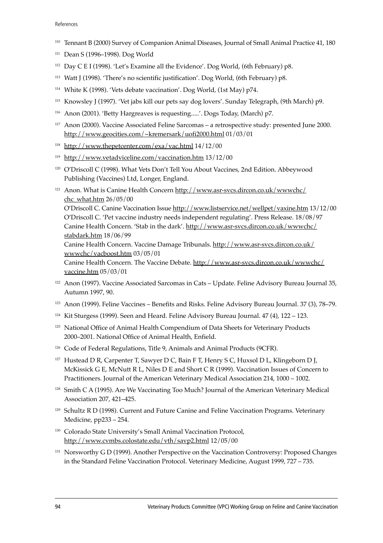#### References

- <sup>110</sup> Tennant B (2000) Survey of Companion Animal Diseases, Journal of Small Animal Practice 41, 180
- $111$  Dean S (1996–1998). Dog World
- $112$  Day C E I (1998). 'Let's Examine all the Evidence'. Dog World, (6th February) p8.
- $113$  Watt J (1998). 'There's no scientific justification'. Dog World, (6th February) p8.
- <sup>114</sup> White K (1998). 'Vets debate vaccination'. Dog World, (1st Mav) p74.
- <sup>115</sup> Knowsley J (1997). 'Vet jabs kill our pets say dog lovers'. Sunday Telegraph, (9th March) p9.
- 116 Anon (2001). 'Betty Hargreaves is requesting.....'. Dogs Today, (March) p7.
- $117$  Anon (2000). Vaccine Associated Feline Sarcomas a retrospective study: presented June 2000. http://www.geocities.com/~kremersark/uofi2000.html 01/03/01
- <sup>118</sup> http://www.thepetcenter.com/exa/vac.html  $14/12/00$
- <sup>119</sup> http://www.vetadviceline.com/vaccination.htm 13/12/00
- <sup>120</sup> O'Driscoll C (1998). What Vets Don't Tell You About Vaccines, 2nd Edition. Abbeywood Publishing (Vaccines) Ltd, Longer, England.
- <sup>121</sup> Anon. What is Canine Health Concern http://www.asr-svcs.dircon.co.uk/wwwchc/ chc\_what.htm 26/05/00

OíDriscoll C. Canine Vaccination Issue http://www.listservice.net/wellpet/vaxine.htm 13/12/00 O'Driscoll C. 'Pet vaccine industry needs independent regulating'. Press Release. 18/08/97 Canine Health Concern. 'Stab in the dark'. http://www.asr-svcs.dircon.co.uk/wwwchc/ stabdark.htm 18/06/99

Canine Health Concern. Vaccine Damage Tribunals. http://www.asr-svcs.dircon.co.uk/ wwwchc/vacboost.htm 03/05/01

Canine Health Concern. The Vaccine Debate. http://www.asr-svcs.dircon.co.uk/wwwchc/ vaccine.htm 05/03/01

- <sup>122</sup> Anon (1997). Vaccine Associated Sarcomas in Cats Update. Feline Advisory Bureau Journal 35, Autumn 1997, 90.
- <sup>123</sup> Anon (1999). Feline Vaccines Benefits and Risks. Feline Advisory Bureau Journal. 37 (3), 78–79.
- <sup>124</sup> Kit Sturgess (1999). Seen and Heard. Feline Advisory Bureau Journal.  $47(4)$ ,  $122 123$ .
- <sup>125</sup> National Office of Animal Health Compendium of Data Sheets for Veterinary Products 2000–2001. National Office of Animal Health, Enfield.
- <sup>126</sup> Code of Federal Regulations, Title 9, Animals and Animal Products (9CFR).
- <sup>127</sup> Hustead D R, Carpenter T, Sawyer D C, Bain F T, Henry S C, Huxsol D L, Klingeborn D J, McKissick G E, McNutt R L, Niles D E and Short C R (1999). Vaccination Issues of Concern to Practitioners. Journal of the American Veterinary Medical Association 214, 1000 - 1002.
- <sup>128</sup> Smith C A (1995). Are We Vaccinating Too Much? Journal of the American Veterinary Medical Association 207, 421-425.
- $129$  Schultz R D (1998). Current and Future Canine and Feline Vaccination Programs. Veterinary Medicine,  $pp233 - 254$ .
- 130 Colorado State University's Small Animal Vaccination Protocol, http://www.cvmbs.colostate.edu/vth/savp2.html 12/05/00
- <sup>131</sup> Norsworthy G D (1999). Another Perspective on the Vaccination Controversy: Proposed Changes in the Standard Feline Vaccination Protocol. Veterinary Medicine, August 1999, 727 – 735.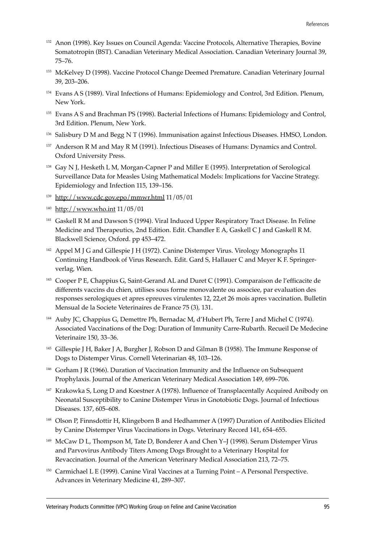- <sup>132</sup> Anon (1998). Key Issues on Council Agenda: Vaccine Protocols, Alternative Therapies, Bovine Somatotropin (BST). Canadian Veterinary Medical Association. Canadian Veterinary Journal 39, 75-76.
- <sup>133</sup> McKelvey D (1998). Vaccine Protocol Change Deemed Premature. Canadian Veterinary Journal 39, 203-206.
- <sup>134</sup> Evans A S (1989). Viral Infections of Humans: Epidemiology and Control, 3rd Edition. Plenum, New York.
- <sup>135</sup> Evans A S and Brachman PS (1998). Bacterial Infections of Humans: Epidemiology and Control, 3rd Edition. Plenum, New York.
- 136 Salisbury D M and Begg N T (1996). Immunisation against Infectious Diseases. HMSO, London.
- 137 Anderson R M and May R M (1991). Infectious Diseases of Humans: Dynamics and Control. Oxford University Press.
- <sup>138</sup> Gay N J, Hesketh L M, Morgan-Capner P and Miller E (1995). Interpretation of Serological Surveillance Data for Measles Using Mathematical Models: Implications for Vaccine Strategy. Epidemiology and Infection 115, 139-156.
- <sup>139</sup> http://www.cdc.gov.epo/mmwr.html 11/05/01
- <sup>140</sup> http://www.who.int 11/05/01
- <sup>141</sup> Gaskell R M and Dawson S (1994). Viral Induced Upper Respiratory Tract Disease. In Feline Medicine and Therapeutics, 2nd Edition. Edit. Chandler E A, Gaskell C J and Gaskell R M. Blackwell Science, Oxford. pp 453-472.
- <sup>142</sup> Appel M J G and Gillespie J H (1972). Canine Distemper Virus. Virology Monographs 11 Continuing Handbook of Virus Research. Edit. Gard S, Hallauer C and Meyer K F. Springerverlag, Wien.
- <sup>143</sup> Cooper P E, Chappius G, Saint-Gerand AL and Duret C (1991). Comparaison de l'efficacite de differents vaccins du chien, utilises sous forme monovalente ou associee, par evaluation des responses serologiques et apres epreuves virulentes 12, 22,et 26 mois apres vaccination. Bulletin Mensual de la Societe Veterinaires de France 75 (3), 131.
- <sup>144</sup> Auby JC, Chappius G, Demettre Ph, Bernadac M, d'Hubert Ph, Terre J and Michel C (1974). Associated Vaccinations of the Dog: Duration of Immunity Carre-Rubarth. Recueil De Medecine Veterinaire 150, 33-36.
- <sup>145</sup> Gillespie J H, Baker J A, Burgher J, Robson D and Gilman B (1958). The Immune Response of Dogs to Distemper Virus. Cornell Veterinarian 48, 103-126.
- <sup>146</sup> Gorham J R (1966). Duration of Vaccination Immunity and the Influence on Subsequent Prophylaxis. Journal of the American Veterinary Medical Association 149, 699-706.
- <sup>147</sup> Krakowka S, Long D and Koestner A (1978). Influence of Transplacentally Acquired Anibody on Neonatal Susceptibility to Canine Distemper Virus in Gnotobiotic Dogs. Journal of Infectious Diseases. 137, 605-608.
- <sup>148</sup> Olson P, Finnsdottir H, Klingeborn B and Hedhammer A (1997) Duration of Antibodies Elicited by Canine Distemper Virus Vaccinations in Dogs. Veterinary Record 141, 654–655.
- <sup>149</sup> McCaw D L, Thompson M, Tate D, Bonderer A and Chen Y-J (1998). Serum Distemper Virus and Parvovirus Antibody Titers Among Dogs Brought to a Veterinary Hospital for Revaccination. Journal of the American Veterinary Medical Association 213, 72-75.
- $150$  Carmichael L E (1999). Canine Viral Vaccines at a Turning Point  $-$  A Personal Perspective. Advances in Veterinary Medicine 41, 289-307.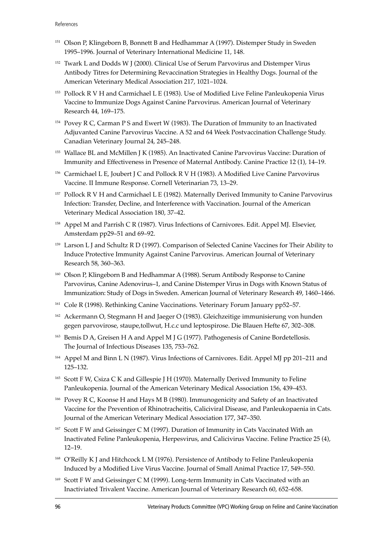- <sup>151</sup> Olson P, Klingeborn B, Bonnett B and Hedhammar A (1997). Distemper Study in Sweden 1995-1996. Journal of Veterinary International Medicine 11, 148.
- <sup>152</sup> Twark L and Dodds W J (2000). Clinical Use of Serum Parvovirus and Distemper Virus Antibody Titres for Determining Revaccination Strategies in Healthy Dogs. Journal of the American Veterinary Medical Association 217, 1021-1024.
- <sup>153</sup> Pollock R V H and Carmichael L E (1983). Use of Modified Live Feline Panleukopenia Virus Vaccine to Immunize Dogs Against Canine Parvovirus. American Journal of Veterinary Research 44, 169-175.
- <sup>154</sup> Povey R C, Carman P S and Ewert W (1983). The Duration of Immunity to an Inactivated Adjuvanted Canine Parvovirus Vaccine. A 52 and 64 Week Postvaccination Challenge Study. Canadian Veterinary Journal 24, 245-248.
- <sup>155</sup> Wallace BL and McMillen J K (1985). An Inactivated Canine Parvovirus Vaccine: Duration of Immunity and Effectiveness in Presence of Maternal Antibody. Canine Practice 12 (1), 14-19.
- <sup>156</sup> Carmichael L E, Joubert J C and Pollock R V H (1983). A Modified Live Canine Parvovirus Vaccine. II Immune Response. Cornell Veterinarian 73, 13-29.
- <sup>157</sup> Pollock R V H and Carmichael L E (1982). Maternally Derived Immunity to Canine Parvovirus Infection: Transfer, Decline, and Interference with Vaccination. Journal of the American Veterinary Medical Association 180, 37-42.
- <sup>158</sup> Appel M and Parrish C R (1987). Virus Infections of Carnivores. Edit. Appel MJ. Elsevier, Amsterdam  $pp29-51$  and  $69-92$ .
- <sup>159</sup> Larson L J and Schultz R D (1997). Comparison of Selected Canine Vaccines for Their Ability to Induce Protective Immunity Against Canine Parvovirus. American Journal of Veterinary Research 58, 360-363.
- <sup>160</sup> Olson P, Klingeborn B and Hedhammar A (1988). Serum Antibody Response to Canine Parvovirus, Canine Adenovirus-1, and Canine Distemper Virus in Dogs with Known Status of Immunization: Study of Dogs in Sweden. American Journal of Veterinary Research 49, 1460-1466.
- <sup>161</sup> Cole R (1998). Rethinking Canine Vaccinations. Veterinary Forum January pp52-57.
- <sup>162</sup> Ackermann O, Stegmann H and Jaeger O (1983). Gleichzeitige immunisierung von hunden gegen parvovirose, staupe,tollwut, H.c.c und leptospirose. Die Blauen Hefte 67, 302–308.
- <sup>163</sup> Bemis D A, Greisen H A and Appel M J G (1977). Pathogenesis of Canine Bordetellosis. The Journal of Infectious Diseases 135, 753-762.
- 164 Appel M and Binn L N (1987). Virus Infections of Carnivores. Edit. Appel MJ pp 201-211 and 125-132.
- <sup>165</sup> Scott F W, Csiza C K and Gillespie J H (1970). Maternally Derived Immunity to Feline Panleukopenia. Journal of the American Veterinary Medical Association 156, 439-453.
- <sup>166</sup> Povey R C, Koonse H and Hays M B (1980). Immunogenicity and Safety of an Inactivated Vaccine for the Prevention of Rhinotracheitis, Caliciviral Disease, and Panleukopaenia in Cats. Journal of the American Veterinary Medical Association 177, 347-350.
- <sup>167</sup> Scott F W and Geissinger C M (1997). Duration of Immunity in Cats Vaccinated With an Inactivated Feline Panleukopenia, Herpesvirus, and Calicivirus Vaccine. Feline Practice 25 (4),  $12 - 19.$
- <sup>168</sup> O'Reilly K J and Hitchcock L M (1976). Persistence of Antibody to Feline Panleukopenia Induced by a Modified Live Virus Vaccine. Journal of Small Animal Practice 17, 549-550.
- <sup>169</sup> Scott F W and Geissinger C M (1999). Long-term Immunity in Cats Vaccinated with an Inactiviated Trivalent Vaccine. American Journal of Veterinary Research 60, 652-658.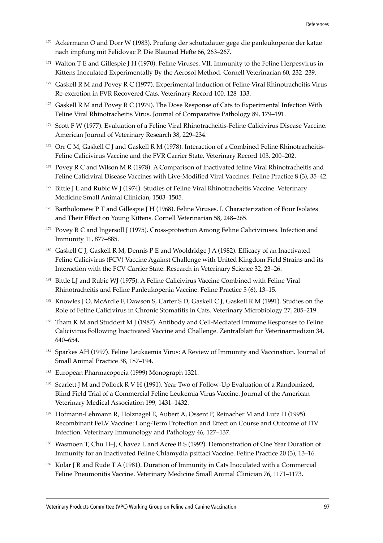- <sup>170</sup> Ackermann O and Dorr W (1983). Prufung der schutzdauer gege die panleukopenie der katze nach impfung mit Felidovac P. Die Blauned Hefte 66, 263-267.
- <sup>171</sup> Walton T E and Gillespie J H (1970). Feline Viruses. VII. Immunity to the Feline Herpesvirus in Kittens Inoculated Experimentally By the Aerosol Method. Cornell Veterinarian 60, 232-239.
- <sup>172</sup> Gaskell R M and Povey R C (1977). Experimental Induction of Feline Viral Rhinotracheitis Virus Re-excretion in FVR Recovered Cats. Veterinary Record 100, 128-133.
- <sup>173</sup> Gaskell R M and Povey R C (1979). The Dose Response of Cats to Experimental Infection With Feline Viral Rhinotracheitis Virus. Journal of Comparative Pathology 89, 179-191.
- <sup>174</sup> Scott F W (1977). Evaluation of a Feline Viral Rhinotracheitis-Feline Calicivirus Disease Vaccine. American Journal of Veterinary Research 38, 229-234.
- <sup>175</sup> Orr C M, Gaskell C J and Gaskell R M (1978). Interaction of a Combined Feline Rhinotracheitis-Feline Calicivirus Vaccine and the FVR Carrier State. Veterinary Record 103, 200-202.
- <sup>176</sup> Povey R C and Wilson M R (1978). A Comparison of Inactivated feline Viral Rhinotracheitis and Feline Caliciviral Disease Vaccines with Live-Modified Viral Vaccines. Feline Practice 8 (3), 35–42.
- <sup>177</sup> Bittle J L and Rubic W J (1974). Studies of Feline Viral Rhinotracheitis Vaccine. Veterinary Medicine Small Animal Clinician, 1503-1505.
- <sup>178</sup> Bartholomew P T and Gillespie J H (1968). Feline Viruses. I. Characterization of Four Isolates and Their Effect on Young Kittens. Cornell Veterinarian 58, 248-265.
- <sup>179</sup> Povey R C and Ingersoll J (1975). Cross-protection Among Feline Caliciviruses. Infection and Immunity 11, 877-885.
- 180 Gaskell C J, Gaskell R M, Dennis P E and Wooldridge J A (1982). Efficacy of an Inactivated Feline Calicivirus (FCV) Vaccine Against Challenge with United Kingdom Field Strains and its Interaction with the FCV Carrier State. Research in Veterinary Science 32, 23-26.
- <sup>181</sup> Bittle LJ and Rubic WJ (1975). A Feline Calicivirus Vaccine Combined with Feline Viral Rhinotracheitis and Feline Panleukopenia Vaccine. Feline Practice 5 (6), 13–15.
- <sup>182</sup> Knowles J O, McArdle F, Dawson S, Carter S D, Gaskell C J, Gaskell R M (1991). Studies on the Role of Feline Calicivirus in Chronic Stomatitis in Cats. Veterinary Microbiology 27, 205-219.
- <sup>183</sup> Tham K M and Studdert M J (1987). Antibody and Cell-Mediated Immune Responses to Feline Calicivirus Following Inactivated Vaccine and Challenge. Zentralblatt fur Veterinarmedizin 34, 640-654.
- 184 Sparkes AH (1997). Feline Leukaemia Virus: A Review of Immunity and Vaccination. Journal of Small Animal Practice 38, 187-194.
- <sup>185</sup> European Pharmacopoeia (1999) Monograph 1321.
- <sup>186</sup> Scarlett J M and Pollock R V H (1991). Year Two of Follow-Up Evaluation of a Randomized, Blind Field Trial of a Commercial Feline Leukemia Virus Vaccine. Journal of the American Veterinary Medical Association 199, 1431-1432.
- 187 Hofmann-Lehmann R, Holznagel E, Aubert A, Ossent P, Reinacher M and Lutz H (1995). Recombinant FeLV Vaccine: Long-Term Protection and Effect on Course and Outcome of FIV Infection. Veterinary Immunology and Pathology 46, 127-137.
- 188 Wasmoen T, Chu H-J, Chavez L and Acree B S (1992). Demonstration of One Year Duration of Immunity for an Inactivated Feline Chlamydia psittaci Vaccine. Feline Practice 20 (3), 13-16.
- 189 Kolar J R and Rude T A (1981). Duration of Immunity in Cats Inoculated with a Commercial Feline Pneumonitis Vaccine. Veterinary Medicine Small Animal Clinician 76, 1171-1173.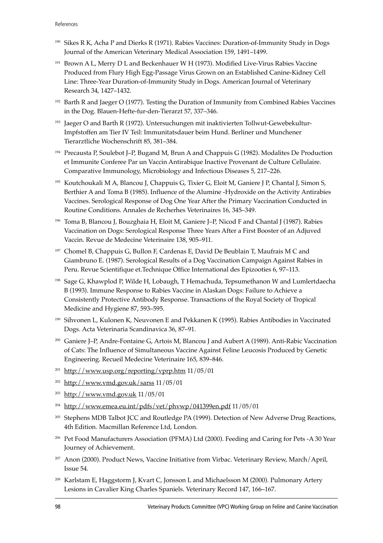- <sup>190</sup> Sikes R K, Acha P and Dierks R (1971). Rabies Vaccines: Duration-of-Immunity Study in Dogs Journal of the American Veterinary Medical Association 159, 1491-1499.
- <sup>191</sup> Brown A L, Merry D L and Beckenhauer W H (1973). Modified Live-Virus Rabies Vaccine Produced from Flury High Egg-Passage Virus Grown on an Established Canine-Kidney Cell Line: Three-Year Duration-of-Immunity Study in Dogs. American Journal of Veterinary Research 34, 1427-1432.
- $192$  Barth R and Jaeger O (1977). Testing the Duration of Immunity from Combined Rabies Vaccines in the Dog. Blauen-Hefte-fur-den-Tierarzt 57, 337-346.
- <sup>193</sup> Jaeger O and Barth R (1972). Untersuchungen mit inaktivierten Tollwut-Gewebekultur-Impfstoffen am Tier IV Teil: Immunitatsdauer beim Hund. Berliner und Munchener Tierarztliche Wochenschrift 85, 381-384.
- 194 Precausta P, Soulebot J–P, Bugand M, Brun A and Chappuis G (1982). Modalites De Production et Immunite Conferee Par un Vaccin Antirabique Inactive Provenant de Culture Cellulaire. Comparative Immunology, Microbiology and Infectious Diseases 5, 217–226.
- <sup>195</sup> Koutchoukali M A, Blancou J, Chappuis G, Tixier G, Eloit M, Ganiere J P, Chantal J, Simon S, Berthier A and Toma B (1985). Influence of the Alumine -Hydroxide on the Activity Antirabies Vaccines. Serological Response of Dog One Year After the Primary Vaccination Conducted in Routine Conditions. Annales de Recherhes Veterinaires 16, 345-349.
- <sup>196</sup> Toma B, Blancou J, Bouzghaia H, Eloit M, Ganiere J-P, Nicod F and Chantal J (1987). Rabies Vaccination on Dogs: Serological Response Three Years After a First Booster of an Adjuved Vaccin. Revue de Medecine Veterinaire 138, 905-911.
- <sup>197</sup> Chomel B, Chappuis G, Bullon F, Cardenas E, David De Beublain T, Maufrais M C and Giambruno E. (1987). Serological Results of a Dog Vaccination Campaign Against Rabies in Peru. Revue Scientifique et. Technique Office International des Epizooties 6, 97-113.
- <sup>198</sup> Sage G, Khawplod P, Wilde H, Lobaugh, T Hemachuda, Tepsumethanon W and Lumlertdaecha B (1993). Immune Response to Rabies Vaccine in Alaskan Dogs: Failure to Achieve a Consistently Protective Antibody Response. Transactions of the Royal Society of Tropical Medicine and Hygiene 87, 593-595.
- <sup>199</sup> Sihvonen L, Kulonen K, Neuvonen E and Pekkanen K (1995). Rabies Antibodies in Vaccinated Dogs. Acta Veterinaria Scandinavica 36, 87-91.
- <sup>200</sup> Ganiere J-P, Andre-Fontaine G, Artois M, Blancou J and Aubert A (1989). Anti-Rabic Vaccination of Cats: The Influence of Simultaneous Vaccine Against Feline Leucosis Produced by Genetic Engineering. Recueil Medecine Veterinaire 165, 839-846.
- $201$  http://www.usp.org/reporting/vprp.htm 11/05/01
- $202$  http://www.vmd.gov.uk/sarss 11/05/01
- <sup>203</sup> http://www.vmd.gov.uk 11/05/01
- <sup>204</sup> http://www.emea.eu.int/pdfs/vet/phvwp/041399en.pdf 11/05/01
- <sup>205</sup> Stephens MDB Talbot JCC and Routledge PA (1999). Detection of New Adverse Drug Reactions, 4th Edition. Macmillan Reference Ltd, London.
- <sup>206</sup> Pet Food Manufacturers Association (PFMA) Ltd (2000). Feeding and Caring for Pets -A 30 Year Journey of Achievement.
- <sup>207</sup> Anon (2000). Product News, Vaccine Initiative from Virbac. Veterinary Review, March/April, Issue 54.
- <sup>208</sup> Karlstam E, Haggstorm J, Kvart C, Jonsson L and Michaelsson M (2000). Pulmonary Artery Lesions in Cavalier King Charles Spaniels. Veterinary Record 147, 166-167.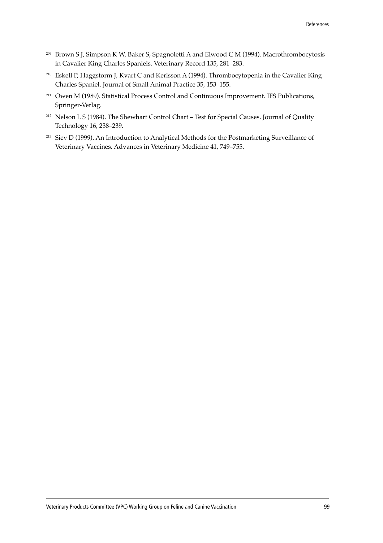- <sup>209</sup> Brown S J, Simpson K W, Baker S, Spagnoletti A and Elwood C M (1994). Macrothrombocytosis in Cavalier King Charles Spaniels. Veterinary Record 135, 281-283.
- <sup>210</sup> Eskell P, Haggstorm J, Kvart C and Kerlsson A (1994). Thrombocytopenia in the Cavalier King Charles Spaniel. Journal of Small Animal Practice 35, 153-155.
- <sup>211</sup> Owen M (1989). Statistical Process Control and Continuous Improvement. IFS Publications, Springer-Verlag.
- <sup>212</sup> Nelson L S (1984). The Shewhart Control Chart Test for Special Causes. Journal of Quality Technology 16, 238-239.
- <sup>213</sup> Siev D (1999). An Introduction to Analytical Methods for the Postmarketing Surveillance of Veterinary Vaccines. Advances in Veterinary Medicine 41, 749-755.